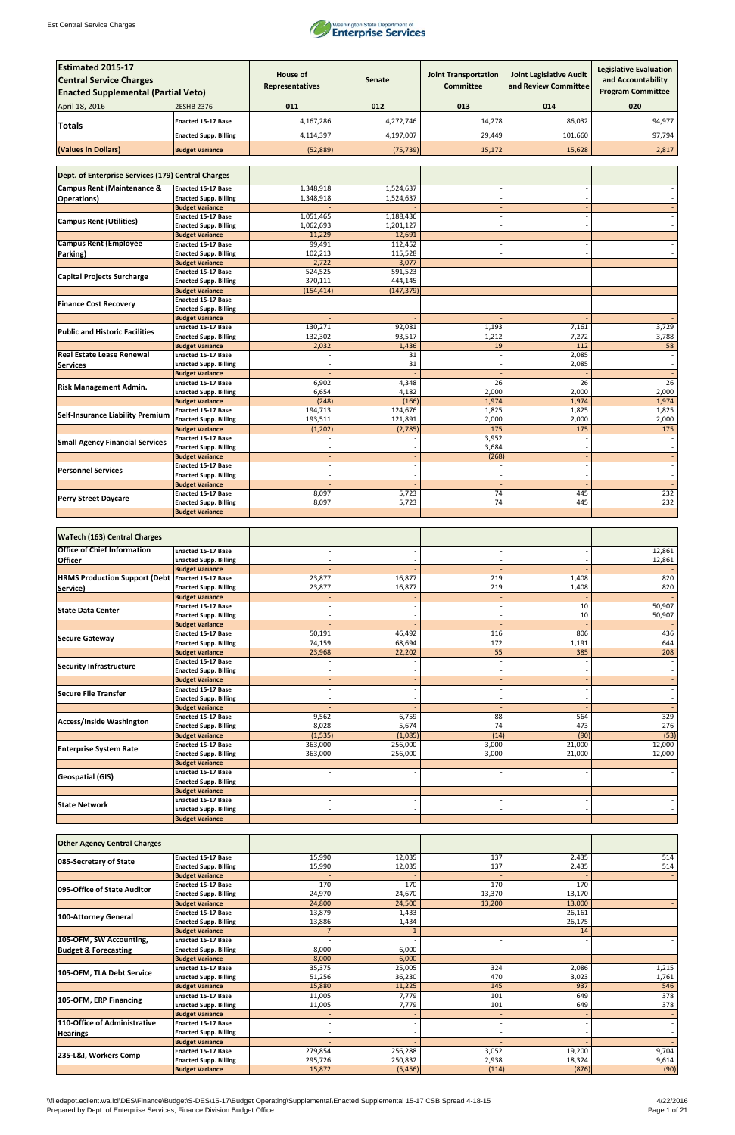

| <b>Estimated 2015-17</b><br><b>Central Service Charges</b><br><b>Enacted Supplemental (Partial Veto)</b> |                                                           | <b>House of</b><br>Representatives | <b>Senate</b>      | <b>Joint Transportation</b><br><b>Committee</b> | <b>Joint Legislative Audit</b><br>and Review Committee | <b>Legislative Evaluation</b><br>and Accountability<br><b>Program Committee</b> |
|----------------------------------------------------------------------------------------------------------|-----------------------------------------------------------|------------------------------------|--------------------|-------------------------------------------------|--------------------------------------------------------|---------------------------------------------------------------------------------|
| April 18, 2016                                                                                           | 2ESHB 2376                                                | 011                                | 012                | 013                                             | 014                                                    | 020                                                                             |
|                                                                                                          | <b>Enacted 15-17 Base</b>                                 | 4,167,286                          | 4,272,746          | 14,278                                          | 86,032                                                 | 94,977                                                                          |
| Totals                                                                                                   |                                                           |                                    |                    |                                                 |                                                        |                                                                                 |
|                                                                                                          | <b>Enacted Supp. Billing</b>                              | 4,114,397                          | 4,197,007          | 29,449                                          | 101,660                                                | 97,794                                                                          |
| (Values in Dollars)                                                                                      | <b>Budget Variance</b>                                    | (52, 889)                          | (75, 739)          | 15,172                                          | 15,628                                                 | 2,817                                                                           |
| Dept. of Enterprise Services (179) Central Charges                                                       |                                                           |                                    |                    |                                                 |                                                        |                                                                                 |
| <b>Campus Rent (Maintenance &amp;</b>                                                                    | <b>Enacted 15-17 Base</b>                                 | 1,348,918                          | 1,524,637          |                                                 |                                                        |                                                                                 |
| <b>Operations)</b>                                                                                       | <b>Enacted Supp. Billing</b>                              | 1,348,918                          | 1,524,637          |                                                 |                                                        |                                                                                 |
|                                                                                                          | <b>Budget Variance</b><br>Enacted 15-17 Base              | 1,051,465                          | 1,188,436          |                                                 |                                                        |                                                                                 |
| <b>Campus Rent (Utilities)</b>                                                                           | <b>Enacted Supp. Billing</b>                              | 1,062,693                          | 1,201,127          |                                                 |                                                        |                                                                                 |
|                                                                                                          | <b>Budget Variance</b>                                    | 11,229                             | 12,691             |                                                 |                                                        |                                                                                 |
| <b>Campus Rent (Employee</b>                                                                             | <b>Enacted 15-17 Base</b>                                 | 99,491                             | 112,452            |                                                 |                                                        |                                                                                 |
| Parking)                                                                                                 | <b>Enacted Supp. Billing</b><br><b>Budget Variance</b>    | 102,213<br>2,722                   | 115,528<br>3,077   |                                                 |                                                        |                                                                                 |
|                                                                                                          | <b>Enacted 15-17 Base</b>                                 | 524,525                            | 591,523            |                                                 |                                                        |                                                                                 |
| <b>Capital Projects Surcharge</b>                                                                        | <b>Enacted Supp. Billing</b>                              | 370,111                            | 444,145            |                                                 |                                                        |                                                                                 |
|                                                                                                          | <b>Budget Variance</b>                                    | (154, 414)                         | (147, 379)         |                                                 |                                                        |                                                                                 |
| <b>Finance Cost Recovery</b>                                                                             | <b>Enacted 15-17 Base</b>                                 |                                    |                    |                                                 |                                                        |                                                                                 |
|                                                                                                          | <b>Enacted Supp. Billing</b><br><b>Budget Variance</b>    |                                    |                    |                                                 |                                                        |                                                                                 |
|                                                                                                          | <b>Enacted 15-17 Base</b>                                 | 130,271                            | 92,081             | 1,193                                           | 7,161                                                  | 3,729                                                                           |
| <b>Public and Historic Facilities</b>                                                                    | <b>Enacted Supp. Billing</b>                              | 132,302                            | 93,517             | 1,212                                           | 7,272                                                  | 3,788                                                                           |
|                                                                                                          | <b>Budget Variance</b>                                    | 2,032                              | 1,436              | 19                                              | 112                                                    | 58                                                                              |
| <b>Real Estate Lease Renewal</b>                                                                         | <b>Enacted 15-17 Base</b>                                 |                                    | 31                 |                                                 | 2,085                                                  |                                                                                 |
| <b>Services</b>                                                                                          | <b>Enacted Supp. Billing</b><br><b>Budget Variance</b>    |                                    | 31                 |                                                 | 2,085                                                  |                                                                                 |
|                                                                                                          | <b>Enacted 15-17 Base</b>                                 | 6,902                              | 4,348              | 26                                              | 26                                                     | $\overline{26}$                                                                 |
| <b>Risk Management Admin.</b>                                                                            | <b>Enacted Supp. Billing</b>                              | 6,654                              | 4,182              | 2,000                                           | 2,000                                                  | 2,000                                                                           |
|                                                                                                          | <b>Budget Variance</b>                                    | (248)                              | (166)              | 1,974                                           | 1,974                                                  | 1,974                                                                           |
| <b>Self-Insurance Liability Premium</b>                                                                  | <b>Enacted 15-17 Base</b><br><b>Enacted Supp. Billing</b> | 194,713<br>193,511                 | 124,676<br>121,891 | 1,825<br>2,000                                  | 1,825<br>2,000                                         | 1,825<br>2,000                                                                  |
|                                                                                                          | <b>Budget Variance</b>                                    | (1, 202)                           | (2,785)            | 175                                             | 175                                                    | 175                                                                             |
|                                                                                                          | <b>Enacted 15-17 Base</b>                                 |                                    |                    | 3,952                                           |                                                        |                                                                                 |
| <b>Small Agency Financial Services</b>                                                                   | <b>Enacted Supp. Billing</b>                              |                                    |                    | 3,684                                           |                                                        |                                                                                 |
|                                                                                                          | <b>Budget Variance</b>                                    |                                    |                    | (268)                                           |                                                        |                                                                                 |
| <b>Personnel Services</b>                                                                                | <b>Enacted 15-17 Base</b><br><b>Enacted Supp. Billing</b> |                                    |                    |                                                 |                                                        |                                                                                 |
|                                                                                                          | <b>Budget Variance</b>                                    |                                    |                    |                                                 |                                                        |                                                                                 |
| <b>Perry Street Daycare</b>                                                                              | <b>Enacted 15-17 Base</b>                                 | 8,097                              | 5,723              | 74                                              | 445                                                    | 232                                                                             |
|                                                                                                          | <b>Enacted Supp. Billing</b>                              | 8,097                              | 5,723              | 74                                              | 445                                                    | 232                                                                             |
|                                                                                                          | <b>Budget Variance</b>                                    |                                    |                    |                                                 |                                                        |                                                                                 |
| <b>WaTech (163) Central Charges</b>                                                                      |                                                           |                                    |                    |                                                 |                                                        |                                                                                 |
| <b>Office of Chief Information</b>                                                                       | <b>Enacted 15-17 Base</b>                                 |                                    |                    |                                                 |                                                        | 12,861                                                                          |
| <b>Officer</b>                                                                                           | <b>Enacted Supp. Billing</b><br><b>Budget Variance</b>    |                                    |                    |                                                 |                                                        | 12,861                                                                          |
| <b>HRMS Production Support (Debt Enacted 15-17 Base</b>                                                  |                                                           | 23,877                             | 16,877             | 219                                             | 1,408                                                  | 820                                                                             |
| Service)                                                                                                 | <b>Enacted Supp. Billing</b>                              | 23,877                             | 16,877             | 219                                             | 1,408                                                  | 820                                                                             |
|                                                                                                          | <b>Budget Variance</b>                                    |                                    |                    |                                                 |                                                        |                                                                                 |
| <b>State Data Center</b>                                                                                 | <b>Enacted 15-17 Base</b><br><b>Enacted Supp. Billing</b> |                                    |                    |                                                 | 10<br>10                                               | 50,907<br>50,907                                                                |
|                                                                                                          | <b>Budget Variance</b>                                    |                                    |                    |                                                 |                                                        |                                                                                 |
| Secure Gateway                                                                                           | Enacted 15-17 Base                                        | 50,191                             | 46,492             | 116                                             | 806                                                    | 436                                                                             |
|                                                                                                          | <b>Enacted Supp. Billing</b>                              | 74,159                             | 68,694             | 172                                             | 1,191                                                  | 644                                                                             |
|                                                                                                          | <b>Budget Variance</b><br><b>Enacted 15-17 Base</b>       | 23,968                             | 22,202             | 55                                              | 385                                                    | 208                                                                             |
| <b>Security Infrastructure</b>                                                                           | <b>Enacted Supp. Billing</b>                              |                                    |                    |                                                 |                                                        |                                                                                 |
|                                                                                                          | <b>Budget Variance</b>                                    |                                    |                    |                                                 |                                                        |                                                                                 |
| Secure File Transfer                                                                                     | <b>Enacted 15-17 Base</b>                                 |                                    |                    |                                                 |                                                        |                                                                                 |
|                                                                                                          | <b>Enacted Supp. Billing</b><br><b>Budget Variance</b>    |                                    |                    |                                                 |                                                        |                                                                                 |
|                                                                                                          | <b>Enacted 15-17 Base</b>                                 | 9,562                              | 6,759              | 88                                              | 564                                                    | 329                                                                             |
| Access/Inside Washington                                                                                 | <b>Enacted Supp. Billing</b>                              | 8,028                              | 5,674              | 74                                              | 473                                                    | 276                                                                             |
|                                                                                                          | <b>Budget Variance</b>                                    | (1, 535)                           | (1,085)            | (14)                                            | (90)                                                   | (53)                                                                            |
| <b>Enterprise System Rate</b>                                                                            | <b>Enacted 15-17 Base</b>                                 | 363,000                            | 256,000            | 3,000                                           | 21,000                                                 | 12,000                                                                          |
|                                                                                                          | <b>Enacted Supp. Billing</b><br><b>Budget Variance</b>    | 363,000                            | 256,000            | 3,000                                           | 21,000                                                 | 12,000                                                                          |
|                                                                                                          | <b>Enacted 15-17 Base</b>                                 |                                    |                    |                                                 |                                                        |                                                                                 |
| <b>Geospatial (GIS)</b>                                                                                  | <b>Enacted Supp. Billing</b>                              |                                    |                    |                                                 |                                                        |                                                                                 |
|                                                                                                          | <b>Budget Variance</b>                                    |                                    |                    |                                                 |                                                        |                                                                                 |
| <b>State Network</b>                                                                                     | Enacted 15-17 Base<br><b>Enacted Supp. Billing</b>        |                                    |                    |                                                 |                                                        |                                                                                 |
|                                                                                                          | <b>Budget Variance</b>                                    |                                    |                    |                                                 |                                                        |                                                                                 |

| <b>Other Agency Central Charges</b> |                              |         |          |        |        |       |
|-------------------------------------|------------------------------|---------|----------|--------|--------|-------|
| 085-Secretary of State              | <b>Enacted 15-17 Base</b>    | 15,990  | 12,035   | 137    | 2,435  | 514   |
|                                     | <b>Enacted Supp. Billing</b> | 15,990  | 12,035   | 137    | 2,435  | 514   |
|                                     | <b>Budget Variance</b>       |         |          |        |        |       |
| 095-Office of State Auditor         | <b>Enacted 15-17 Base</b>    | 170     | 170      | 170    | 170    |       |
|                                     | <b>Enacted Supp. Billing</b> | 24,970  | 24,670   | 13,370 | 13,170 |       |
|                                     | <b>Budget Variance</b>       | 24,800  | 24,500   | 13,200 | 13,000 |       |
| 100-Attorney General                | <b>Enacted 15-17 Base</b>    | 13,879  | 1,433    |        | 26,161 |       |
|                                     | <b>Enacted Supp. Billing</b> | 13,886  | 1,434    |        | 26,175 |       |
|                                     | <b>Budget Variance</b>       |         |          |        | 14     |       |
| 105-OFM, SW Accounting,             | <b>Enacted 15-17 Base</b>    |         |          |        |        |       |
| <b>Budget &amp; Forecasting</b>     | <b>Enacted Supp. Billing</b> | 8,000   | 6,000    |        |        |       |
|                                     | <b>Budget Variance</b>       | 8,000   | 6,000    |        |        |       |
| 105-OFM, TLA Debt Service           | <b>Enacted 15-17 Base</b>    | 35,375  | 25,005   | 324    | 2,086  | 1,215 |
|                                     | <b>Enacted Supp. Billing</b> | 51,256  | 36,230   | 470    | 3,023  | 1,761 |
|                                     | <b>Budget Variance</b>       | 15,880  | 11,225   | 145    | 937    | 546   |
| 105-OFM, ERP Financing              | <b>Enacted 15-17 Base</b>    | 11,005  | 7,779    | 101    | 649    | 378   |
|                                     | <b>Enacted Supp. Billing</b> | 11,005  | 7,779    | 101    | 649    | 378   |
|                                     | <b>Budget Variance</b>       |         |          |        |        |       |
| 110-Office of Administrative        | <b>Enacted 15-17 Base</b>    |         |          |        |        |       |
| <b>Hearings</b>                     | <b>Enacted Supp. Billing</b> |         |          |        |        |       |
|                                     | <b>Budget Variance</b>       |         |          |        |        |       |
| 235-L&I, Workers Comp               | <b>Enacted 15-17 Base</b>    | 279,854 | 256,288  | 3,052  | 19,200 | 9,704 |
|                                     | <b>Enacted Supp. Billing</b> | 295,726 | 250,832  | 2,938  | 18,324 | 9,614 |
|                                     | <b>Budget Variance</b>       | 15,872  | (5, 456) | (114)  | (876)  | (90)  |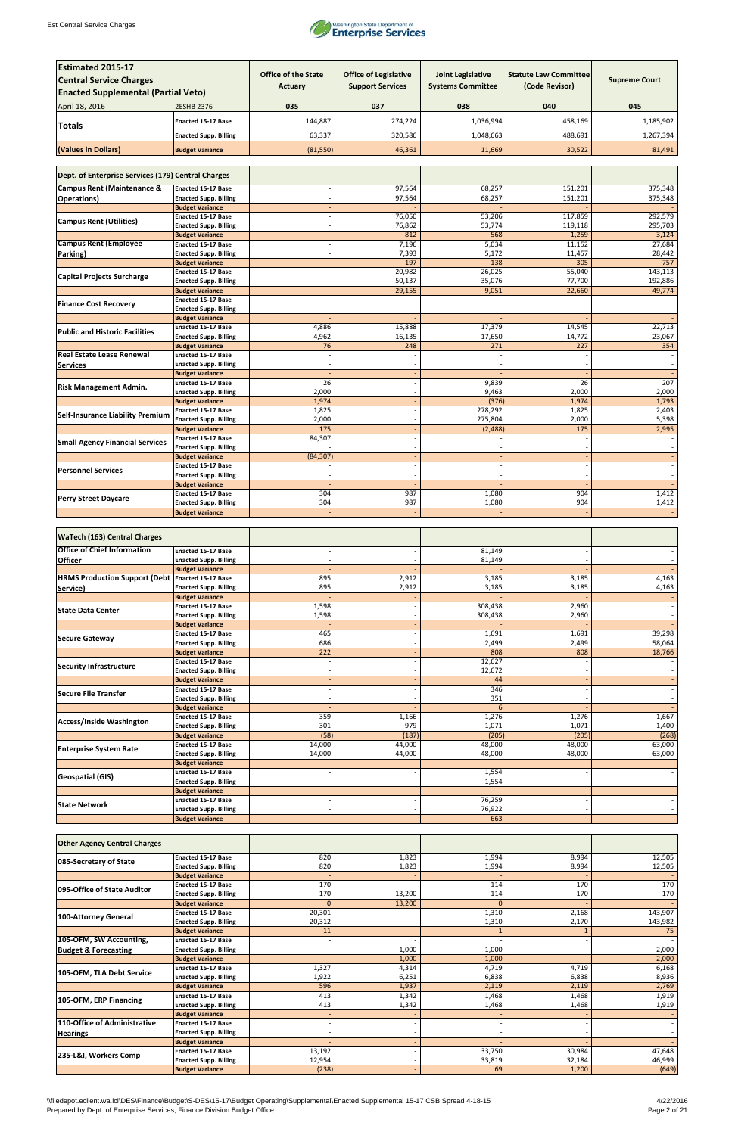

| <b>Estimated 2015-17</b><br><b>Central Service Charges</b><br><b>Enacted Supplemental (Partial Veto)</b> |                                                           | <b>Office of the State</b><br>Actuary | <b>Office of Legislative</b><br><b>Support Services</b> | <b>Joint Legislative</b><br><b>Systems Committee</b> | <b>Statute Law Committee</b><br>(Code Revisor) | <b>Supreme Court</b> |
|----------------------------------------------------------------------------------------------------------|-----------------------------------------------------------|---------------------------------------|---------------------------------------------------------|------------------------------------------------------|------------------------------------------------|----------------------|
| April 18, 2016                                                                                           | 2ESHB 2376                                                | 035                                   | 037                                                     | 038                                                  | 040                                            | 045                  |
|                                                                                                          | <b>Enacted 15-17 Base</b>                                 | 144,887                               | 274,224                                                 | 1,036,994                                            | 458,169                                        | 1,185,902            |
| <b>Totals</b>                                                                                            |                                                           | 63,337                                | 320,586                                                 | 1,048,663                                            | 488,691                                        | 1,267,394            |
|                                                                                                          | <b>Enacted Supp. Billing</b>                              |                                       |                                                         |                                                      |                                                |                      |
| (Values in Dollars)                                                                                      | <b>Budget Variance</b>                                    | (81,550)                              | 46,361                                                  | 11,669                                               | 30,522                                         | 81,491               |
|                                                                                                          |                                                           |                                       |                                                         |                                                      |                                                |                      |
| Dept. of Enterprise Services (179) Central Charges                                                       |                                                           |                                       |                                                         |                                                      |                                                |                      |
| <b>Campus Rent (Maintenance &amp;</b>                                                                    | <b>Enacted 15-17 Base</b>                                 |                                       | 97,564                                                  | 68,257                                               | 151,201                                        | 375,348              |
| <b>Operations</b> )                                                                                      | <b>Enacted Supp. Billing</b><br><b>Budget Variance</b>    |                                       | 97,564                                                  | 68,257                                               | 151,201                                        | 375,348              |
|                                                                                                          | <b>Enacted 15-17 Base</b>                                 |                                       | 76,050                                                  | 53,206                                               | 117,859                                        | 292,579              |
| <b>Campus Rent (Utilities)</b>                                                                           | <b>Enacted Supp. Billing</b>                              |                                       | 76,862                                                  | 53,774                                               | 119,118                                        | 295,703              |
| <b>Campus Rent (Employee</b>                                                                             | <b>Budget Variance</b>                                    |                                       | 812                                                     | 568                                                  | 1,259                                          | 3,124                |
| Parking)                                                                                                 | <b>Enacted 15-17 Base</b><br><b>Enacted Supp. Billing</b> |                                       | 7,196<br>7,393                                          | 5,034<br>5,172                                       | 11,152<br>11,457                               | 27,684<br>28,442     |
|                                                                                                          | <b>Budget Variance</b>                                    |                                       | 197                                                     | 138                                                  | 305                                            | 757                  |
| <b>Capital Projects Surcharge</b>                                                                        | <b>Enacted 15-17 Base</b>                                 |                                       | 20,982                                                  | 26,025                                               | 55,040                                         | 143,113              |
|                                                                                                          | <b>Enacted Supp. Billing</b>                              |                                       | 50,137                                                  | 35,076                                               | 77,700                                         | 192,886              |
|                                                                                                          | <b>Budget Variance</b><br><b>Enacted 15-17 Base</b>       |                                       | 29,155                                                  | 9,051                                                | 22,660                                         | 49,774               |
| <b>Finance Cost Recovery</b>                                                                             | <b>Enacted Supp. Billing</b>                              |                                       |                                                         |                                                      |                                                |                      |
|                                                                                                          | <b>Budget Variance</b>                                    |                                       |                                                         |                                                      |                                                |                      |
| <b>Public and Historic Facilities</b>                                                                    | <b>Enacted 15-17 Base</b><br><b>Enacted Supp. Billing</b> | 4,886<br>4,962                        | 15,888<br>16,135                                        | 17,379<br>17,650                                     | 14,545<br>14,772                               | 22,713<br>23,067     |
|                                                                                                          | <b>Budget Variance</b>                                    | 76                                    | 248                                                     | 271                                                  | 227                                            | 354                  |
| <b>Real Estate Lease Renewal</b>                                                                         | <b>Enacted 15-17 Base</b>                                 |                                       |                                                         |                                                      |                                                |                      |
| <b>Services</b>                                                                                          | <b>Enacted Supp. Billing</b>                              |                                       |                                                         |                                                      |                                                |                      |
|                                                                                                          | <b>Budget Variance</b><br><b>Enacted 15-17 Base</b>       | 26                                    |                                                         | 9,839                                                | 26                                             | $\overline{207}$     |
| <b>Risk Management Admin.</b>                                                                            | <b>Enacted Supp. Billing</b>                              | 2,000                                 |                                                         | 9,463                                                | 2,000                                          | 2,000                |
|                                                                                                          | <b>Budget Variance</b>                                    | 1,974                                 |                                                         | (376)                                                | 1,974                                          | 1,793                |
| <b>Self-Insurance Liability Premium</b>                                                                  | <b>Enacted 15-17 Base</b>                                 | 1,825                                 |                                                         | 278,292                                              | 1,825                                          | 2,403                |
|                                                                                                          | <b>Enacted Supp. Billing</b><br><b>Budget Variance</b>    | 2,000<br>175                          |                                                         | 275,804<br>(2, 488)                                  | 2,000<br>175                                   | 5,398<br>2,995       |
|                                                                                                          | <b>Enacted 15-17 Base</b>                                 | 84,307                                |                                                         |                                                      |                                                |                      |
| <b>Small Agency Financial Services</b>                                                                   | <b>Enacted Supp. Billing</b>                              |                                       |                                                         |                                                      |                                                |                      |
|                                                                                                          | <b>Budget Variance</b><br><b>Enacted 15-17 Base</b>       | (84, 307)                             |                                                         |                                                      |                                                |                      |
| <b>Personnel Services</b>                                                                                | <b>Enacted Supp. Billing</b>                              |                                       |                                                         |                                                      |                                                |                      |
|                                                                                                          | <b>Budget Variance</b>                                    |                                       |                                                         |                                                      |                                                |                      |
| <b>Perry Street Daycare</b>                                                                              | <b>Enacted 15-17 Base</b>                                 | 304                                   | 987                                                     | 1,080                                                | 904                                            | 1,412                |
|                                                                                                          | <b>Enacted Supp. Billing</b><br><b>Budget Variance</b>    | 304                                   | 987                                                     | 1,080                                                | 904                                            | 1,412                |
|                                                                                                          |                                                           |                                       |                                                         |                                                      |                                                |                      |
| <b>WaTech (163) Central Charges</b>                                                                      |                                                           |                                       |                                                         |                                                      |                                                |                      |
| <b>Office of Chief Information</b>                                                                       | <b>Enacted 15-17 Base</b><br><b>Enacted Supp. Billing</b> |                                       |                                                         | 81,149<br>81,149                                     |                                                |                      |
| <b>Officer</b>                                                                                           | <b>Budget Variance</b>                                    |                                       |                                                         |                                                      |                                                |                      |
| <b>HRMS Production Support (Debt)</b>                                                                    | Enacted 15-17 Base                                        | 895                                   | 2,912                                                   | 3,185                                                | 3,185                                          | 4,163                |
| Service)                                                                                                 | <b>Enacted Supp. Billing</b>                              | 895                                   | 2,912                                                   | 3,185                                                | 3,185                                          | 4,163                |
|                                                                                                          | <b>Budget Variance</b><br><b>Enacted 15-17 Base</b>       | 1,598                                 |                                                         | 308,438                                              | 2,960                                          |                      |
| <b>State Data Center</b>                                                                                 | <b>Enacted Supp. Billing</b>                              | 1,598                                 |                                                         | 308,438                                              | 2,960                                          | $\sim$               |
|                                                                                                          | <b>Budget Variance</b>                                    |                                       |                                                         |                                                      |                                                |                      |
| <b>Secure Gateway</b>                                                                                    | Enacted 15-17 Base<br><b>Enacted Supp. Billing</b>        | 465<br>686                            |                                                         | 1,691<br>2,499                                       | 1,691<br>2,499                                 | 39,298<br>58,064     |
|                                                                                                          | <b>Budget Variance</b>                                    | 222                                   |                                                         | 808                                                  | 808                                            | 18,766               |
| <b>Security Infrastructure</b>                                                                           | <b>Enacted 15-17 Base</b>                                 |                                       |                                                         | 12,627                                               |                                                |                      |
|                                                                                                          | <b>Enacted Supp. Billing</b>                              |                                       |                                                         | 12,672                                               |                                                |                      |
|                                                                                                          | <b>Budget Variance</b><br><b>Enacted 15-17 Base</b>       |                                       |                                                         | 44<br>346                                            |                                                |                      |
| <b>Secure File Transfer</b>                                                                              | <b>Enacted Supp. Billing</b>                              |                                       |                                                         | 351                                                  |                                                |                      |
|                                                                                                          | <b>Budget Variance</b>                                    |                                       |                                                         | 6                                                    |                                                |                      |
| <b>Access/Inside Washington</b>                                                                          | <b>Enacted 15-17 Base</b><br><b>Enacted Supp. Billing</b> | 359<br>301                            | 1,166<br>979                                            | 1,276<br>1,071                                       | 1,276<br>1,071                                 | 1,667<br>1,400       |
|                                                                                                          | <b>Budget Variance</b>                                    | (58)                                  | (187)                                                   | (205)                                                | (205)                                          | (268)                |
| <b>Enterprise System Rate</b>                                                                            | <b>Enacted 15-17 Base</b>                                 | 14,000                                | 44,000                                                  | 48,000                                               | 48,000                                         | 63,000               |
|                                                                                                          | <b>Enacted Supp. Billing</b>                              | 14,000                                | 44,000                                                  | 48,000                                               | 48,000                                         | 63,000               |
|                                                                                                          | <b>Budget Variance</b><br><b>Enacted 15-17 Base</b>       |                                       |                                                         | 1,554                                                |                                                |                      |
| <b>Geospatial (GIS)</b>                                                                                  | <b>Enacted Supp. Billing</b>                              |                                       |                                                         | 1,554                                                |                                                |                      |
|                                                                                                          | <b>Budget Variance</b>                                    |                                       |                                                         |                                                      |                                                |                      |
| <b>State Network</b>                                                                                     | <b>Enacted 15-17 Base</b><br><b>Enacted Supp. Billing</b> |                                       |                                                         | 76,259<br>76,922                                     |                                                |                      |
|                                                                                                          | <b>Budget Variance</b>                                    |                                       |                                                         | 663                                                  |                                                |                      |

| <b>Other Agency Central Charges</b> |                              |          |        |          |        |         |
|-------------------------------------|------------------------------|----------|--------|----------|--------|---------|
| 085-Secretary of State              | <b>Enacted 15-17 Base</b>    | 820      | 1,823  | 1,994    | 8,994  | 12,505  |
|                                     | <b>Enacted Supp. Billing</b> | 820      | 1,823  | 1,994    | 8,994  | 12,505  |
|                                     | <b>Budget Variance</b>       |          |        |          |        |         |
| 095-Office of State Auditor         | <b>Enacted 15-17 Base</b>    | 170      |        | 114      | 170    | 170     |
|                                     | <b>Enacted Supp. Billing</b> | 170      | 13,200 | 114      | 170    | 170     |
|                                     | <b>Budget Variance</b>       | $\Omega$ | 13,200 | $\Omega$ |        |         |
| 100-Attorney General                | <b>Enacted 15-17 Base</b>    | 20,301   |        | 1,310    | 2,168  | 143,907 |
|                                     | <b>Enacted Supp. Billing</b> | 20,312   |        | 1,310    | 2,170  | 143,982 |
|                                     | <b>Budget Variance</b>       | 11       |        |          |        | 75      |
| 105-OFM, SW Accounting,             | <b>Enacted 15-17 Base</b>    |          |        |          |        |         |
| <b>Budget &amp; Forecasting</b>     | <b>Enacted Supp. Billing</b> |          | 1,000  | 1,000    |        | 2,000   |
|                                     | <b>Budget Variance</b>       |          | 1,000  | 1,000    |        | 2,000   |
| 105-OFM, TLA Debt Service           | <b>Enacted 15-17 Base</b>    | 1,327    | 4,314  | 4,719    | 4,719  | 6,168   |
|                                     | <b>Enacted Supp. Billing</b> | 1,922    | 6,251  | 6,838    | 6,838  | 8,936   |
|                                     | <b>Budget Variance</b>       | 596      | 1,937  | 2,119    | 2,119  | 2,769   |
| 105-OFM, ERP Financing              | <b>Enacted 15-17 Base</b>    | 413      | 1,342  | 1,468    | 1,468  | 1,919   |
|                                     | <b>Enacted Supp. Billing</b> | 413      | 1,342  | 1,468    | 1,468  | 1,919   |
|                                     | <b>Budget Variance</b>       |          |        |          |        |         |
| 110-Office of Administrative        | <b>Enacted 15-17 Base</b>    |          |        |          |        |         |
| <b>Hearings</b>                     | <b>Enacted Supp. Billing</b> |          |        |          |        |         |
|                                     | <b>Budget Variance</b>       |          |        |          |        |         |
| 235-L&I, Workers Comp               | <b>Enacted 15-17 Base</b>    | 13,192   |        | 33,750   | 30,984 | 47,648  |
|                                     | <b>Enacted Supp. Billing</b> | 12,954   |        | 33,819   | 32,184 | 46,999  |
|                                     | <b>Budget Variance</b>       | (238)    |        | 69       | 1,200  | (649)   |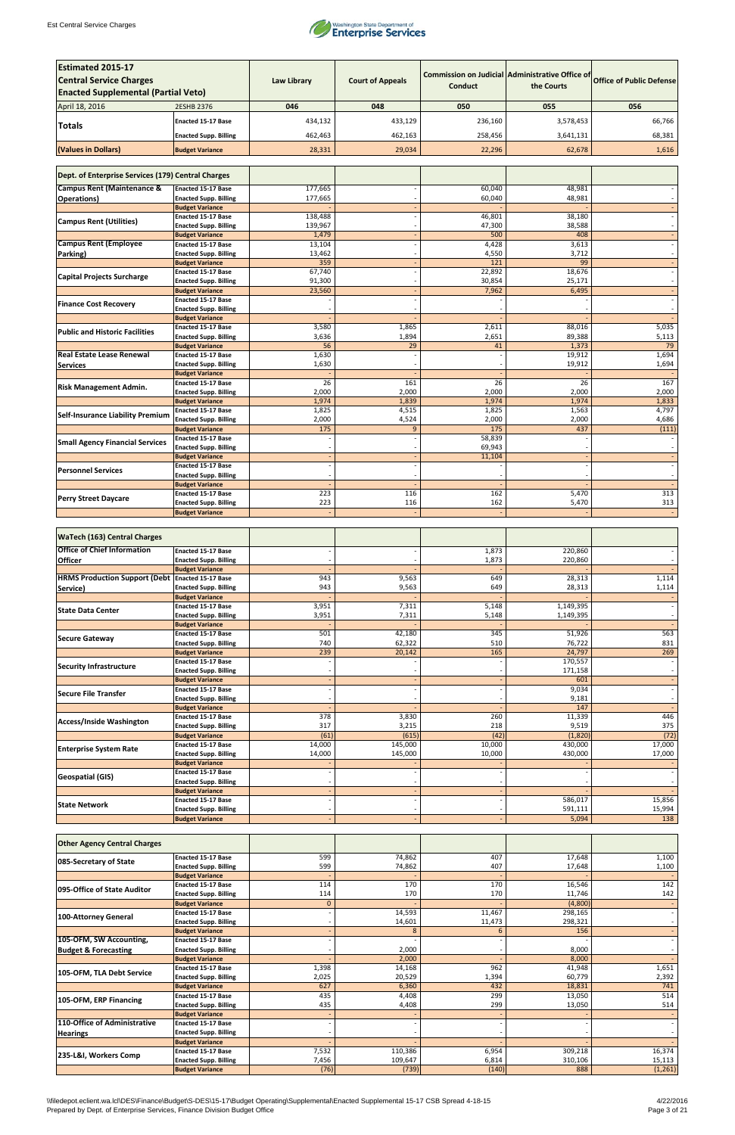

| <b>Estimated 2015-17</b>                                |                                                           |                    |                         |                          |                                                               |                                    |
|---------------------------------------------------------|-----------------------------------------------------------|--------------------|-------------------------|--------------------------|---------------------------------------------------------------|------------------------------------|
| <b>Central Service Charges</b>                          |                                                           | <b>Law Library</b> | <b>Court of Appeals</b> | <b>Conduct</b>           | Commission on Judicial Administrative Office of<br>the Courts | <b>Office of Public Defense</b>    |
| <b>Enacted Supplemental (Partial Veto)</b>              |                                                           |                    |                         |                          |                                                               |                                    |
| April 18, 2016                                          | 2ESHB 2376                                                | 046                | 048                     | 050                      | 055                                                           | 056                                |
| Totals                                                  | <b>Enacted 15-17 Base</b>                                 | 434,132            | 433,129                 | 236,160                  | 3,578,453                                                     | 66,766                             |
|                                                         | <b>Enacted Supp. Billing</b>                              | 462,463            | 462,163                 | 258,456                  | 3,641,131                                                     | 68,381                             |
| (Values in Dollars)                                     | <b>Budget Variance</b>                                    | 28,331             | 29,034                  | 22,296                   | 62,678                                                        | 1,616                              |
|                                                         |                                                           |                    |                         |                          |                                                               |                                    |
| Dept. of Enterprise Services (179) Central Charges      |                                                           |                    |                         |                          |                                                               |                                    |
| <b>Campus Rent (Maintenance &amp;</b>                   | <b>Enacted 15-17 Base</b>                                 | 177,665            |                         | 60,040                   | 48,981                                                        |                                    |
| <b>Operations</b> )                                     | <b>Enacted Supp. Billing</b><br><b>Budget Variance</b>    | 177,665            |                         | 60,040                   | 48,981                                                        |                                    |
| <b>Campus Rent (Utilities)</b>                          | <b>Enacted 15-17 Base</b>                                 | 138,488            |                         | 46,801                   | 38,180                                                        |                                    |
|                                                         | <b>Enacted Supp. Billing</b><br><b>Budget Variance</b>    | 139,967<br>1,479   |                         | 47,300<br>500            | 38,588<br>408                                                 |                                    |
| <b>Campus Rent (Employee</b>                            | <b>Enacted 15-17 Base</b>                                 | 13,104             |                         | 4,428                    | 3,613                                                         |                                    |
| Parking)                                                | <b>Enacted Supp. Billing</b>                              | 13,462             |                         | 4,550                    | 3,712                                                         |                                    |
|                                                         | <b>Budget Variance</b><br><b>Enacted 15-17 Base</b>       | 359<br>67,740      |                         | 121<br>22,892            | 99<br>18,676                                                  |                                    |
| <b>Capital Projects Surcharge</b>                       | <b>Enacted Supp. Billing</b>                              | 91,300             |                         | 30,854                   | 25,171                                                        |                                    |
|                                                         | <b>Budget Variance</b>                                    | 23,560             |                         | 7,962                    | 6,495                                                         |                                    |
| <b>Finance Cost Recovery</b>                            | <b>Enacted 15-17 Base</b>                                 |                    |                         |                          |                                                               |                                    |
|                                                         | <b>Enacted Supp. Billing</b><br><b>Budget Variance</b>    |                    |                         |                          |                                                               |                                    |
| <b>Public and Historic Facilities</b>                   | <b>Enacted 15-17 Base</b>                                 | 3,580              | 1,865                   | 2,611                    | 88,016                                                        | 5,035                              |
|                                                         | <b>Enacted Supp. Billing</b>                              | 3,636              | 1,894                   | 2,651                    | 89,388                                                        | 5,113                              |
| <b>Real Estate Lease Renewal</b>                        | <b>Budget Variance</b><br><b>Enacted 15-17 Base</b>       | 56<br>1,630        | 29                      | 41                       | 1,373<br>19,912                                               | 79<br>1,694                        |
| <b>Services</b>                                         | <b>Enacted Supp. Billing</b>                              | 1,630              |                         |                          | 19,912                                                        | 1,694                              |
|                                                         | <b>Budget Variance</b>                                    |                    |                         |                          |                                                               |                                    |
| <b>Risk Management Admin.</b>                           | <b>Enacted 15-17 Base</b><br><b>Enacted Supp. Billing</b> | 26<br>2,000        | 161<br>2,000            | $\overline{26}$<br>2,000 | 26<br>2,000                                                   | 167<br>2,000                       |
|                                                         | <b>Budget Variance</b>                                    | 1,974              | 1,839                   | 1,974                    | 1,974                                                         | 1,833                              |
| <b>Self-Insurance Liability Premium</b>                 | <b>Enacted 15-17 Base</b>                                 | 1,825              | 4,515                   | 1,825                    | 1,563                                                         | 4,797                              |
|                                                         | <b>Enacted Supp. Billing</b>                              | 2,000              | 4,524                   | 2,000                    | 2,000                                                         | 4,686                              |
|                                                         | <b>Budget Variance</b><br><b>Enacted 15-17 Base</b>       | 175                | 9                       | 175<br>58,839            | 437                                                           | (111)                              |
| <b>Small Agency Financial Services</b>                  | <b>Enacted Supp. Billing</b>                              |                    |                         | 69,943                   |                                                               |                                    |
|                                                         | <b>Budget Variance</b>                                    |                    |                         | 11,104                   |                                                               |                                    |
| <b>Personnel Services</b>                               | <b>Enacted 15-17 Base</b><br><b>Enacted Supp. Billing</b> |                    |                         |                          |                                                               | $\overline{\phantom{a}}$           |
|                                                         | <b>Budget Variance</b>                                    |                    |                         |                          |                                                               |                                    |
| <b>Perry Street Daycare</b>                             | <b>Enacted 15-17 Base</b>                                 | 223                | 116                     | 162                      | 5,470                                                         | 313                                |
|                                                         | <b>Enacted Supp. Billing</b><br><b>Budget Variance</b>    | 223                | 116                     | 162                      | 5,470                                                         | 313                                |
|                                                         |                                                           |                    |                         |                          |                                                               |                                    |
| <b>WaTech (163) Central Charges</b>                     |                                                           |                    |                         |                          |                                                               |                                    |
| <b>Office of Chief Information</b>                      | <b>Enacted 15-17 Base</b>                                 |                    |                         | 1,873                    | 220,860                                                       |                                    |
| <b>Officer</b>                                          | <b>Enacted Supp. Billing</b>                              |                    |                         | 1,873                    | 220,860                                                       |                                    |
|                                                         | <b>Budget Variance</b>                                    |                    |                         |                          |                                                               |                                    |
| <b>HRMS Production Support (Debt Enacted 15-17 Base</b> | <b>Enacted Supp. Billing</b>                              | 943<br>943         | 9,563<br>9,563          | 649<br>649               | 28,313<br>28,313                                              | 1,114<br>1,114                     |
| Service)                                                | <b>Budget Variance</b>                                    |                    |                         |                          |                                                               |                                    |
| <b>State Data Center</b>                                | <b>Enacted 15-17 Base</b>                                 | 3,951              | 7,311                   | 5,148                    | 1,149,395                                                     |                                    |
|                                                         | <b>Enacted Supp. Billing</b>                              | 3,951              | 7,311                   | 5,148                    | 1,149,395                                                     | $\overline{\phantom{a}}$<br>$\sim$ |
|                                                         | <b>Budget Variance</b><br>Enacted 15-17 Base              | 501                | 42,180                  | 345                      | 51,926                                                        | 563                                |
| <b>Secure Gateway</b>                                   | <b>Enacted Supp. Billing</b>                              | 740                | 62,322                  | 510                      | 76,722                                                        | 831                                |
|                                                         | <b>Budget Variance</b>                                    | 239                | 20,142                  | 165                      | 24,797                                                        | 269                                |
| <b>Security Infrastructure</b>                          | <b>Enacted 15-17 Base</b><br><b>Enacted Supp. Billing</b> |                    |                         |                          | 170,557<br>171,158                                            | $\sim$                             |
|                                                         | <b>Budget Variance</b>                                    |                    |                         |                          | 601                                                           | $\overline{\phantom{a}}$           |
| Secure File Transfer                                    | Enacted 15-17 Base                                        |                    |                         |                          | 9,034                                                         | $\overline{\phantom{a}}$           |
|                                                         | <b>Enacted Supp. Billing</b><br><b>Budget Variance</b>    |                    |                         |                          | 9,181<br>147                                                  | $\overline{\phantom{a}}$           |
| Access/Inside Washington                                | <b>Enacted 15-17 Base</b>                                 | 378                | 3,830                   | 260                      | 11,339                                                        | 446                                |
|                                                         | <b>Enacted Supp. Billing</b>                              | 317                | 3,215                   | 218                      | 9,519                                                         | 375                                |
|                                                         | <b>Budget Variance</b><br><b>Enacted 15-17 Base</b>       | (61)<br>14,000     | (615)<br>145,000        | (42)<br>10,000           | (1,820)<br>430,000                                            | (72)<br>17,000                     |
| <b>Enterprise System Rate</b>                           | <b>Enacted Supp. Billing</b>                              | 14,000             | 145,000                 | 10,000                   | 430,000                                                       | 17,000                             |
|                                                         | <b>Budget Variance</b>                                    |                    |                         |                          |                                                               |                                    |
| <b>Geospatial (GIS)</b>                                 | <b>Enacted 15-17 Base</b>                                 |                    |                         |                          |                                                               |                                    |
|                                                         | <b>Enacted Supp. Billing</b><br><b>Budget Variance</b>    |                    |                         |                          |                                                               |                                    |
| <b>State Network</b>                                    | Enacted 15-17 Base                                        |                    |                         |                          | 586,017                                                       | 15,856                             |
|                                                         | <b>Enacted Supp. Billing</b>                              |                    |                         |                          | 591,111                                                       | 15,994                             |
|                                                         | <b>Budget Variance</b>                                    |                    |                         |                          | 5,094                                                         | 138                                |

| <b>Other Agency Central Charges</b> |                              |              |         |        |         |         |
|-------------------------------------|------------------------------|--------------|---------|--------|---------|---------|
| 085-Secretary of State              | <b>Enacted 15-17 Base</b>    | 599          | 74,862  | 407    | 17,648  | 1,100   |
|                                     | <b>Enacted Supp. Billing</b> | 599          | 74,862  | 407    | 17,648  | 1,100   |
|                                     | <b>Budget Variance</b>       |              |         |        |         |         |
| 095-Office of State Auditor         | <b>Enacted 15-17 Base</b>    | 114          | 170     | 170    | 16,546  | 142     |
|                                     | <b>Enacted Supp. Billing</b> | 114          | 170     | 170    | 11,746  | 142     |
|                                     | <b>Budget Variance</b>       | $\mathbf{0}$ |         |        | (4,800) |         |
| 100-Attorney General                | <b>Enacted 15-17 Base</b>    |              | 14,593  | 11,467 | 298,165 |         |
|                                     | <b>Enacted Supp. Billing</b> |              | 14,601  | 11,473 | 298,321 |         |
|                                     | <b>Budget Variance</b>       |              | 8       | 6      | 156     |         |
| 105-OFM, SW Accounting,             | <b>Enacted 15-17 Base</b>    |              |         |        |         |         |
| <b>Budget &amp; Forecasting</b>     | <b>Enacted Supp. Billing</b> |              | 2,000   |        | 8,000   |         |
|                                     | <b>Budget Variance</b>       |              | 2,000   |        | 8,000   |         |
| 105-OFM, TLA Debt Service           | <b>Enacted 15-17 Base</b>    | 1,398        | 14,168  | 962    | 41,948  | 1,651   |
|                                     | <b>Enacted Supp. Billing</b> | 2,025        | 20,529  | 1,394  | 60,779  | 2,392   |
|                                     | <b>Budget Variance</b>       | 627          | 6,360   | 432    | 18,831  | 741     |
| 105-OFM, ERP Financing              | <b>Enacted 15-17 Base</b>    | 435          | 4,408   | 299    | 13,050  | 514     |
|                                     | <b>Enacted Supp. Billing</b> | 435          | 4,408   | 299    | 13,050  | 514     |
|                                     | <b>Budget Variance</b>       |              |         |        |         |         |
| 110-Office of Administrative        | <b>Enacted 15-17 Base</b>    |              |         |        |         |         |
| <b>Hearings</b>                     | <b>Enacted Supp. Billing</b> |              |         |        |         |         |
|                                     | <b>Budget Variance</b>       |              |         |        |         |         |
| 235-L&I, Workers Comp               | <b>Enacted 15-17 Base</b>    | 7,532        | 110,386 | 6,954  | 309,218 | 16,374  |
|                                     | <b>Enacted Supp. Billing</b> | 7,456        | 109,647 | 6,814  | 310,106 | 15,113  |
|                                     | <b>Budget Variance</b>       | (76)         | (739)   | (140)  | 888     | (1,261) |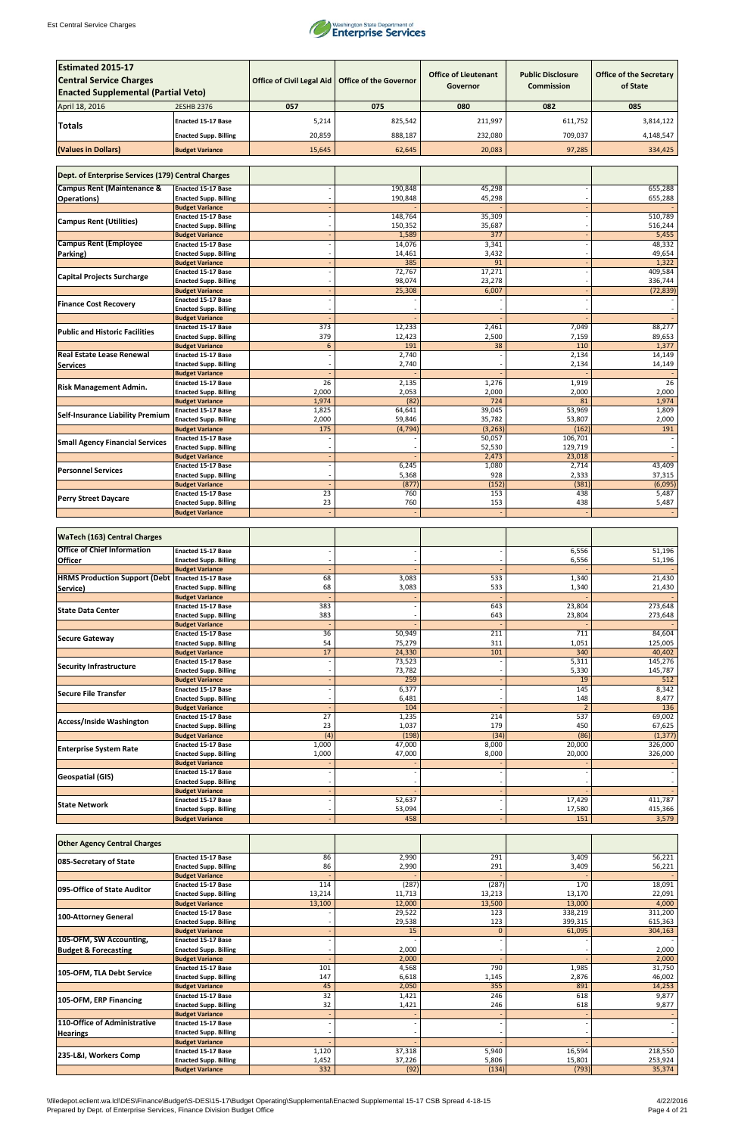

| <b>Estimated 2015-17</b><br><b>Central Service Charges</b><br><b>Enacted Supplemental (Partial Veto)</b> |                                                           | <b>Office of Civil Legal Aid</b> | <b>Office of the Governor</b> | <b>Office of Lieutenant</b><br>Governor | <b>Public Disclosure</b><br><b>Commission</b> | <b>Office of the Secretary</b><br>of State |
|----------------------------------------------------------------------------------------------------------|-----------------------------------------------------------|----------------------------------|-------------------------------|-----------------------------------------|-----------------------------------------------|--------------------------------------------|
| April 18, 2016                                                                                           | 2ESHB 2376                                                | 057                              | 075                           | 080                                     | 082                                           | 085                                        |
|                                                                                                          | <b>Enacted 15-17 Base</b>                                 | 5,214                            | 825,542                       | 211,997                                 | 611,752                                       | 3,814,122                                  |
| <b>Totals</b>                                                                                            | <b>Enacted Supp. Billing</b>                              | 20,859                           | 888,187                       | 232,080                                 | 709,037                                       | 4,148,547                                  |
| (Values in Dollars)                                                                                      | <b>Budget Variance</b>                                    | 15,645                           | 62,645                        | 20,083                                  | 97,285                                        | 334,425                                    |
|                                                                                                          |                                                           |                                  |                               |                                         |                                               |                                            |
| Dept. of Enterprise Services (179) Central Charges                                                       |                                                           |                                  |                               |                                         |                                               |                                            |
| <b>Campus Rent (Maintenance &amp;</b><br><b>Operations)</b>                                              | <b>Enacted 15-17 Base</b><br><b>Enacted Supp. Billing</b> |                                  | 190,848<br>190,848            | 45,298<br>45,298                        |                                               | 655,288<br>655,288                         |
|                                                                                                          | <b>Budget Variance</b>                                    |                                  |                               |                                         |                                               |                                            |
| <b>Campus Rent (Utilities)</b>                                                                           | <b>Enacted 15-17 Base</b><br><b>Enacted Supp. Billing</b> |                                  | 148,764<br>150,352            | 35,309<br>35,687                        |                                               | 510,789<br>516,244                         |
|                                                                                                          | <b>Budget Variance</b>                                    |                                  | 1,589                         | $\overline{377}$                        |                                               | 5,455                                      |
| <b>Campus Rent (Employee</b>                                                                             | <b>Enacted 15-17 Base</b>                                 |                                  | 14,076                        | 3,341                                   |                                               | 48,332                                     |
| Parking)                                                                                                 | <b>Enacted Supp. Billing</b><br><b>Budget Variance</b>    |                                  | 14,461<br>385                 | 3,432<br>91                             |                                               | 49,654<br>1,322                            |
|                                                                                                          | <b>Enacted 15-17 Base</b>                                 |                                  | 72,767                        | 17,271                                  |                                               | 409,584                                    |
| <b>Capital Projects Surcharge</b>                                                                        | <b>Enacted Supp. Billing</b>                              |                                  | 98,074                        | 23,278                                  |                                               | 336,744                                    |
|                                                                                                          | <b>Budget Variance</b>                                    |                                  | 25,308                        | 6,007                                   |                                               | (72, 839)                                  |
| <b>Finance Cost Recovery</b>                                                                             | <b>Enacted 15-17 Base</b><br><b>Enacted Supp. Billing</b> |                                  |                               |                                         |                                               |                                            |
|                                                                                                          | <b>Budget Variance</b>                                    |                                  |                               |                                         |                                               |                                            |
| <b>Public and Historic Facilities</b>                                                                    | <b>Enacted 15-17 Base</b>                                 | $\overline{373}$                 | 12,233                        | 2,461                                   | 7,049                                         | 88,277                                     |
|                                                                                                          | <b>Enacted Supp. Billing</b><br><b>Budget Variance</b>    | 379<br>6                         | 12,423<br>191                 | 2,500<br>38                             | 7,159<br>110                                  | 89,653<br>1,377                            |
| <b>Real Estate Lease Renewal</b>                                                                         | <b>Enacted 15-17 Base</b>                                 |                                  | 2,740                         |                                         | 2,134                                         | 14,149                                     |
| <b>Services</b>                                                                                          | <b>Enacted Supp. Billing</b>                              |                                  | 2,740                         |                                         | 2,134                                         | 14,149                                     |
|                                                                                                          | <b>Budget Variance</b><br><b>Enacted 15-17 Base</b>       | 26                               | 2,135                         | 1,276                                   | 1,919                                         | 26                                         |
| <b>Risk Management Admin.</b>                                                                            | <b>Enacted Supp. Billing</b>                              | 2,000                            | 2,053                         | 2,000                                   | 2,000                                         | 2,000                                      |
|                                                                                                          | <b>Budget Variance</b>                                    | 1,974                            | (82)                          | 724                                     | 81                                            | 1,974                                      |
| <b>Self-Insurance Liability Premium</b>                                                                  | <b>Enacted 15-17 Base</b><br><b>Enacted Supp. Billing</b> | 1,825<br>2,000                   | 64,641                        | 39,045<br>35,782                        | 53,969<br>53,807                              | 1,809<br>2,000                             |
|                                                                                                          | <b>Budget Variance</b>                                    | 175                              | 59,846<br>(4, 794)            | (3, 263)                                | (162)                                         | 191                                        |
| <b>Small Agency Financial Services</b>                                                                   | <b>Enacted 15-17 Base</b>                                 |                                  |                               | 50,057                                  | 106,701                                       |                                            |
|                                                                                                          | <b>Enacted Supp. Billing</b>                              |                                  |                               | 52,530                                  | 129,719                                       |                                            |
|                                                                                                          | <b>Budget Variance</b><br><b>Enacted 15-17 Base</b>       |                                  | 6,245                         | 2,473<br>1,080                          | 23,018<br>2,714                               | 43,409                                     |
| <b>Personnel Services</b>                                                                                | <b>Enacted Supp. Billing</b>                              |                                  | 5,368                         | 928                                     | 2,333                                         | 37,315                                     |
|                                                                                                          | <b>Budget Variance</b>                                    |                                  | (877)                         | (152)                                   | (381)                                         | (6,095)                                    |
| <b>Perry Street Daycare</b>                                                                              | Enacted 15-17 Base<br><b>Enacted Supp. Billing</b>        | 23<br>23                         | 760<br>760                    | 153<br>153                              | 438<br>438                                    | 5,487<br>5,487                             |
|                                                                                                          | <b>Budget Variance</b>                                    |                                  |                               |                                         |                                               |                                            |
|                                                                                                          |                                                           |                                  |                               |                                         |                                               |                                            |
| <b>WaTech (163) Central Charges</b>                                                                      |                                                           |                                  |                               |                                         |                                               |                                            |
| <b>Office of Chief Information</b>                                                                       | <b>Enacted 15-17 Base</b>                                 |                                  |                               |                                         | 6,556                                         | 51,196                                     |
| <b>Officer</b>                                                                                           | <b>Enacted Supp. Billing</b><br><b>Budget Variance</b>    |                                  |                               |                                         | 6,556                                         | 51,196                                     |
| <b>HRMS Production Support (Debt Enacted 15-17 Base</b>                                                  |                                                           | 68                               | 3,083                         | 533                                     | 1,340                                         | 21,430                                     |
| Service)                                                                                                 | <b>Enacted Supp. Billing</b>                              | 68                               | 3,083                         | 533                                     | 1,340                                         | 21,430                                     |
|                                                                                                          | <b>Budget Variance</b><br><b>Enacted 15-17 Base</b>       | 383                              |                               | 643                                     | 23,804                                        | 273,648                                    |
| <b>State Data Center</b>                                                                                 | <b>Enacted Supp. Billing</b>                              | 383                              |                               | 643                                     | 23,804                                        | 273,648                                    |
|                                                                                                          | <b>Budget Variance</b>                                    |                                  |                               |                                         |                                               | 84,604                                     |
| Secure Gateway                                                                                           | <b>Enacted 15-17 Base</b><br><b>Enacted Supp. Billing</b> | $\overline{36}$<br>54            | 50,949<br>75,279              | 211<br>311                              | 711<br>1,051                                  | 125,005                                    |
|                                                                                                          | <b>Budget Variance</b>                                    | 17                               | 24,330                        | 101                                     | 340                                           | 40,402                                     |
| <b>Security Infrastructure</b>                                                                           | <b>Enacted 15-17 Base</b>                                 |                                  | 73,523                        |                                         | 5,311                                         | 145,276                                    |
|                                                                                                          | <b>Enacted Supp. Billing</b><br><b>Budget Variance</b>    |                                  | 73,782<br>259                 |                                         | 5,330<br>19                                   | 145,787<br>512                             |
|                                                                                                          | Enacted 15-17 Base                                        |                                  | 6,377                         |                                         | 145                                           | 8,342                                      |
| Secure File Transfer                                                                                     | <b>Enacted Supp. Billing</b>                              |                                  | 6,481                         |                                         | 148                                           | 8,477                                      |
|                                                                                                          | <b>Budget Variance</b><br><b>Enacted 15-17 Base</b>       | $\overline{27}$                  | 104<br>1,235                  | 214                                     | 537                                           | 136<br>69,002                              |
| Access/Inside Washington                                                                                 | <b>Enacted Supp. Billing</b>                              | 23                               | 1,037                         | 179                                     | 450                                           | 67,625                                     |
|                                                                                                          | <b>Budget Variance</b>                                    | (4)                              | (198)                         | (34)                                    | (86)                                          | (1, 377)                                   |
| <b>Enterprise System Rate</b>                                                                            | <b>Enacted 15-17 Base</b>                                 | 1,000                            | 47,000                        | 8,000                                   | 20,000                                        | 326,000                                    |
|                                                                                                          | <b>Enacted Supp. Billing</b><br><b>Budget Variance</b>    | 1,000                            | 47,000                        | 8,000                                   | 20,000                                        | 326,000                                    |
|                                                                                                          | <b>Enacted 15-17 Base</b>                                 |                                  |                               |                                         |                                               |                                            |
| <b>Geospatial (GIS)</b>                                                                                  | <b>Enacted Supp. Billing</b>                              |                                  |                               |                                         |                                               |                                            |
|                                                                                                          | <b>Budget Variance</b><br><b>Enacted 15-17 Base</b>       |                                  | 52,637                        |                                         | 17,429                                        | 411,787                                    |
| <b>State Network</b>                                                                                     | <b>Enacted Supp. Billing</b>                              |                                  | 53,094                        |                                         | 17,580                                        | 415,366                                    |
|                                                                                                          | <b>Budget Variance</b>                                    |                                  | 458                           |                                         | 151                                           | 3,579                                      |

| <b>Other Agency Central Charges</b> |                              |        |        |              |         |         |
|-------------------------------------|------------------------------|--------|--------|--------------|---------|---------|
| 085-Secretary of State              | <b>Enacted 15-17 Base</b>    | 86     | 2,990  | 291          | 3,409   | 56,221  |
|                                     | <b>Enacted Supp. Billing</b> | 86     | 2,990  | 291          | 3,409   | 56,221  |
|                                     | <b>Budget Variance</b>       |        |        |              |         |         |
| 095-Office of State Auditor         | <b>Enacted 15-17 Base</b>    | 114    | (287)  | (287)        | 170     | 18,091  |
|                                     | <b>Enacted Supp. Billing</b> | 13,214 | 11,713 | 13,213       | 13,170  | 22,091  |
|                                     | <b>Budget Variance</b>       | 13,100 | 12,000 | 13,500       | 13,000  | 4,000   |
| 100-Attorney General                | <b>Enacted 15-17 Base</b>    |        | 29,522 | 123          | 338,219 | 311,200 |
|                                     | <b>Enacted Supp. Billing</b> |        | 29,538 | 123          | 399,315 | 615,363 |
|                                     | <b>Budget Variance</b>       |        | 15     | $\mathbf{0}$ | 61,095  | 304,163 |
| 105-OFM, SW Accounting,             | <b>Enacted 15-17 Base</b>    |        |        |              |         |         |
| <b>Budget &amp; Forecasting</b>     | <b>Enacted Supp. Billing</b> |        | 2,000  |              |         | 2,000   |
|                                     | <b>Budget Variance</b>       |        | 2,000  |              |         | 2,000   |
| 105-OFM, TLA Debt Service           | <b>Enacted 15-17 Base</b>    | 101    | 4,568  | 790          | 1,985   | 31,750  |
|                                     | <b>Enacted Supp. Billing</b> | 147    | 6,618  | 1,145        | 2,876   | 46,002  |
|                                     | <b>Budget Variance</b>       | 45     | 2,050  | 355          | 891     | 14,253  |
| 105-OFM, ERP Financing              | <b>Enacted 15-17 Base</b>    | 32     | 1,421  | 246          | 618     | 9,877   |
|                                     | <b>Enacted Supp. Billing</b> | 32     | 1,421  | 246          | 618     | 9,877   |
|                                     | <b>Budget Variance</b>       |        |        |              |         |         |
| 110-Office of Administrative        | <b>Enacted 15-17 Base</b>    |        |        |              |         |         |
| <b>Hearings</b>                     | <b>Enacted Supp. Billing</b> |        |        |              |         |         |
|                                     | <b>Budget Variance</b>       |        |        |              |         |         |
| 235-L&I, Workers Comp               | <b>Enacted 15-17 Base</b>    | 1,120  | 37,318 | 5,940        | 16,594  | 218,550 |
|                                     | <b>Enacted Supp. Billing</b> | 1,452  | 37,226 | 5,806        | 15,801  | 253,924 |
|                                     | <b>Budget Variance</b>       | 332    | (92)   | (134)        | (793)   | 35,374  |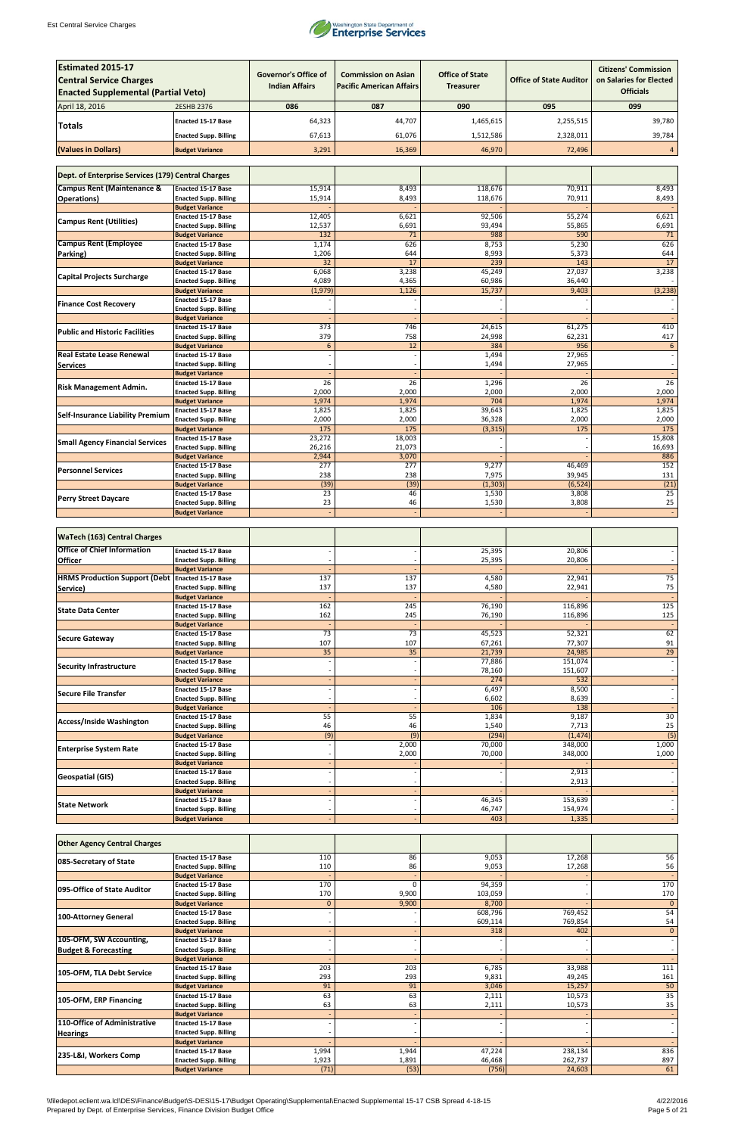

| <b>Estimated 2015-17</b><br><b>Central Service Charges</b><br><b>Enacted Supplemental (Partial Veto)</b> |                                                           | <b>Governor's Office of</b><br><b>Indian Affairs</b> | <b>Commission on Asian</b><br><b>Pacific American Affairs</b> | <b>Office of State</b><br><b>Treasurer</b> | <b>Office of State Auditor</b> | <b>Citizens' Commission</b><br>on Salaries for Elected<br><b>Officials</b> |
|----------------------------------------------------------------------------------------------------------|-----------------------------------------------------------|------------------------------------------------------|---------------------------------------------------------------|--------------------------------------------|--------------------------------|----------------------------------------------------------------------------|
| April 18, 2016                                                                                           | 2ESHB 2376                                                | 086                                                  | 087                                                           | 090                                        | 095                            | 099                                                                        |
|                                                                                                          | <b>Enacted 15-17 Base</b>                                 | 64,323                                               | 44,707                                                        | 1,465,615                                  | 2,255,515                      | 39,780                                                                     |
| <b>Totals</b>                                                                                            | <b>Enacted Supp. Billing</b>                              | 67,613                                               | 61,076                                                        | 1,512,586                                  | 2,328,011                      | 39,784                                                                     |
|                                                                                                          |                                                           |                                                      |                                                               |                                            |                                |                                                                            |
| (Values in Dollars)                                                                                      | <b>Budget Variance</b>                                    | 3,291                                                | 16,369                                                        | 46,970                                     | 72,496                         | 4                                                                          |
| Dept. of Enterprise Services (179) Central Charges                                                       |                                                           |                                                      |                                                               |                                            |                                |                                                                            |
|                                                                                                          |                                                           |                                                      |                                                               |                                            |                                |                                                                            |
| <b>Campus Rent (Maintenance &amp;</b><br><b>Operations</b> )                                             | <b>Enacted 15-17 Base</b><br><b>Enacted Supp. Billing</b> | 15,914<br>15,914                                     | 8,493<br>8,493                                                | 118,676<br>118,676                         | 70,911<br>70,911               | 8,493<br>8,493                                                             |
|                                                                                                          | <b>Budget Variance</b>                                    |                                                      |                                                               |                                            |                                |                                                                            |
| <b>Campus Rent (Utilities)</b>                                                                           | <b>Enacted 15-17 Base</b>                                 | 12,405                                               | 6,621                                                         | 92,506                                     | 55,274                         | 6,621                                                                      |
|                                                                                                          | <b>Enacted Supp. Billing</b>                              | 12,537                                               | 6,691                                                         | 93,494                                     | 55,865                         | 6,691                                                                      |
| <b>Campus Rent (Employee</b>                                                                             | <b>Budget Variance</b><br><b>Enacted 15-17 Base</b>       | 132<br>1,174                                         | 71<br>626                                                     | 988<br>8,753                               | 590<br>5,230                   | 71<br>626                                                                  |
| Parking)                                                                                                 | <b>Enacted Supp. Billing</b>                              | 1,206                                                | 644                                                           | 8,993                                      | 5,373                          | 644                                                                        |
|                                                                                                          | <b>Budget Variance</b>                                    | 32                                                   | 17                                                            | 239                                        | 143                            | 17                                                                         |
| <b>Capital Projects Surcharge</b>                                                                        | <b>Enacted 15-17 Base</b>                                 | 6,068                                                | 3,238                                                         | 45,249                                     | 27,037                         | 3,238                                                                      |
|                                                                                                          | <b>Enacted Supp. Billing</b><br><b>Budget Variance</b>    | 4,089<br>(1,979)                                     | 4,365<br>1,126                                                | 60,986<br>15,737                           | 36,440<br>9,403                | (3, 238)                                                                   |
|                                                                                                          | <b>Enacted 15-17 Base</b>                                 |                                                      |                                                               |                                            |                                |                                                                            |
| <b>Finance Cost Recovery</b>                                                                             | <b>Enacted Supp. Billing</b>                              |                                                      |                                                               |                                            |                                |                                                                            |
|                                                                                                          | <b>Budget Variance</b><br><b>Enacted 15-17 Base</b>       | $\overline{373}$                                     | 746                                                           | 24,615                                     | 61,275                         | 410                                                                        |
| <b>Public and Historic Facilities</b>                                                                    | <b>Enacted Supp. Billing</b>                              | 379                                                  | 758                                                           | 24,998                                     | 62,231                         | 417                                                                        |
|                                                                                                          | <b>Budget Variance</b>                                    | 6                                                    | 12                                                            | 384                                        | 956                            | $6\phantom{1}$                                                             |
| <b>Real Estate Lease Renewal</b>                                                                         | <b>Enacted 15-17 Base</b>                                 |                                                      |                                                               | 1,494                                      | 27,965                         |                                                                            |
| <b>Services</b>                                                                                          | <b>Enacted Supp. Billing</b><br><b>Budget Variance</b>    |                                                      |                                                               | 1,494                                      | 27,965                         |                                                                            |
|                                                                                                          | <b>Enacted 15-17 Base</b>                                 | 26                                                   | $\overline{26}$                                               | 1,296                                      | 26                             | $\overline{26}$                                                            |
| <b>Risk Management Admin.</b>                                                                            | <b>Enacted Supp. Billing</b>                              | 2,000                                                | 2,000                                                         | 2,000                                      | 2,000                          | 2,000                                                                      |
|                                                                                                          | <b>Budget Variance</b>                                    | 1,974                                                | 1,974                                                         | 704                                        | 1,974                          | 1,974                                                                      |
| Self-Insurance Liability Premium                                                                         | <b>Enacted 15-17 Base</b><br><b>Enacted Supp. Billing</b> | 1,825<br>2,000                                       | 1,825<br>2,000                                                | 39,643<br>36,328                           | 1,825<br>2,000                 | 1,825<br>2,000                                                             |
|                                                                                                          | <b>Budget Variance</b>                                    | 175                                                  | 175                                                           | (3, 315)                                   | 175                            | 175                                                                        |
| <b>Small Agency Financial Services</b>                                                                   | <b>Enacted 15-17 Base</b>                                 | 23,272                                               | 18,003                                                        |                                            |                                | 15,808                                                                     |
|                                                                                                          | <b>Enacted Supp. Billing</b><br><b>Budget Variance</b>    | 26,216<br>2,944                                      | 21,073<br>3,070                                               |                                            |                                | 16,693<br>886                                                              |
|                                                                                                          | <b>Enacted 15-17 Base</b>                                 | 277                                                  | 277                                                           | 9,277                                      | 46,469                         | 152                                                                        |
| <b>Personnel Services</b>                                                                                | <b>Enacted Supp. Billing</b>                              | 238                                                  | 238                                                           | 7,975                                      | 39,945                         | 131                                                                        |
|                                                                                                          | <b>Budget Variance</b>                                    | (39)                                                 | (39)                                                          | (1, 303)                                   | (6, 524)                       | (21)                                                                       |
| <b>Perry Street Daycare</b>                                                                              | <b>Enacted 15-17 Base</b><br><b>Enacted Supp. Billing</b> | 23<br>23                                             | 46<br>46                                                      | 1,530<br>1,530                             | 3,808<br>3,808                 | 25<br>25                                                                   |
|                                                                                                          | <b>Budget Variance</b>                                    |                                                      |                                                               |                                            |                                |                                                                            |
|                                                                                                          |                                                           |                                                      |                                                               |                                            |                                |                                                                            |
| <b>WaTech (163) Central Charges</b>                                                                      |                                                           |                                                      |                                                               |                                            |                                |                                                                            |
| <b>Office of Chief Information</b>                                                                       | <b>Enacted 15-17 Base</b>                                 |                                                      |                                                               | 25,395                                     | 20,806                         |                                                                            |
| <b>Officer</b>                                                                                           | <b>Enacted Supp. Billing</b>                              |                                                      |                                                               | 25,395                                     | 20,806                         |                                                                            |
| <b>HRMS Production Support (Debt Enacted 15-17 Base</b>                                                  | <b>Budget Variance</b>                                    | 137                                                  | 137                                                           | 4,580                                      | 22,941                         | 75                                                                         |
| Service)                                                                                                 | <b>Enacted Supp. Billing</b>                              | 137                                                  | 137                                                           | 4,580                                      | 22,941                         | $75\,$                                                                     |
|                                                                                                          | <b>Budget Variance</b>                                    |                                                      |                                                               |                                            |                                |                                                                            |
| <b>State Data Center</b>                                                                                 | <b>Enacted 15-17 Base</b>                                 | 162                                                  | 245                                                           | 76,190                                     | 116,896                        | 125                                                                        |
|                                                                                                          | <b>Enacted Supp. Billing</b><br><b>Budget Variance</b>    | 162                                                  | 245                                                           | 76,190                                     | 116,896                        | 125                                                                        |
| <b>Secure Gateway</b>                                                                                    | Enacted 15-17 Base                                        | $\overline{73}$                                      | $\overline{73}$                                               | 45,523                                     | 52,321                         | 62                                                                         |
|                                                                                                          | <b>Enacted Supp. Billing</b>                              | 107                                                  | 107                                                           | 67,261                                     | 77,307                         | 91                                                                         |
|                                                                                                          | <b>Budget Variance</b><br><b>Enacted 15-17 Base</b>       | $\overline{35}$                                      | 35                                                            | 21,739<br>77,886                           | 24,985<br>151,074              | 29                                                                         |
| <b>Security Infrastructure</b>                                                                           | <b>Enacted Supp. Billing</b>                              |                                                      |                                                               | 78,160                                     | 151,607                        | $\overline{\phantom{a}}$                                                   |
|                                                                                                          | <b>Budget Variance</b>                                    |                                                      |                                                               | 274                                        | 532                            |                                                                            |
| Secure File Transfer                                                                                     | <b>Enacted 15-17 Base</b>                                 |                                                      |                                                               | 6,497                                      | 8,500                          |                                                                            |
|                                                                                                          | <b>Enacted Supp. Billing</b><br><b>Budget Variance</b>    |                                                      |                                                               | 6,602<br>106                               | 8,639<br>138                   |                                                                            |
| <b>Access/Inside Washington</b>                                                                          | <b>Enacted 15-17 Base</b>                                 | $\overline{55}$                                      | $\overline{55}$                                               | 1,834                                      | 9,187                          | 30                                                                         |
|                                                                                                          | <b>Enacted Supp. Billing</b>                              | 46                                                   | 46                                                            | 1,540                                      | 7,713                          | 25                                                                         |
|                                                                                                          | <b>Budget Variance</b><br>Enacted 15-17 Base              | (9)                                                  | (9)<br>2,000                                                  | (294)<br>70,000                            | (1, 474)<br>348,000            | $\overline{(5)}$<br>1,000                                                  |
| <b>Enterprise System Rate</b>                                                                            | <b>Enacted Supp. Billing</b>                              |                                                      | 2,000                                                         | 70,000                                     | 348,000                        | 1,000                                                                      |
|                                                                                                          | <b>Budget Variance</b>                                    |                                                      |                                                               |                                            |                                |                                                                            |
| <b>Geospatial (GIS)</b>                                                                                  | <b>Enacted 15-17 Base</b>                                 |                                                      |                                                               |                                            | 2,913                          |                                                                            |
|                                                                                                          | <b>Enacted Supp. Billing</b><br><b>Budget Variance</b>    |                                                      |                                                               |                                            | 2,913                          |                                                                            |
|                                                                                                          | Enacted 15-17 Base                                        |                                                      |                                                               | 46,345                                     | 153,639                        |                                                                            |
| <b>State Network</b>                                                                                     | <b>Enacted Supp. Billing</b>                              |                                                      |                                                               | 46,747                                     | 154,974                        |                                                                            |
|                                                                                                          | <b>Budget Variance</b>                                    |                                                      |                                                               | 403                                        | 1,335                          |                                                                            |

| <b>Other Agency Central Charges</b> |                              |          |       |         |         |              |
|-------------------------------------|------------------------------|----------|-------|---------|---------|--------------|
| 085-Secretary of State              | <b>Enacted 15-17 Base</b>    | 110      | 86    | 9,053   | 17,268  | 56           |
|                                     | <b>Enacted Supp. Billing</b> | 110      | 86    | 9,053   | 17,268  | 56           |
|                                     | <b>Budget Variance</b>       |          |       |         |         |              |
| 095-Office of State Auditor         | <b>Enacted 15-17 Base</b>    | 170      |       | 94,359  |         | 170          |
|                                     | <b>Enacted Supp. Billing</b> | 170      | 9,900 | 103,059 |         | 170          |
|                                     | <b>Budget Variance</b>       | $\Omega$ | 9,900 | 8,700   |         | $\mathbf{0}$ |
| 100-Attorney General                | <b>Enacted 15-17 Base</b>    |          |       | 608,796 | 769,452 | 54           |
|                                     | <b>Enacted Supp. Billing</b> |          |       | 609,114 | 769,854 | 54           |
|                                     | <b>Budget Variance</b>       |          |       | 318     | 402     | $\mathbf{0}$ |
| 105-OFM, SW Accounting,             | <b>Enacted 15-17 Base</b>    |          |       |         |         |              |
| <b>Budget &amp; Forecasting</b>     | <b>Enacted Supp. Billing</b> |          |       |         |         |              |
|                                     | <b>Budget Variance</b>       |          |       |         |         |              |
| 105-OFM, TLA Debt Service           | <b>Enacted 15-17 Base</b>    | 203      | 203   | 6,785   | 33,988  | 111          |
|                                     | <b>Enacted Supp. Billing</b> | 293      | 293   | 9,831   | 49,245  | 161          |
|                                     | <b>Budget Variance</b>       | 91       | 91    | 3,046   | 15,257  | 50           |
| 105-OFM, ERP Financing              | <b>Enacted 15-17 Base</b>    | 63       | 63    | 2,111   | 10,573  | 35           |
|                                     | <b>Enacted Supp. Billing</b> | 63       | 63    | 2,111   | 10,573  | 35           |
|                                     | <b>Budget Variance</b>       |          |       |         |         |              |
| 110-Office of Administrative        | <b>Enacted 15-17 Base</b>    |          |       |         |         |              |
| <b>Hearings</b>                     | <b>Enacted Supp. Billing</b> |          |       |         |         |              |
|                                     | <b>Budget Variance</b>       |          |       |         |         |              |
| 235-L&I, Workers Comp               | <b>Enacted 15-17 Base</b>    | 1,994    | 1,944 | 47,224  | 238,134 | 836          |
|                                     | <b>Enacted Supp. Billing</b> | 1,923    | 1,891 | 46,468  | 262,737 | 897          |
|                                     | <b>Budget Variance</b>       | (71)     | (53)  | (756)   | 24,603  | 61           |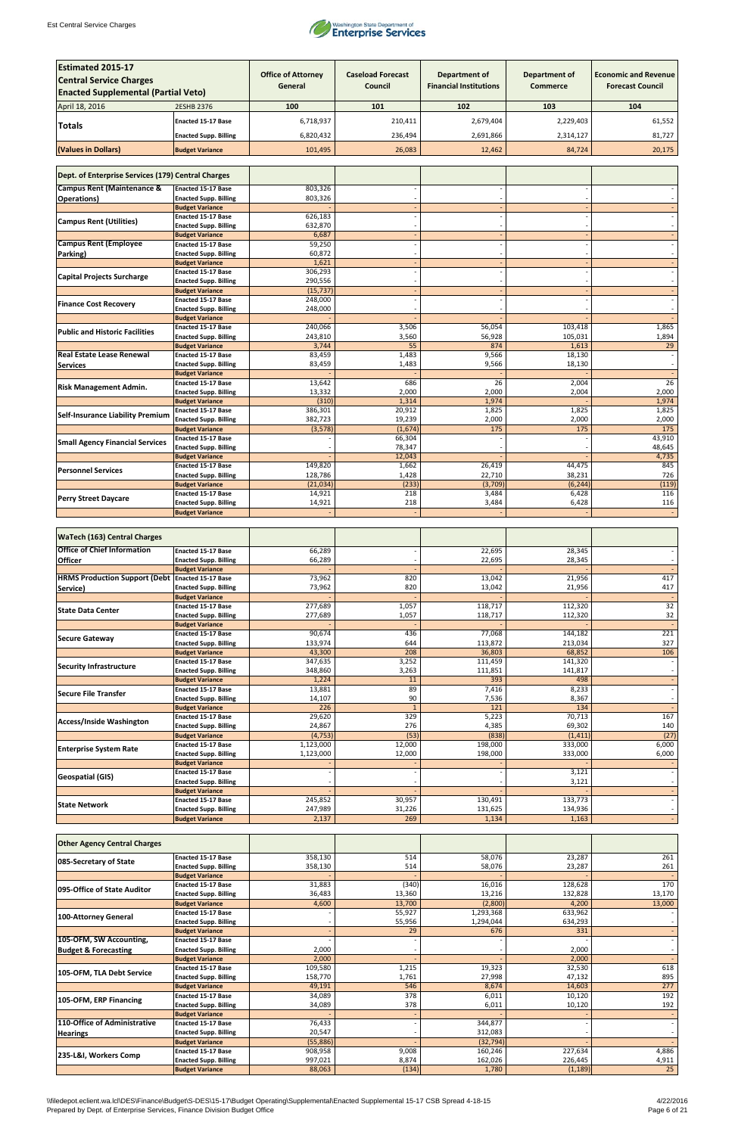

| <b>Estimated 2015-17</b><br><b>Central Service Charges</b><br><b>Enacted Supplemental (Partial Veto)</b> |                                                           | <b>Office of Attorney</b><br>General | <b>Caseload Forecast</b><br>Council | <b>Department of</b><br><b>Financial Institutions</b> | <b>Department of</b><br><b>Commerce</b> | <b>Economic and Revenue</b><br><b>Forecast Council</b> |
|----------------------------------------------------------------------------------------------------------|-----------------------------------------------------------|--------------------------------------|-------------------------------------|-------------------------------------------------------|-----------------------------------------|--------------------------------------------------------|
|                                                                                                          |                                                           | 100                                  | 101                                 | 102                                                   | 103                                     | 104                                                    |
| April 18, 2016                                                                                           | <b>2ESHB 2376</b>                                         |                                      |                                     |                                                       |                                         |                                                        |
| <b>Totals</b>                                                                                            | <b>Enacted 15-17 Base</b>                                 | 6,718,937                            | 210,411                             | 2,679,404                                             | 2,229,403                               | 61,552                                                 |
|                                                                                                          | <b>Enacted Supp. Billing</b>                              | 6,820,432                            | 236,494                             | 2,691,866                                             | 2,314,127                               | 81,727                                                 |
| (Values in Dollars)                                                                                      | <b>Budget Variance</b>                                    | 101,495                              | 26,083                              | 12,462                                                | 84,724                                  | 20,175                                                 |
| Dept. of Enterprise Services (179) Central Charges                                                       |                                                           |                                      |                                     |                                                       |                                         |                                                        |
| <b>Campus Rent (Maintenance &amp;</b>                                                                    | <b>Enacted 15-17 Base</b>                                 | 803,326                              |                                     |                                                       |                                         |                                                        |
| <b>Operations</b> )                                                                                      | <b>Enacted Supp. Billing</b><br><b>Budget Variance</b>    | 803,326                              |                                     |                                                       |                                         |                                                        |
|                                                                                                          | <b>Enacted 15-17 Base</b>                                 | 626,183                              |                                     |                                                       |                                         |                                                        |
| <b>Campus Rent (Utilities)</b>                                                                           | <b>Enacted Supp. Billing</b>                              | 632,870                              |                                     |                                                       |                                         |                                                        |
|                                                                                                          | <b>Budget Variance</b>                                    | 6,687                                |                                     |                                                       |                                         |                                                        |
| <b>Campus Rent (Employee</b>                                                                             | <b>Enacted 15-17 Base</b><br><b>Enacted Supp. Billing</b> | 59,250<br>60,872                     |                                     |                                                       |                                         |                                                        |
| Parking)                                                                                                 | <b>Budget Variance</b>                                    | 1,621                                |                                     |                                                       |                                         |                                                        |
|                                                                                                          | <b>Enacted 15-17 Base</b>                                 | 306,293                              |                                     |                                                       |                                         |                                                        |
| <b>Capital Projects Surcharge</b>                                                                        | <b>Enacted Supp. Billing</b>                              | 290,556                              |                                     |                                                       |                                         |                                                        |
|                                                                                                          | <b>Budget Variance</b>                                    | (15, 737)                            |                                     |                                                       |                                         |                                                        |
| <b>Finance Cost Recovery</b>                                                                             | <b>Enacted 15-17 Base</b><br><b>Enacted Supp. Billing</b> | 248,000<br>248,000                   |                                     |                                                       |                                         |                                                        |
|                                                                                                          | <b>Budget Variance</b>                                    |                                      |                                     |                                                       |                                         |                                                        |
| <b>Public and Historic Facilities</b>                                                                    | <b>Enacted 15-17 Base</b>                                 | 240,066                              | 3,506                               | 56,054                                                | 103,418                                 | 1,865                                                  |
|                                                                                                          | <b>Enacted Supp. Billing</b>                              | 243,810                              | 3,560                               | 56,928                                                | 105,031                                 | 1,894                                                  |
| <b>Real Estate Lease Renewal</b>                                                                         | <b>Budget Variance</b><br><b>Enacted 15-17 Base</b>       | 3,744<br>83,459                      | 55<br>1,483                         | 874<br>9,566                                          | 1,613<br>18,130                         | 29                                                     |
| <b>Services</b>                                                                                          | <b>Enacted Supp. Billing</b>                              | 83,459                               | 1,483                               | 9,566                                                 | 18,130                                  |                                                        |
|                                                                                                          | <b>Budget Variance</b>                                    |                                      |                                     |                                                       |                                         |                                                        |
| <b>Risk Management Admin.</b>                                                                            | <b>Enacted 15-17 Base</b>                                 | 13,642                               | 686                                 | 26                                                    | 2,004                                   | $\overline{26}$                                        |
|                                                                                                          | <b>Enacted Supp. Billing</b>                              | 13,332                               | 2,000                               | 2,000                                                 | 2,004                                   | 2,000                                                  |
|                                                                                                          | <b>Budget Variance</b><br><b>Enacted 15-17 Base</b>       | (310)<br>386,301                     | 1,314<br>20,912                     | 1,974<br>1,825                                        | 1,825                                   | 1,974<br>1,825                                         |
| <b>Self-Insurance Liability Premium</b>                                                                  | <b>Enacted Supp. Billing</b>                              | 382,723                              | 19,239                              | 2,000                                                 | 2,000                                   | 2,000                                                  |
|                                                                                                          | <b>Budget Variance</b>                                    | (3, 578)                             | (1,674)                             | 175                                                   | 175                                     | 175                                                    |
| <b>Small Agency Financial Services</b>                                                                   | <b>Enacted 15-17 Base</b>                                 |                                      | 66,304                              |                                                       |                                         | 43,910                                                 |
|                                                                                                          | <b>Enacted Supp. Billing</b>                              |                                      | 78,347                              |                                                       |                                         | 48,645                                                 |
|                                                                                                          | <b>Budget Variance</b><br><b>Enacted 15-17 Base</b>       | 149,820                              | 12,043<br>1,662                     | 26,419                                                | 44,475                                  | 4,735<br>845                                           |
| <b>Personnel Services</b>                                                                                | <b>Enacted Supp. Billing</b>                              | 128,786                              | 1,428                               | 22,710                                                | 38,231                                  | 726                                                    |
|                                                                                                          | <b>Budget Variance</b>                                    | (21,034)                             | (233)                               | (3,709)                                               | (6, 244)                                | (119)                                                  |
| <b>Perry Street Daycare</b>                                                                              | <b>Enacted 15-17 Base</b>                                 | 14,921                               | 218                                 | 3,484                                                 | 6,428                                   | 116                                                    |
|                                                                                                          | <b>Enacted Supp. Billing</b><br><b>Budget Variance</b>    | 14,921                               | 218                                 | 3,484                                                 | 6,428                                   | 116                                                    |
|                                                                                                          |                                                           |                                      |                                     |                                                       |                                         |                                                        |
| <b>WaTech (163) Central Charges</b>                                                                      |                                                           |                                      |                                     |                                                       |                                         |                                                        |
| <b>Office of Chief Information</b>                                                                       | <b>Enacted 15-17 Base</b>                                 | 66,289                               |                                     | 22,695                                                | 28,345                                  |                                                        |
| <b>Officer</b>                                                                                           | <b>Enacted Supp. Billing</b><br><b>Budget Variance</b>    | 66,289                               |                                     | 22,695                                                | 28,345                                  | $\overline{\phantom{a}}$                               |
| <b>HRMS Production Support (Debt Enacted 15-17 Base</b>                                                  |                                                           | 73,962                               | 820                                 | 13,042                                                | 21,956                                  | 417                                                    |
| Service)                                                                                                 | <b>Enacted Supp. Billing</b>                              | 73,962                               | 820                                 | 13,042                                                | 21,956                                  | 417                                                    |
|                                                                                                          | <b>Budget Variance</b>                                    |                                      |                                     |                                                       |                                         |                                                        |
| <b>State Data Center</b>                                                                                 | <b>Enacted 15-17 Base</b>                                 | 277,689                              | 1,057                               | 118,717                                               | 112,320                                 | $\overline{32}$                                        |
|                                                                                                          | <b>Enacted Supp. Billing</b><br><b>Budget Variance</b>    | 277,689                              | 1,057                               | 118,717                                               | 112,320                                 | 32                                                     |
|                                                                                                          | <b>Enacted 15-17 Base</b>                                 | 90,674                               | 436                                 | 77,068                                                | 144,182                                 | $\overline{221}$                                       |
| <b>Secure Gateway</b>                                                                                    | <b>Enacted Supp. Billing</b>                              | 133,974                              | 644                                 | 113,872                                               | 213,034                                 | 327                                                    |
|                                                                                                          | <b>Budget Variance</b>                                    | 43,300                               | 208                                 | 36,803                                                | 68,852                                  | 106                                                    |
| <b>Security Infrastructure</b>                                                                           | <b>Enacted 15-17 Base</b>                                 | 347,635                              | 3,252                               | 111,459                                               | 141,320                                 |                                                        |
|                                                                                                          | <b>Enacted Supp. Billing</b><br><b>Budget Variance</b>    | 348,860<br>1,224                     | 3,263<br>11                         | 111,851<br>393                                        | 141,817<br>498                          | $\overline{\phantom{a}}$<br>$\blacksquare$             |
|                                                                                                          | <b>Enacted 15-17 Base</b>                                 | 13,881                               | 89                                  | 7,416                                                 | 8,233                                   | $\overline{\phantom{a}}$                               |
| <b>Secure File Transfer</b>                                                                              | <b>Enacted Supp. Billing</b>                              | 14,107                               | 90                                  | 7,536                                                 | 8,367                                   | $\overline{\phantom{a}}$                               |
|                                                                                                          | <b>Budget Variance</b>                                    | $\overline{226}$                     | $\mathbf{1}$                        | 121                                                   | 134                                     |                                                        |
| <b>Access/Inside Washington</b>                                                                          | <b>Enacted 15-17 Base</b><br><b>Enacted Supp. Billing</b> | 29,620<br>24,867                     | 329<br>276                          | 5,223                                                 | 70,713<br>69,302                        | 167<br>140                                             |
|                                                                                                          | <b>Budget Variance</b>                                    | (4, 753)                             | (53)                                | 4,385<br>(838)                                        | (1, 411)                                | (27)                                                   |
|                                                                                                          | <b>Enacted 15-17 Base</b>                                 | 1,123,000                            | 12,000                              | 198,000                                               | 333,000                                 | 6,000                                                  |
| <b>Enterprise System Rate</b>                                                                            | <b>Enacted Supp. Billing</b>                              | 1,123,000                            | 12,000                              | 198,000                                               | 333,000                                 | 6,000                                                  |
|                                                                                                          | <b>Budget Variance</b>                                    |                                      |                                     |                                                       |                                         |                                                        |
| <b>Geospatial (GIS)</b>                                                                                  | <b>Enacted 15-17 Base</b>                                 |                                      |                                     |                                                       | 3,121                                   |                                                        |
|                                                                                                          | <b>Enacted Supp. Billing</b><br><b>Budget Variance</b>    |                                      |                                     |                                                       | 3,121                                   | $\overline{\phantom{a}}$<br>$\overline{\phantom{a}}$   |
|                                                                                                          | Enacted 15-17 Base                                        | 245,852                              | 30,957                              | 130,491                                               | 133,773                                 | $\overline{\phantom{a}}$                               |
| <b>State Network</b>                                                                                     | <b>Enacted Supp. Billing</b>                              | 247,989                              | 31,226                              | 131,625                                               | 134,936                                 |                                                        |
|                                                                                                          | <b>Budget Variance</b>                                    | 2,137                                | 269                                 | 1,134                                                 | 1,163                                   |                                                        |

| <b>Other Agency Central Charges</b> |                              |          |        |           |          |        |
|-------------------------------------|------------------------------|----------|--------|-----------|----------|--------|
|                                     | <b>Enacted 15-17 Base</b>    | 358,130  | 514    | 58,076    | 23,287   | 261    |
| 085-Secretary of State              | <b>Enacted Supp. Billing</b> | 358,130  | 514    | 58,076    | 23,287   | 261    |
|                                     | <b>Budget Variance</b>       |          |        |           |          |        |
| 095-Office of State Auditor         | <b>Enacted 15-17 Base</b>    | 31,883   | (340)  | 16,016    | 128,628  | 170    |
|                                     | <b>Enacted Supp. Billing</b> | 36,483   | 13,360 | 13,216    | 132,828  | 13,170 |
|                                     | <b>Budget Variance</b>       | 4,600    | 13,700 | (2,800)   | 4,200    | 13,000 |
|                                     | <b>Enacted 15-17 Base</b>    |          | 55,927 | 1,293,368 | 633,962  |        |
| <b>100-Attorney General</b>         | <b>Enacted Supp. Billing</b> |          | 55,956 | 1,294,044 | 634,293  |        |
|                                     | <b>Budget Variance</b>       |          | 29     | 676       | 331      |        |
| 105-OFM, SW Accounting,             | <b>Enacted 15-17 Base</b>    |          |        |           |          |        |
| <b>Budget &amp; Forecasting</b>     | <b>Enacted Supp. Billing</b> | 2,000    |        |           | 2,000    |        |
|                                     | <b>Budget Variance</b>       | 2,000    |        |           | 2,000    |        |
| 105-OFM, TLA Debt Service           | <b>Enacted 15-17 Base</b>    | 109,580  | 1,215  | 19,323    | 32,530   | 618    |
|                                     | <b>Enacted Supp. Billing</b> | 158,770  | 1,761  | 27,998    | 47,132   | 895    |
|                                     | <b>Budget Variance</b>       | 49,191   | 546    | 8,674     | 14,603   | 277    |
| 105-OFM, ERP Financing              | <b>Enacted 15-17 Base</b>    | 34,089   | 378    | 6,011     | 10,120   | 192    |
|                                     | <b>Enacted Supp. Billing</b> | 34,089   | 378    | 6,011     | 10,120   | 192    |
|                                     | <b>Budget Variance</b>       |          |        |           |          |        |
| 110-Office of Administrative        | <b>Enacted 15-17 Base</b>    | 76,433   |        | 344,877   |          |        |
| <b>Hearings</b>                     | <b>Enacted Supp. Billing</b> | 20,547   |        | 312,083   |          |        |
|                                     | <b>Budget Variance</b>       | (55,886) |        | (32, 794) |          |        |
| 235-L&I, Workers Comp               | <b>Enacted 15-17 Base</b>    | 908,958  | 9,008  | 160,246   | 227,634  | 4,886  |
|                                     | <b>Enacted Supp. Billing</b> | 997,021  | 8,874  | 162,026   | 226,445  | 4,911  |
|                                     | <b>Budget Variance</b>       | 88,063   | (134)  | 1,780     | (1, 189) | 25     |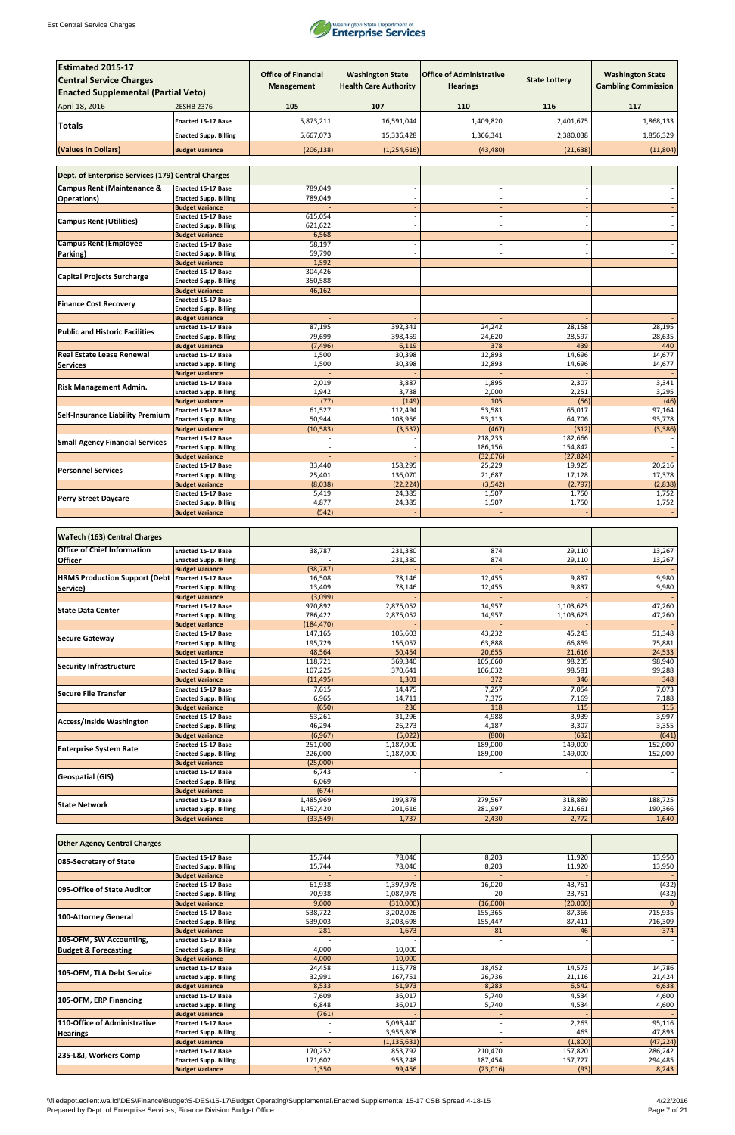

| <b>Estimated 2015-17</b>                           |                                                           | <b>Office of Financial</b> | <b>Washington State</b>      | <b>Office of Administrative</b> |                      | <b>Washington State</b>    |
|----------------------------------------------------|-----------------------------------------------------------|----------------------------|------------------------------|---------------------------------|----------------------|----------------------------|
| <b>Central Service Charges</b>                     |                                                           | <b>Management</b>          | <b>Health Care Authority</b> | <b>Hearings</b>                 | <b>State Lottery</b> | <b>Gambling Commission</b> |
| <b>Enacted Supplemental (Partial Veto)</b>         |                                                           |                            |                              |                                 |                      |                            |
| April 18, 2016                                     | 2ESHB 2376                                                | 105                        | 107                          | 110                             | 116                  | 117                        |
| Totals                                             | <b>Enacted 15-17 Base</b>                                 | 5,873,211                  | 16,591,044                   | 1,409,820                       | 2,401,675            | 1,868,133                  |
|                                                    | <b>Enacted Supp. Billing</b>                              | 5,667,073                  | 15,336,428                   | 1,366,341                       | 2,380,038            | 1,856,329                  |
| (Values in Dollars)                                | <b>Budget Variance</b>                                    | (206, 138)                 | (1, 254, 616)                | (43, 480)                       | (21, 638)            | (11,804)                   |
| Dept. of Enterprise Services (179) Central Charges |                                                           |                            |                              |                                 |                      |                            |
| <b>Campus Rent (Maintenance &amp;</b>              | <b>Enacted 15-17 Base</b>                                 | 789,049                    |                              |                                 |                      |                            |
| <b>Operations</b> )                                | <b>Enacted Supp. Billing</b>                              | 789,049                    |                              |                                 |                      |                            |
|                                                    | <b>Budget Variance</b><br><b>Enacted 15-17 Base</b>       | 615,054                    |                              |                                 |                      |                            |
| <b>Campus Rent (Utilities)</b>                     | <b>Enacted Supp. Billing</b>                              | 621,622                    |                              |                                 |                      |                            |
|                                                    | <b>Budget Variance</b>                                    | 6,568                      |                              |                                 |                      |                            |
| <b>Campus Rent (Employee</b>                       | <b>Enacted 15-17 Base</b><br><b>Enacted Supp. Billing</b> | 58,197<br>59,790           |                              |                                 |                      |                            |
| Parking)                                           | <b>Budget Variance</b>                                    | 1,592                      |                              |                                 |                      |                            |
| <b>Capital Projects Surcharge</b>                  | <b>Enacted 15-17 Base</b>                                 | 304,426                    |                              |                                 |                      |                            |
|                                                    | <b>Enacted Supp. Billing</b>                              | 350,588                    |                              |                                 |                      |                            |
|                                                    | <b>Budget Variance</b><br><b>Enacted 15-17 Base</b>       | 46,162                     |                              |                                 |                      |                            |
| <b>Finance Cost Recovery</b>                       | <b>Enacted Supp. Billing</b>                              |                            |                              |                                 |                      |                            |
|                                                    | <b>Budget Variance</b>                                    |                            |                              |                                 |                      |                            |
| <b>Public and Historic Facilities</b>              | <b>Enacted 15-17 Base</b><br><b>Enacted Supp. Billing</b> | 87,195<br>79,699           | 392,341<br>398,459           | 24,242<br>24,620                | 28,158<br>28,597     | 28,195<br>28,635           |
|                                                    | <b>Budget Variance</b>                                    | (7, 496)                   | 6,119                        | 378                             | 439                  | 440                        |
| <b>Real Estate Lease Renewal</b>                   | <b>Enacted 15-17 Base</b>                                 | 1,500                      | 30,398                       | 12,893                          | 14,696               | 14,677                     |
| <b>Services</b>                                    | <b>Enacted Supp. Billing</b><br><b>Budget Variance</b>    | 1,500                      | 30,398                       | 12,893                          | 14,696               | 14,677                     |
|                                                    | <b>Enacted 15-17 Base</b>                                 | 2,019                      | 3,887                        | 1,895                           | 2,307                | 3,341                      |
| <b>Risk Management Admin.</b>                      | <b>Enacted Supp. Billing</b>                              | 1,942                      | 3,738                        | 2,000                           | 2,251                | 3,295                      |
|                                                    | <b>Budget Variance</b>                                    | (77)                       | (149)                        | 105                             | (56)                 | (46)                       |
| <b>Self-Insurance Liability Premium</b>            | <b>Enacted 15-17 Base</b><br><b>Enacted Supp. Billing</b> | 61,527<br>50,944           | 112,494<br>108,956           | 53,581<br>53,113                | 65,017<br>64,706     | 97,164<br>93,778           |
|                                                    | <b>Budget Variance</b>                                    | (10, 583)                  | (3,537)                      | (467)                           | (312)                | (3, 386)                   |
| <b>Small Agency Financial Services</b>             | <b>Enacted 15-17 Base</b>                                 |                            |                              | 218,233                         | 182,666              |                            |
|                                                    | <b>Enacted Supp. Billing</b><br><b>Budget Variance</b>    |                            |                              | 186,156<br>(32,076)             | 154,842<br>(27, 824) |                            |
|                                                    | <b>Enacted 15-17 Base</b>                                 | 33,440                     | 158,295                      | 25,229                          | 19,925               | 20,216                     |
| <b>Personnel Services</b>                          | <b>Enacted Supp. Billing</b>                              | 25,401                     | 136,070                      | 21,687                          | 17,128               | 17,378                     |
|                                                    | <b>Budget Variance</b><br><b>Enacted 15-17 Base</b>       | (8,038)<br>5,419           | (22, 224)<br>24,385          | (3, 542)<br>1,507               | (2, 797)<br>1,750    | (2,838)<br>1,752           |
| <b>Perry Street Daycare</b>                        | <b>Enacted Supp. Billing</b>                              | 4,877                      | 24,385                       | 1,507                           | 1,750                | 1,752                      |
|                                                    | <b>Budget Variance</b>                                    | (542)                      |                              |                                 |                      |                            |
| <b>WaTech (163) Central Charges</b>                |                                                           |                            |                              |                                 |                      |                            |
| <b>Office of Chief Information</b>                 |                                                           |                            | 231,380                      |                                 |                      |                            |
| <b>Officer</b>                                     | Enacted 15-17 Base<br><b>Enacted Supp. Billing</b>        | 38,787                     | 231,380                      | 874<br>874                      | 29,110<br>29,110     | 13,267<br>13,267           |
|                                                    | <b>Budget Variance</b>                                    | (38, 787)                  |                              |                                 |                      |                            |
| HRMS Production Support (Debt Enacted 15-17 Base   |                                                           | 16,508                     | 78,146                       | 12,455                          | 9,837                | 9,980                      |
| Service)                                           | <b>Enacted Supp. Billing</b><br><b>Budget Variance</b>    | 13,409<br>(3,099)          | 78,146                       | 12,455                          | 9,837                | 9,980                      |
| <b>State Data Center</b>                           | <b>Enacted 15-17 Base</b>                                 | 970,892                    | 2,875,052                    | 14,957                          | 1,103,623            | 47,260                     |
|                                                    | <b>Enacted Supp. Billing</b>                              | 786,422                    | 2,875,052                    | 14,957                          | 1,103,623            | 47,260                     |
|                                                    | <b>Budget Variance</b><br><b>Enacted 15-17 Base</b>       | (184, 470)<br>147,165      | 105,603                      | 43,232                          | 45,243               | 51,348                     |
| <b>Secure Gateway</b>                              | <b>Enacted Supp. Billing</b>                              | 195,729                    | 156,057                      | 63,888                          | 66,859               | 75,881                     |
|                                                    | <b>Budget Variance</b>                                    | 48,564                     | 50,454                       | 20,655                          | 21,616               | 24,533                     |
| <b>Security Infrastructure</b>                     | <b>Enacted 15-17 Base</b><br><b>Enacted Supp. Billing</b> | 118,721<br>107,225         | 369,340<br>370,641           | 105,660<br>106,032              | 98,235<br>98,581     | 98,940<br>99,288           |
|                                                    | <b>Budget Variance</b>                                    | (11, 495)                  | 1,301                        | 372                             | 346                  | 348                        |
| <b>Secure File Transfer</b>                        | <b>Enacted 15-17 Base</b>                                 | 7,615                      | 14,475                       | 7,257                           | 7,054                | 7,073                      |
|                                                    | <b>Enacted Supp. Billing</b>                              | 6,965                      | 14,711                       | 7,375                           | 7,169                | 7,188                      |
|                                                    | <b>Budget Variance</b><br><b>Enacted 15-17 Base</b>       | (650)<br>53,261            | 236<br>31,296                | 118<br>4,988                    | 115<br>3,939         | 115<br>3,997               |
| <b>Access/Inside Washington</b>                    | <b>Enacted Supp. Billing</b>                              | 46,294                     | 26,273                       | 4,187                           | 3,307                | 3,355                      |
|                                                    | <b>Budget Variance</b>                                    | (6,967)                    | (5,022)                      | (800)                           | (632)                | (641)                      |
| <b>Enterprise System Rate</b>                      | <b>Enacted 15-17 Base</b><br><b>Enacted Supp. Billing</b> | 251,000<br>226,000         | 1,187,000<br>1,187,000       | 189,000<br>189,000              | 149,000<br>149,000   | 152,000<br>152,000         |
|                                                    | <b>Budget Variance</b>                                    | (25,000)                   |                              |                                 |                      |                            |
| <b>Geospatial (GIS)</b>                            | <b>Enacted 15-17 Base</b>                                 | 6,743                      |                              |                                 |                      |                            |
|                                                    | <b>Enacted Supp. Billing</b><br><b>Budget Variance</b>    | 6,069<br>(674)             |                              |                                 |                      |                            |
|                                                    | <b>Enacted 15-17 Base</b>                                 | 1,485,969                  | 199,878                      | 279,567                         | 318,889              | 188,725                    |
| <b>State Network</b>                               | <b>Enacted Supp. Billing</b>                              | 1,452,420                  | 201,616                      | 281,997                         | 321,661              | 190,366                    |
|                                                    | <b>Budget Variance</b>                                    | (33, 549)                  | 1,737                        | 2,430                           | 2,772                | 1,640                      |

| <b>Other Agency Central Charges</b> |                              |         |               |          |          |           |
|-------------------------------------|------------------------------|---------|---------------|----------|----------|-----------|
| 085-Secretary of State              | <b>Enacted 15-17 Base</b>    | 15,744  | 78,046        | 8,203    | 11,920   | 13,950    |
|                                     | <b>Enacted Supp. Billing</b> | 15,744  | 78,046        | 8,203    | 11,920   | 13,950    |
|                                     | <b>Budget Variance</b>       |         |               |          |          |           |
| 095-Office of State Auditor         | <b>Enacted 15-17 Base</b>    | 61,938  | 1,397,978     | 16,020   | 43,751   | (432)     |
|                                     | <b>Enacted Supp. Billing</b> | 70,938  | 1,087,978     | 20       | 23,751   | (432)     |
|                                     | <b>Budget Variance</b>       | 9,000   | (310,000)     | (16,000) | (20,000) |           |
| 100-Attorney General                | <b>Enacted 15-17 Base</b>    | 538,722 | 3,202,026     | 155,365  | 87,366   | 715,935   |
|                                     | <b>Enacted Supp. Billing</b> | 539,003 | 3,203,698     | 155,447  | 87,411   | 716,309   |
|                                     | <b>Budget Variance</b>       | 281     | 1,673         | 81       | 46       | 374       |
| 105-OFM, SW Accounting,             | <b>Enacted 15-17 Base</b>    |         |               |          |          |           |
| <b>Budget &amp; Forecasting</b>     | <b>Enacted Supp. Billing</b> | 4,000   | 10,000        |          |          |           |
|                                     | <b>Budget Variance</b>       | 4,000   | 10,000        |          |          |           |
| 105-OFM, TLA Debt Service           | <b>Enacted 15-17 Base</b>    | 24,458  | 115,778       | 18,452   | 14,573   | 14,786    |
|                                     | <b>Enacted Supp. Billing</b> | 32,991  | 167,751       | 26,736   | 21,116   | 21,424    |
|                                     | <b>Budget Variance</b>       | 8,533   | 51,973        | 8,283    | 6,542    | 6,638     |
| 105-OFM, ERP Financing              | <b>Enacted 15-17 Base</b>    | 7,609   | 36,017        | 5,740    | 4,534    | 4,600     |
|                                     | <b>Enacted Supp. Billing</b> | 6,848   | 36,017        | 5,740    | 4,534    | 4,600     |
|                                     | <b>Budget Variance</b>       | (761)   |               |          |          |           |
| 110-Office of Administrative        | <b>Enacted 15-17 Base</b>    |         | 5,093,440     |          | 2,263    | 95,116    |
| <b>Hearings</b>                     | <b>Enacted Supp. Billing</b> |         | 3,956,808     |          | 463      | 47,893    |
|                                     | <b>Budget Variance</b>       |         | (1, 136, 631) |          | (1,800)  | (47, 224) |
| 235-L&I, Workers Comp               | <b>Enacted 15-17 Base</b>    | 170,252 | 853,792       | 210,470  | 157,820  | 286,242   |
|                                     | <b>Enacted Supp. Billing</b> | 171,602 | 953,248       | 187,454  | 157,727  | 294,485   |
|                                     | <b>Budget Variance</b>       | 1,350   | 99,456        | (23,016) | (93)     | 8,243     |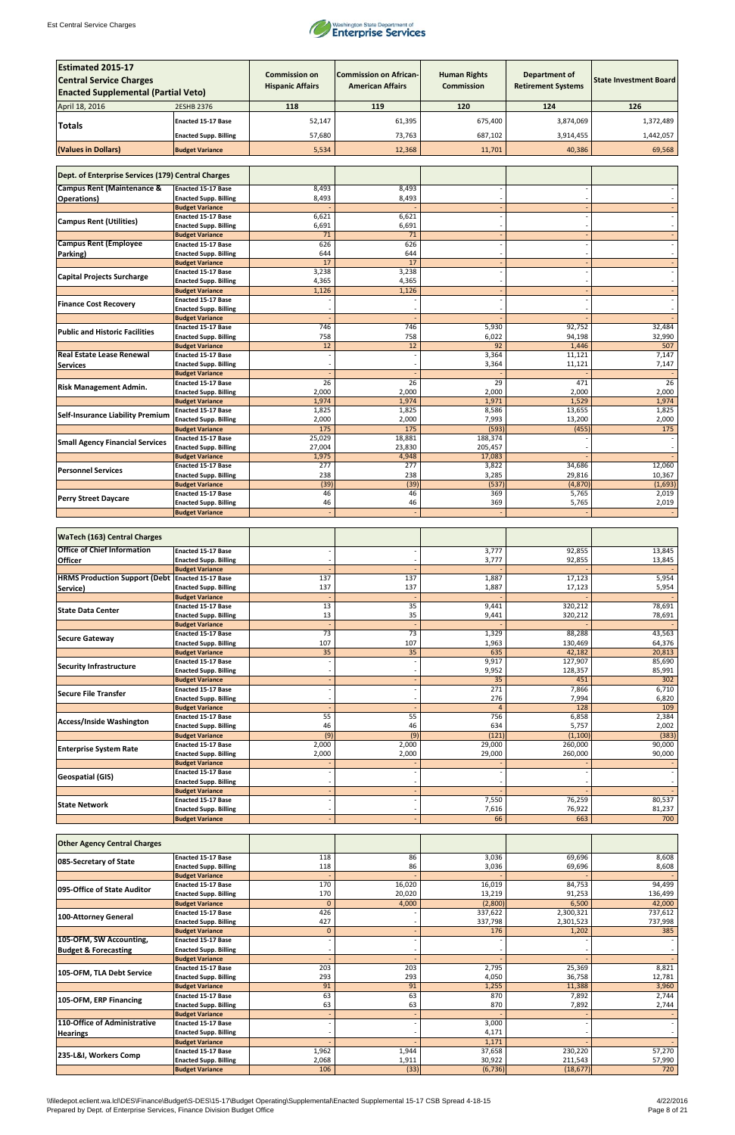

| <b>Estimated 2015-17</b><br><b>Central Service Charges</b><br><b>Enacted Supplemental (Partial Veto)</b> |                                                        | <b>Commission on</b><br><b>Hispanic Affairs</b> | <b>Commission on African-</b><br><b>American Affairs</b> | <b>Human Rights</b><br><b>Commission</b> | Department of<br><b>Retirement Systems</b> | <b>State Investment Board</b> |
|----------------------------------------------------------------------------------------------------------|--------------------------------------------------------|-------------------------------------------------|----------------------------------------------------------|------------------------------------------|--------------------------------------------|-------------------------------|
| April 18, 2016                                                                                           | 2ESHB 2376                                             | 118                                             | 119                                                      | 120                                      | 124                                        | 126                           |
|                                                                                                          | <b>Enacted 15-17 Base</b>                              | 52,147                                          | 61,395                                                   | 675,400                                  | 3,874,069                                  | 1,372,489                     |
| <b>Totals</b>                                                                                            |                                                        |                                                 |                                                          |                                          |                                            |                               |
|                                                                                                          | <b>Enacted Supp. Billing</b>                           | 57,680                                          | 73,763                                                   | 687,102                                  | 3,914,455                                  | 1,442,057                     |
| (Values in Dollars)                                                                                      | <b>Budget Variance</b>                                 | 5,534                                           | 12,368                                                   | 11,701                                   | 40,386                                     | 69,568                        |
|                                                                                                          |                                                        |                                                 |                                                          |                                          |                                            |                               |
| Dept. of Enterprise Services (179) Central Charges                                                       |                                                        |                                                 |                                                          |                                          |                                            |                               |
| <b>Campus Rent (Maintenance &amp;</b>                                                                    | <b>Enacted 15-17 Base</b>                              | 8,493                                           | 8,493                                                    |                                          |                                            |                               |
| <b>Operations)</b>                                                                                       | <b>Enacted Supp. Billing</b>                           | 8,493                                           | 8,493                                                    |                                          |                                            |                               |
|                                                                                                          | <b>Budget Variance</b>                                 |                                                 |                                                          |                                          |                                            |                               |
| <b>Campus Rent (Utilities)</b>                                                                           | <b>Enacted 15-17 Base</b>                              | 6,621                                           | 6,621                                                    |                                          |                                            |                               |
|                                                                                                          | <b>Enacted Supp. Billing</b><br><b>Budget Variance</b> | 6,691<br>71                                     | 6,691<br>71                                              |                                          |                                            |                               |
| <b>Campus Rent (Employee</b>                                                                             | <b>Enacted 15-17 Base</b>                              | 626                                             | 626                                                      |                                          |                                            |                               |
| Parking)                                                                                                 | <b>Enacted Supp. Billing</b>                           | 644                                             | 644                                                      |                                          |                                            |                               |
|                                                                                                          | <b>Budget Variance</b>                                 | 17                                              | 17                                                       |                                          |                                            |                               |
| <b>Capital Projects Surcharge</b>                                                                        | <b>Enacted 15-17 Base</b>                              | 3,238                                           | 3,238                                                    |                                          |                                            |                               |
|                                                                                                          | <b>Enacted Supp. Billing</b>                           | 4,365<br>1,126                                  | 4,365                                                    |                                          |                                            |                               |
|                                                                                                          | <b>Budget Variance</b><br><b>Enacted 15-17 Base</b>    |                                                 | 1,126                                                    |                                          |                                            |                               |
| <b>Finance Cost Recovery</b>                                                                             | <b>Enacted Supp. Billing</b>                           |                                                 |                                                          |                                          |                                            |                               |
|                                                                                                          | <b>Budget Variance</b>                                 |                                                 |                                                          |                                          |                                            |                               |
| <b>Public and Historic Facilities</b>                                                                    | Enacted 15-17 Base                                     | 746                                             | 746                                                      | 5,930                                    | 92,752                                     | 32,484                        |
|                                                                                                          | <b>Enacted Supp. Billing</b>                           | 758<br>12                                       | 758<br>12                                                | 6,022<br>92                              | 94,198<br>1,446                            | 32,990<br>507                 |
| <b>Real Estate Lease Renewal</b>                                                                         | <b>Budget Variance</b><br><b>Enacted 15-17 Base</b>    |                                                 |                                                          | 3,364                                    | 11,121                                     | 7,147                         |
| <b>Services</b>                                                                                          | <b>Enacted Supp. Billing</b>                           |                                                 |                                                          | 3,364                                    | 11,121                                     | 7,147                         |
|                                                                                                          | <b>Budget Variance</b>                                 |                                                 |                                                          |                                          |                                            |                               |
| <b>Risk Management Admin.</b>                                                                            | <b>Enacted 15-17 Base</b>                              | $\overline{26}$                                 | $\overline{26}$                                          | 29                                       | 471                                        | 26                            |
|                                                                                                          | <b>Enacted Supp. Billing</b>                           | 2,000                                           | 2,000                                                    | 2,000                                    | 2,000                                      | 2,000                         |
|                                                                                                          | <b>Budget Variance</b><br><b>Enacted 15-17 Base</b>    | 1,974<br>1,825                                  | 1,974<br>1,825                                           | 1,971<br>8,586                           | 1,529<br>13,655                            | 1,974<br>1,825                |
| <b>Self-Insurance Liability Premium</b>                                                                  | <b>Enacted Supp. Billing</b>                           | 2,000                                           | 2,000                                                    | 7,993                                    | 13,200                                     | 2,000                         |
|                                                                                                          | <b>Budget Variance</b>                                 | 175                                             | 175                                                      | (593)                                    | (455)                                      | 175                           |
| <b>Small Agency Financial Services</b>                                                                   | <b>Enacted 15-17 Base</b>                              | 25,029                                          | 18,881                                                   | 188,374                                  |                                            |                               |
|                                                                                                          | <b>Enacted Supp. Billing</b>                           | 27,004                                          | 23,830                                                   | 205,457                                  |                                            |                               |
|                                                                                                          | <b>Budget Variance</b><br><b>Enacted 15-17 Base</b>    | 1,975<br>277                                    | 4,948<br>277                                             | 17,083<br>3,822                          | 34,686                                     | 12,060                        |
| <b>Personnel Services</b>                                                                                | <b>Enacted Supp. Billing</b>                           | 238                                             | 238                                                      | 3,285                                    | 29,816                                     | 10,367                        |
|                                                                                                          | <b>Budget Variance</b>                                 | (39)                                            | (39)                                                     | (537)                                    | (4,870)                                    | (1,693)                       |
| <b>Perry Street Daycare</b>                                                                              | Enacted 15-17 Base                                     | 46                                              | 46                                                       | 369                                      | 5,765                                      | 2,019                         |
|                                                                                                          | <b>Enacted Supp. Billing</b><br><b>Budget Variance</b> | 46                                              | 46                                                       | 369                                      | 5,765                                      | 2,019                         |
|                                                                                                          |                                                        |                                                 |                                                          |                                          |                                            |                               |
| <b>WaTech (163) Central Charges</b>                                                                      |                                                        |                                                 |                                                          |                                          |                                            |                               |
| <b>Office of Chief Information</b>                                                                       | <b>Enacted 15-17 Base</b>                              |                                                 |                                                          | 3,777                                    | 92,855                                     | 13,845                        |
| <b>Officer</b>                                                                                           | <b>Enacted Supp. Billing</b><br><b>Budget Variance</b> |                                                 |                                                          | 3,777                                    | 92,855                                     | 13,845                        |
| <b>HRMS Production Support (Debt</b>                                                                     | Enacted 15-17 Base                                     | 137                                             | 137                                                      | 1,887                                    | 17,123                                     | 5,954                         |
| Service)                                                                                                 | <b>Enacted Supp. Billing</b>                           | 137                                             | 137                                                      | 1,887                                    | 17,123                                     | 5,954                         |
|                                                                                                          | <b>Budget Variance</b>                                 |                                                 |                                                          |                                          |                                            |                               |
| <b>State Data Center</b>                                                                                 | <b>Enacted 15-17 Base</b>                              | 13                                              | 35                                                       | 9,441                                    | 320,212                                    | 78,691                        |
|                                                                                                          | <b>Enacted Supp. Billing</b><br><b>Budget Variance</b> | 13                                              | 35                                                       | 9,441                                    | 320,212                                    | 78,691                        |
|                                                                                                          | <b>Enacted 15-17 Base</b>                              | $\overline{73}$                                 | 73                                                       | 1,329                                    | 88,288                                     | 43,563                        |
| Secure Gateway                                                                                           | <b>Enacted Supp. Billing</b>                           | 107                                             | 107                                                      | 1,963                                    | 130,469                                    | 64,376                        |
|                                                                                                          | <b>Budget Variance</b>                                 | $\overline{35}$                                 | 35                                                       | 635                                      | 42,182                                     | 20,813                        |
| <b>Security Infrastructure</b>                                                                           | <b>Enacted 15-17 Base</b>                              |                                                 |                                                          | 9,917                                    | 127,907                                    | 85,690                        |
|                                                                                                          | <b>Enacted Supp. Billing</b><br><b>Budget Variance</b> |                                                 |                                                          | 9,952<br>35                              | 128,357<br>451                             | 85,991<br>302                 |
|                                                                                                          | <b>Enacted 15-17 Base</b>                              |                                                 |                                                          | 271                                      | 7,866                                      | 6,710                         |
| Secure File Transfer                                                                                     | <b>Enacted Supp. Billing</b>                           |                                                 |                                                          | 276                                      | 7,994                                      | 6,820                         |
|                                                                                                          | <b>Budget Variance</b>                                 |                                                 |                                                          | $\overline{4}$                           | 128                                        | 109                           |
| Access/Inside Washington                                                                                 | <b>Enacted 15-17 Base</b>                              | 55                                              | 55                                                       | 756<br>634                               | 6,858                                      | 2,384                         |
|                                                                                                          | <b>Enacted Supp. Billing</b><br><b>Budget Variance</b> | 46<br>(9)                                       | 46<br>(9)                                                | (121)                                    | 5,757<br>(1, 100)                          | 2,002<br>(383)                |
|                                                                                                          | <b>Enacted 15-17 Base</b>                              | 2,000                                           | 2,000                                                    | 29,000                                   | 260,000                                    | 90,000                        |
| <b>Enterprise System Rate</b>                                                                            | <b>Enacted Supp. Billing</b>                           | 2,000                                           | 2,000                                                    | 29,000                                   | 260,000                                    | 90,000                        |
|                                                                                                          | <b>Budget Variance</b>                                 |                                                 |                                                          |                                          |                                            |                               |
| <b>Geospatial (GIS)</b>                                                                                  | <b>Enacted 15-17 Base</b>                              |                                                 |                                                          |                                          |                                            |                               |
|                                                                                                          | <b>Enacted Supp. Billing</b><br><b>Budget Variance</b> |                                                 |                                                          |                                          |                                            |                               |
|                                                                                                          | <b>Enacted 15-17 Base</b>                              |                                                 |                                                          | 7,550                                    | 76,259                                     | 80,537                        |
| <b>State Network</b>                                                                                     | <b>Enacted Supp. Billing</b>                           |                                                 |                                                          | 7,616                                    | 76,922                                     | 81,237                        |
|                                                                                                          | <b>Budget Variance</b>                                 |                                                 |                                                          | 66                                       | 663                                        | 700                           |

| <b>Other Agency Central Charges</b> |                              |              |        |          |           |         |
|-------------------------------------|------------------------------|--------------|--------|----------|-----------|---------|
| 085-Secretary of State              | <b>Enacted 15-17 Base</b>    | 118          | 86     | 3,036    | 69,696    | 8,608   |
|                                     | <b>Enacted Supp. Billing</b> | 118          | 86     | 3,036    | 69,696    | 8,608   |
|                                     | <b>Budget Variance</b>       |              |        |          |           |         |
| 095-Office of State Auditor         | <b>Enacted 15-17 Base</b>    | 170          | 16,020 | 16,019   | 84,753    | 94,499  |
|                                     | <b>Enacted Supp. Billing</b> | 170          | 20,020 | 13,219   | 91,253    | 136,499 |
|                                     | <b>Budget Variance</b>       | $\Omega$     | 4,000  | (2,800)  | 6,500     | 42,000  |
| 100-Attorney General                | <b>Enacted 15-17 Base</b>    | 426          |        | 337,622  | 2,300,321 | 737,612 |
|                                     | <b>Enacted Supp. Billing</b> | 427          |        | 337,798  | 2,301,523 | 737,998 |
|                                     | <b>Budget Variance</b>       | $\mathbf{0}$ |        | 176      | 1,202     | 385     |
| 105-OFM, SW Accounting,             | <b>Enacted 15-17 Base</b>    |              |        |          |           |         |
| <b>Budget &amp; Forecasting</b>     | <b>Enacted Supp. Billing</b> |              |        |          |           |         |
|                                     | <b>Budget Variance</b>       |              |        |          |           |         |
| 105-OFM, TLA Debt Service           | <b>Enacted 15-17 Base</b>    | 203          | 203    | 2,795    | 25,369    | 8,821   |
|                                     | <b>Enacted Supp. Billing</b> | 293          | 293    | 4,050    | 36,758    | 12,781  |
|                                     | <b>Budget Variance</b>       | 91           | 91     | 1,255    | 11,388    | 3,960   |
| 105-OFM, ERP Financing              | <b>Enacted 15-17 Base</b>    | 63           | 63     | 870      | 7,892     | 2,744   |
|                                     | <b>Enacted Supp. Billing</b> | 63           | 63     | 870      | 7,892     | 2,744   |
|                                     | <b>Budget Variance</b>       |              |        |          |           |         |
| 110-Office of Administrative        | <b>Enacted 15-17 Base</b>    |              |        | 3,000    |           |         |
| <b>Hearings</b>                     | <b>Enacted Supp. Billing</b> |              |        | 4,171    |           |         |
|                                     | <b>Budget Variance</b>       |              |        | 1,171    |           |         |
|                                     | <b>Enacted 15-17 Base</b>    | 1,962        | 1,944  | 37,658   | 230,220   | 57,270  |
| 235-L&I, Workers Comp               | <b>Enacted Supp. Billing</b> | 2,068        | 1,911  | 30,922   | 211,543   | 57,990  |
|                                     | <b>Budget Variance</b>       | 106          | (33)   | (6, 736) | (18, 677) | 720     |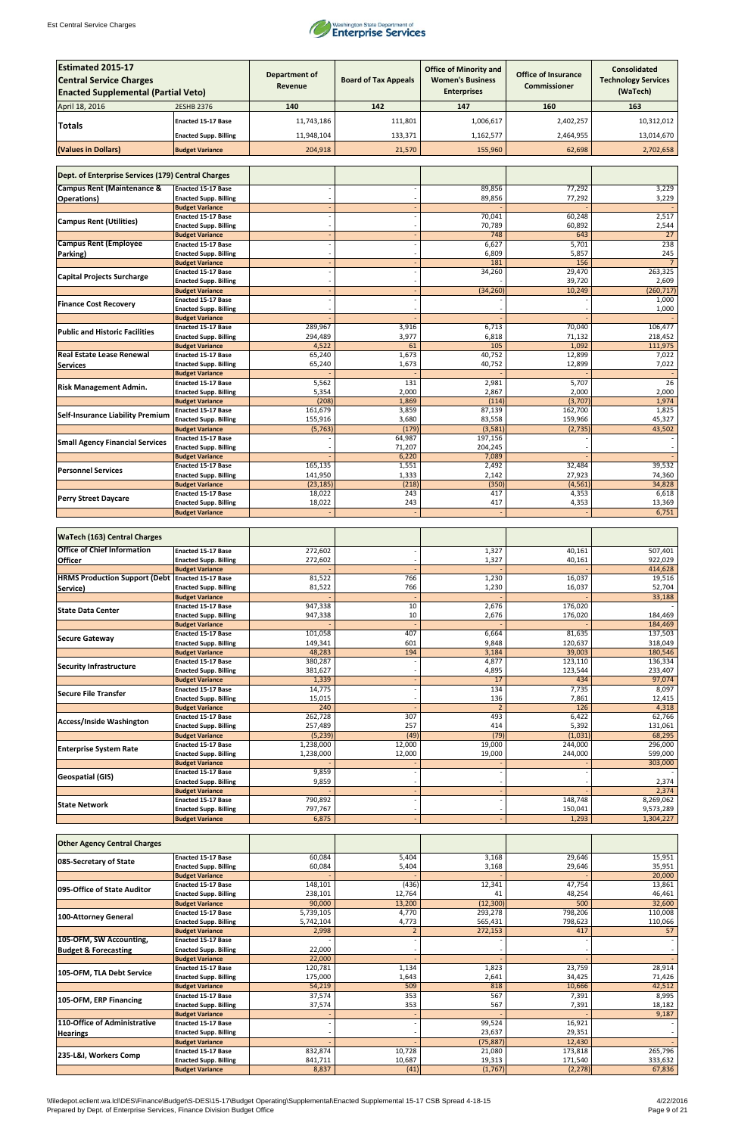

| <b>Estimated 2015-17</b><br><b>Central Service Charges</b> |                                                           | <b>Department of</b><br><b>Revenue</b> | <b>Board of Tax Appeals</b> | <b>Office of Minority and</b><br><b>Women's Business</b> | <b>Office of Insurance</b><br><b>Commissioner</b> | <b>Consolidated</b><br><b>Technology Services</b> |
|------------------------------------------------------------|-----------------------------------------------------------|----------------------------------------|-----------------------------|----------------------------------------------------------|---------------------------------------------------|---------------------------------------------------|
| <b>Enacted Supplemental (Partial Veto)</b>                 |                                                           |                                        |                             | <b>Enterprises</b>                                       |                                                   | (WaTech)                                          |
| April 18, 2016                                             | 2ESHB 2376                                                | 140                                    | 142                         | 147                                                      | 160                                               | 163                                               |
| Totals                                                     | <b>Enacted 15-17 Base</b>                                 | 11,743,186                             | 111,801                     | 1,006,617                                                | 2,402,257                                         | 10,312,012                                        |
|                                                            | <b>Enacted Supp. Billing</b>                              | 11,948,104                             | 133,371                     | 1,162,577                                                | 2,464,955                                         | 13,014,670                                        |
| (Values in Dollars)                                        | <b>Budget Variance</b>                                    | 204,918                                | 21,570                      | 155,960                                                  | 62,698                                            | 2,702,658                                         |
| Dept. of Enterprise Services (179) Central Charges         |                                                           |                                        |                             |                                                          |                                                   |                                                   |
| <b>Campus Rent (Maintenance &amp;</b>                      | <b>Enacted 15-17 Base</b>                                 |                                        |                             | 89,856                                                   | 77,292                                            | 3,229                                             |
| Operations)                                                | <b>Enacted Supp. Billing</b>                              |                                        |                             | 89,856                                                   | 77,292                                            | 3,229                                             |
|                                                            | <b>Budget Variance</b>                                    |                                        |                             |                                                          |                                                   |                                                   |
| <b>Campus Rent (Utilities)</b>                             | Enacted 15-17 Base<br><b>Enacted Supp. Billing</b>        |                                        |                             | 70,041<br>70,789                                         | 60,248<br>60,892                                  | 2,517<br>2,544                                    |
|                                                            | <b>Budget Variance</b>                                    |                                        |                             | 748                                                      | 643                                               | 27                                                |
| <b>Campus Rent (Employee</b>                               | <b>Enacted 15-17 Base</b>                                 |                                        |                             | 6,627                                                    | 5,701                                             | 238                                               |
| Parking)                                                   | <b>Enacted Supp. Billing</b><br><b>Budget Variance</b>    |                                        |                             | 6,809<br>181                                             | 5,857<br>156                                      | 245<br>$\overline{7}$                             |
| <b>Capital Projects Surcharge</b>                          | <b>Enacted 15-17 Base</b>                                 |                                        |                             | 34,260                                                   | 29,470                                            | 263,325                                           |
|                                                            | <b>Enacted Supp. Billing</b>                              |                                        |                             |                                                          | 39,720                                            | 2,609                                             |
|                                                            | <b>Budget Variance</b><br><b>Enacted 15-17 Base</b>       |                                        |                             | (34, 260)                                                | 10,249                                            | (260, 717)<br>1,000                               |
| <b>Finance Cost Recovery</b>                               | <b>Enacted Supp. Billing</b>                              |                                        |                             |                                                          |                                                   | 1,000                                             |
|                                                            | <b>Budget Variance</b>                                    |                                        |                             |                                                          |                                                   |                                                   |
| <b>Public and Historic Facilities</b>                      | <b>Enacted 15-17 Base</b><br><b>Enacted Supp. Billing</b> | 289,967<br>294,489                     | 3,916<br>3,977              | 6,713<br>6,818                                           | 70,040<br>71,132                                  | 106,477<br>218,452                                |
|                                                            | <b>Budget Variance</b>                                    | 4,522                                  | 61                          | 105                                                      | 1,092                                             | 111,975                                           |
| <b>Real Estate Lease Renewal</b>                           | <b>Enacted 15-17 Base</b>                                 | 65,240                                 | 1,673                       | 40,752                                                   | 12,899                                            | 7,022                                             |
| <b>Services</b>                                            | <b>Enacted Supp. Billing</b><br><b>Budget Variance</b>    | 65,240                                 | 1,673                       | 40,752                                                   | 12,899                                            | 7,022                                             |
|                                                            | <b>Enacted 15-17 Base</b>                                 | 5,562                                  | 131                         | 2,981                                                    | 5,707                                             | $\overline{26}$                                   |
| <b>Risk Management Admin.</b>                              | <b>Enacted Supp. Billing</b>                              | 5,354                                  | 2,000                       | 2,867                                                    | 2,000                                             | 2,000                                             |
|                                                            | <b>Budget Variance</b><br><b>Enacted 15-17 Base</b>       | (208)<br>161,679                       | 1,869<br>3,859              | (114)<br>87,139                                          | (3,707)<br>162,700                                | 1,974<br>1,825                                    |
| <b>Self-Insurance Liability Premium</b>                    | <b>Enacted Supp. Billing</b>                              | 155,916                                | 3,680                       | 83,558                                                   | 159,966                                           | 45,327                                            |
|                                                            | <b>Budget Variance</b>                                    | (5, 763)                               | (179)                       | (3, 581)                                                 | (2,735)                                           | 43,502                                            |
| <b>Small Agency Financial Services</b>                     | <b>Enacted 15-17 Base</b><br><b>Enacted Supp. Billing</b> |                                        | 64,987<br>71,207            | 197,156<br>204,245                                       |                                                   |                                                   |
|                                                            | <b>Budget Variance</b>                                    |                                        | 6,220                       | 7,089                                                    |                                                   |                                                   |
| <b>Personnel Services</b>                                  | <b>Enacted 15-17 Base</b>                                 | 165,135                                | 1,551                       | 2,492                                                    | 32,484                                            | 39,532                                            |
|                                                            | <b>Enacted Supp. Billing</b><br><b>Budget Variance</b>    | 141,950<br>(23, 185)                   | 1,333<br>(218)              | 2,142<br>(350)                                           | 27,923<br>(4, 561)                                | 74,360<br>34,828                                  |
| <b>Perry Street Daycare</b>                                | <b>Enacted 15-17 Base</b>                                 | 18,022                                 | 243                         | 417                                                      | 4,353                                             | 6,618                                             |
|                                                            | <b>Enacted Supp. Billing</b>                              | 18,022                                 | 243                         | 417                                                      | 4,353                                             | 13,369                                            |
|                                                            | <b>Budget Variance</b>                                    |                                        |                             |                                                          |                                                   | 6,751                                             |
| <b>WaTech (163) Central Charges</b>                        |                                                           |                                        |                             |                                                          |                                                   |                                                   |
| <b>Office of Chief Information</b>                         | <b>Enacted 15-17 Base</b>                                 | 272,602                                |                             | 1,327                                                    | 40,161                                            | 507,401                                           |
| <b>Officer</b>                                             | <b>Enacted Supp. Billing</b><br><b>Budget Variance</b>    | 272,602                                |                             | 1,327                                                    | 40,161                                            | 922,029<br>414,628                                |
| <b>HRMS Production Support (Debt Enacted 15-17 Base</b>    |                                                           | 81,522                                 | 766                         | 1,230                                                    | 16,037                                            | 19,516                                            |
| Service)                                                   | <b>Enacted Supp. Billing</b>                              | 81,522                                 | 766                         | 1,230                                                    | 16,037                                            | 52,704                                            |
|                                                            | <b>Budget Variance</b><br><b>Enacted 15-17 Base</b>       | 947,338                                | 10                          | 2,676                                                    | 176,020                                           | 33,188                                            |
| <b>State Data Center</b>                                   | <b>Enacted Supp. Billing</b>                              | 947,338                                | 10                          | 2,676                                                    | 176,020                                           | 184,469                                           |
|                                                            | <b>Budget Variance</b><br>Enacted 15-17 Base              | 101,058                                | 407                         | 6,664                                                    | 81,635                                            | 184,469<br>137,503                                |
| <b>Secure Gateway</b>                                      | <b>Enacted Supp. Billing</b>                              | 149,341                                | 601                         | 9,848                                                    | 120,637                                           | 318,049                                           |
|                                                            | <b>Budget Variance</b>                                    | 48,283                                 | 194                         | 3,184                                                    | 39,003                                            | 180,546                                           |
| <b>Security Infrastructure</b>                             | <b>Enacted 15-17 Base</b>                                 | 380,287                                |                             | 4,877                                                    | 123,110                                           | 136,334                                           |
|                                                            | <b>Enacted Supp. Billing</b><br><b>Budget Variance</b>    | 381,627<br>1,339                       |                             | 4,895<br>17                                              | 123,544<br>434                                    | 233,407<br>97,074                                 |
| Secure File Transfer                                       | <b>Enacted 15-17 Base</b>                                 | 14,775                                 |                             | 134                                                      | 7,735                                             | 8,097                                             |
|                                                            | <b>Enacted Supp. Billing</b><br><b>Budget Variance</b>    | 15,015<br>240                          |                             | 136<br>$\overline{2}$                                    | 7,861<br>126                                      | 12,415<br>4,318                                   |
|                                                            | <b>Enacted 15-17 Base</b>                                 | 262,728                                | $\overline{307}$            | 493                                                      | 6,422                                             | 62,766                                            |
| <b>Access/Inside Washington</b>                            | <b>Enacted Supp. Billing</b>                              | 257,489                                | 257                         | 414                                                      | 5,392                                             | 131,061                                           |
|                                                            | <b>Budget Variance</b><br><b>Enacted 15-17 Base</b>       | (5, 239)<br>1,238,000                  | (49)<br>12,000              | (79)<br>19,000                                           | (1,031)                                           | 68,295<br>296,000                                 |
| <b>Enterprise System Rate</b>                              | <b>Enacted Supp. Billing</b>                              | 1,238,000                              | 12,000                      | 19,000                                                   | 244,000<br>244,000                                | 599,000                                           |
|                                                            | <b>Budget Variance</b>                                    |                                        |                             |                                                          |                                                   | 303,000                                           |
| <b>Geospatial (GIS)</b>                                    | <b>Enacted 15-17 Base</b>                                 | 9,859                                  |                             |                                                          |                                                   |                                                   |
|                                                            | <b>Enacted Supp. Billing</b><br><b>Budget Variance</b>    | 9,859                                  |                             |                                                          |                                                   | 2,374<br>2,374                                    |
| <b>State Network</b>                                       | Enacted 15-17 Base                                        | 790,892                                |                             |                                                          | 148,748                                           | 8,269,062                                         |
|                                                            | <b>Enacted Supp. Billing</b><br><b>Budget Variance</b>    | 797,767<br>6,875                       |                             |                                                          | 150,041<br>1,293                                  | 9,573,289<br>1,304,227                            |
|                                                            |                                                           |                                        |                             |                                                          |                                                   |                                                   |

| <b>Other Agency Central Charges</b> |                              |           |        |           |          |         |
|-------------------------------------|------------------------------|-----------|--------|-----------|----------|---------|
| 085-Secretary of State              | <b>Enacted 15-17 Base</b>    | 60,084    | 5,404  | 3,168     | 29,646   | 15,951  |
|                                     | <b>Enacted Supp. Billing</b> | 60,084    | 5,404  | 3,168     | 29,646   | 35,951  |
|                                     | <b>Budget Variance</b>       |           |        |           |          | 20,000  |
| 095-Office of State Auditor         | <b>Enacted 15-17 Base</b>    | 148,101   | (436)  | 12,341    | 47,754   | 13,861  |
|                                     | <b>Enacted Supp. Billing</b> | 238,101   | 12,764 | 41        | 48,254   | 46,461  |
|                                     | <b>Budget Variance</b>       | 90,000    | 13,200 | (12,300)  | 500      | 32,600  |
| 100-Attorney General                | <b>Enacted 15-17 Base</b>    | 5,739,105 | 4,770  | 293,278   | 798,206  | 110,008 |
|                                     | <b>Enacted Supp. Billing</b> | 5,742,104 | 4,773  | 565,431   | 798,623  | 110,066 |
|                                     | <b>Budget Variance</b>       | 2,998     |        | 272,153   | 417      | 57      |
| 105-OFM, SW Accounting,             | <b>Enacted 15-17 Base</b>    |           |        |           |          |         |
| <b>Budget &amp; Forecasting</b>     | <b>Enacted Supp. Billing</b> | 22,000    |        |           |          |         |
|                                     | <b>Budget Variance</b>       | 22,000    |        |           |          |         |
| 105-OFM, TLA Debt Service           | <b>Enacted 15-17 Base</b>    | 120,781   | 1,134  | 1,823     | 23,759   | 28,914  |
|                                     | <b>Enacted Supp. Billing</b> | 175,000   | 1,643  | 2,641     | 34,425   | 71,426  |
|                                     | <b>Budget Variance</b>       | 54,219    | 509    | 818       | 10,666   | 42,512  |
| 105-OFM, ERP Financing              | <b>Enacted 15-17 Base</b>    | 37,574    | 353    | 567       | 7,391    | 8,995   |
|                                     | <b>Enacted Supp. Billing</b> | 37,574    | 353    | 567       | 7,391    | 18,182  |
|                                     | <b>Budget Variance</b>       |           |        |           |          | 9,187   |
| 110-Office of Administrative        | <b>Enacted 15-17 Base</b>    |           |        | 99,524    | 16,921   |         |
| <b>Hearings</b>                     | <b>Enacted Supp. Billing</b> |           |        | 23,637    | 29,351   |         |
|                                     | <b>Budget Variance</b>       |           |        | (75, 887) | 12,430   |         |
| 235-L&I, Workers Comp               | <b>Enacted 15-17 Base</b>    | 832,874   | 10,728 | 21,080    | 173,818  | 265,796 |
|                                     | <b>Enacted Supp. Billing</b> | 841,711   | 10,687 | 19,313    | 171,540  | 333,632 |
|                                     | <b>Budget Variance</b>       | 8,837     | (41)   | (1,767)   | (2, 278) | 67,836  |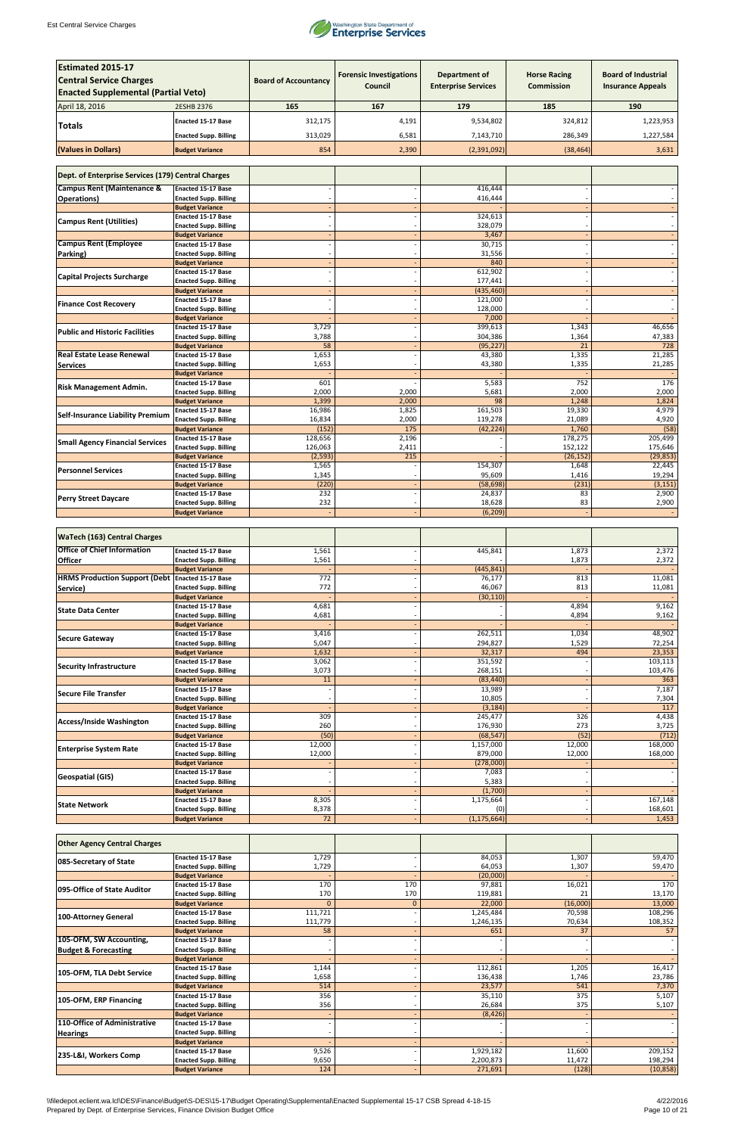

| <b>Estimated 2015-17</b>                           |                                                        |                             |                                |                            |                      |                            |
|----------------------------------------------------|--------------------------------------------------------|-----------------------------|--------------------------------|----------------------------|----------------------|----------------------------|
| <b>Central Service Charges</b>                     |                                                        | <b>Board of Accountancy</b> | <b>Forensic Investigations</b> | Department of              | <b>Horse Racing</b>  | <b>Board of Industrial</b> |
| <b>Enacted Supplemental (Partial Veto)</b>         |                                                        |                             | Council                        | <b>Enterprise Services</b> | <b>Commission</b>    | <b>Insurance Appeals</b>   |
|                                                    |                                                        |                             |                                |                            |                      |                            |
| April 18, 2016                                     | 2ESHB 2376                                             | 165                         | 167                            | 179                        | 185                  | 190                        |
| <b>Totals</b>                                      | <b>Enacted 15-17 Base</b>                              | 312,175                     | 4,191                          | 9,534,802                  | 324,812              | 1,223,953                  |
|                                                    | <b>Enacted Supp. Billing</b>                           | 313,029                     | 6,581                          | 7,143,710                  | 286,349              | 1,227,584                  |
| (Values in Dollars)                                | <b>Budget Variance</b>                                 | 854                         | 2,390                          | (2,391,092)                | (38, 464)            | 3,631                      |
|                                                    |                                                        |                             |                                |                            |                      |                            |
| Dept. of Enterprise Services (179) Central Charges |                                                        |                             |                                |                            |                      |                            |
| <b>Campus Rent (Maintenance &amp;</b>              | <b>Enacted 15-17 Base</b>                              |                             |                                | 416,444                    |                      |                            |
| <b>Operations</b> )                                | <b>Enacted Supp. Billing</b>                           |                             |                                | 416,444                    |                      |                            |
|                                                    | <b>Budget Variance</b>                                 |                             |                                |                            |                      |                            |
| <b>Campus Rent (Utilities)</b>                     | <b>Enacted 15-17 Base</b>                              |                             |                                | 324,613                    |                      |                            |
|                                                    | <b>Enacted Supp. Billing</b><br><b>Budget Variance</b> |                             |                                | 328,079<br>3,467           |                      |                            |
| <b>Campus Rent (Employee</b>                       | <b>Enacted 15-17 Base</b>                              |                             |                                | 30,715                     |                      |                            |
| Parking)                                           | <b>Enacted Supp. Billing</b>                           |                             |                                | 31,556                     |                      |                            |
|                                                    | <b>Budget Variance</b>                                 |                             |                                | 840                        |                      |                            |
| <b>Capital Projects Surcharge</b>                  | <b>Enacted 15-17 Base</b>                              |                             |                                | 612,902                    |                      |                            |
|                                                    | <b>Enacted Supp. Billing</b><br><b>Budget Variance</b> |                             |                                | 177,441<br>(435, 460)      |                      |                            |
|                                                    | <b>Enacted 15-17 Base</b>                              |                             |                                | 121,000                    |                      |                            |
| <b>Finance Cost Recovery</b>                       | <b>Enacted Supp. Billing</b>                           |                             |                                | 128,000                    |                      |                            |
|                                                    | <b>Budget Variance</b>                                 |                             |                                | 7,000                      |                      |                            |
| <b>Public and Historic Facilities</b>              | <b>Enacted 15-17 Base</b>                              | 3,729                       |                                | 399,613                    | 1,343                | 46,656                     |
|                                                    | <b>Enacted Supp. Billing</b><br><b>Budget Variance</b> | 3,788<br>58                 |                                | 304,386<br>(95, 227)       | 1,364<br>21          | 47,383<br>728              |
| <b>Real Estate Lease Renewal</b>                   | <b>Enacted 15-17 Base</b>                              | 1,653                       |                                | 43,380                     | 1,335                | 21,285                     |
| <b>Services</b>                                    | <b>Enacted Supp. Billing</b>                           | 1,653                       |                                | 43,380                     | 1,335                | 21,285                     |
|                                                    | <b>Budget Variance</b>                                 |                             |                                |                            |                      |                            |
| <b>Risk Management Admin.</b>                      | <b>Enacted 15-17 Base</b>                              | 601                         |                                | 5,583                      | 752                  | 176                        |
|                                                    | <b>Enacted Supp. Billing</b><br><b>Budget Variance</b> | 2,000<br>1,399              | 2,000<br>2,000                 | 5,681<br>98                | 2,000<br>1,248       | 2,000<br>1,824             |
|                                                    | <b>Enacted 15-17 Base</b>                              | 16,986                      | 1,825                          | 161,503                    | 19,330               | 4,979                      |
| <b>Self-Insurance Liability Premium</b>            | <b>Enacted Supp. Billing</b>                           | 16,834                      | 2,000                          | 119,278                    | 21,089               | 4,920                      |
|                                                    | <b>Budget Variance</b>                                 | (152)                       | 175                            | (42, 224)                  | 1,760                | (58)                       |
| <b>Small Agency Financial Services</b>             | <b>Enacted 15-17 Base</b>                              | 128,656                     | 2,196                          |                            | 178,275              | 205,499                    |
|                                                    | <b>Enacted Supp. Billing</b><br><b>Budget Variance</b> | 126,063<br>(2, 593)         | 2,411<br>215                   |                            | 152,122<br>(26, 152) | 175,646<br>(29, 853)       |
|                                                    | <b>Enacted 15-17 Base</b>                              | 1,565                       |                                | 154,307                    | 1,648                | 22,445                     |
| <b>Personnel Services</b>                          | <b>Enacted Supp. Billing</b>                           | 1,345                       |                                | 95,609                     | 1,416                | 19,294                     |
|                                                    | <b>Budget Variance</b>                                 | (220)                       |                                | (58, 698)                  | (231)                | (3, 151)                   |
| <b>Perry Street Daycare</b>                        | <b>Enacted 15-17 Base</b>                              | 232                         |                                | 24,837                     | 83                   | 2,900                      |
|                                                    | <b>Enacted Supp. Billing</b><br><b>Budget Variance</b> | 232                         |                                | 18,628<br>(6, 209)         | 83                   | 2,900                      |
|                                                    |                                                        |                             |                                |                            |                      |                            |
| <b>WaTech (163) Central Charges</b>                |                                                        |                             |                                |                            |                      |                            |
| <b>Office of Chief Information</b>                 | Enacted 15-17 Base                                     | 1,561                       |                                | 445,841                    | 1,873                | 2,372                      |
| <b>Officer</b>                                     | <b>Enacted Supp. Billing</b>                           | 1,561                       |                                |                            | 1,873                | 2,372                      |
|                                                    | <b>Budget Variance</b>                                 |                             |                                | (445, 841)                 |                      |                            |
| HRMS Production Support (Debt Enacted 15-17 Base   |                                                        | 772                         |                                | 76,177                     | 813                  | 11,081                     |
| Service)                                           | <b>Enacted Supp. Billing</b>                           | 772                         |                                | 46,067                     | 813                  | 11,081                     |
|                                                    | <b>Budget Variance</b><br><b>Enacted 15-17 Base</b>    | 4,681                       |                                | (30, 110)                  | 4,894                | 9,162                      |
| <b>State Data Center</b>                           | <b>Enacted Supp. Billing</b>                           | 4,681                       |                                |                            | 4,894                | 9,162                      |
|                                                    | <b>Budget Variance</b>                                 |                             |                                |                            |                      |                            |
| <b>Secure Gateway</b>                              | <b>Enacted 15-17 Base</b>                              | 3,416                       |                                | 262,511                    | 1,034                | 48,902                     |
|                                                    | <b>Enacted Supp. Billing</b>                           | 5,047                       |                                | 294,827                    | 1,529                | 72,254                     |
|                                                    | <b>Budget Variance</b><br><b>Enacted 15-17 Base</b>    | 1,632<br>3,062              |                                | 32,317<br>351,592          | 494                  | 23,353<br>103,113          |
| <b>Security Infrastructure</b>                     | <b>Enacted Supp. Billing</b>                           | 3,073                       |                                | 268,151                    |                      | 103,476                    |
|                                                    | <b>Budget Variance</b>                                 | 11                          |                                | (83, 440)                  |                      | 363                        |
| <b>Secure File Transfer</b>                        | <b>Enacted 15-17 Base</b>                              |                             |                                | 13,989                     |                      | 7,187                      |
|                                                    | <b>Enacted Supp. Billing</b>                           |                             |                                | 10,805                     |                      | 7,304                      |
|                                                    | <b>Budget Variance</b><br><b>Enacted 15-17 Base</b>    | 309                         |                                | (3, 184)<br>245,477        | 326                  | 117<br>4,438               |
| <b>Access/Inside Washington</b>                    | <b>Enacted Supp. Billing</b>                           | 260                         |                                | 176,930                    | 273                  | 3,725                      |
|                                                    | <b>Budget Variance</b>                                 | (50)                        |                                | (68, 547)                  | (52)                 | (712)                      |
| <b>Enterprise System Rate</b>                      | <b>Enacted 15-17 Base</b>                              | 12,000                      |                                | 1,157,000                  | 12,000               | 168,000                    |
|                                                    | <b>Enacted Supp. Billing</b>                           | 12,000                      |                                | 879,000                    | 12,000               | 168,000                    |
|                                                    | <b>Budget Variance</b><br><b>Enacted 15-17 Base</b>    |                             |                                | (278,000)<br>7,083         |                      |                            |
| <b>Geospatial (GIS)</b>                            | <b>Enacted Supp. Billing</b>                           |                             |                                | 5,383                      |                      |                            |
|                                                    | <b>Budget Variance</b>                                 |                             |                                | (1,700)                    |                      |                            |
| <b>State Network</b>                               | <b>Enacted 15-17 Base</b>                              | 8,305                       |                                | 1,175,664                  |                      | 167,148                    |
|                                                    | <b>Enacted Supp. Billing</b>                           | 8,378                       |                                | (0)                        |                      | 168,601                    |
|                                                    | <b>Budget Variance</b>                                 | $\overline{72}$             |                                | (1, 175, 664)              |                      | 1,453                      |

| <b>Other Agency Central Charges</b> |                              |          |              |           |          |           |
|-------------------------------------|------------------------------|----------|--------------|-----------|----------|-----------|
| 085-Secretary of State              | <b>Enacted 15-17 Base</b>    | 1,729    |              | 84,053    | 1,307    | 59,470    |
|                                     | <b>Enacted Supp. Billing</b> | 1,729    |              | 64,053    | 1,307    | 59,470    |
|                                     | <b>Budget Variance</b>       |          |              | (20,000)  |          |           |
| 095-Office of State Auditor         | <b>Enacted 15-17 Base</b>    | 170      | 170          | 97,881    | 16,021   | 170       |
|                                     | <b>Enacted Supp. Billing</b> | 170      | 170          | 119,881   | 21       | 13,170    |
|                                     | <b>Budget Variance</b>       | $\Omega$ | $\mathbf{0}$ | 22,000    | (16,000) | 13,000    |
| 100-Attorney General                | <b>Enacted 15-17 Base</b>    | 111,721  |              | 1,245,484 | 70,598   | 108,296   |
|                                     | <b>Enacted Supp. Billing</b> | 111,779  |              | 1,246,135 | 70,634   | 108,352   |
|                                     | <b>Budget Variance</b>       | 58       |              | 651       | 37       | 57        |
| 105-OFM, SW Accounting,             | <b>Enacted 15-17 Base</b>    |          |              |           |          |           |
| <b>Budget &amp; Forecasting</b>     | <b>Enacted Supp. Billing</b> |          |              |           |          |           |
|                                     | <b>Budget Variance</b>       |          |              |           |          |           |
| 105-OFM, TLA Debt Service           | <b>Enacted 15-17 Base</b>    | 1,144    |              | 112,861   | 1,205    | 16,417    |
|                                     | <b>Enacted Supp. Billing</b> | 1,658    |              | 136,438   | 1,746    | 23,786    |
|                                     | <b>Budget Variance</b>       | 514      |              | 23,577    | 541      | 7,370     |
| 105-OFM, ERP Financing              | <b>Enacted 15-17 Base</b>    | 356      |              | 35,110    | 375      | 5,107     |
|                                     | <b>Enacted Supp. Billing</b> | 356      |              | 26,684    | 375      | 5,107     |
|                                     | <b>Budget Variance</b>       |          |              | (8, 426)  |          |           |
| 110-Office of Administrative        | <b>Enacted 15-17 Base</b>    |          |              |           |          |           |
| <b>Hearings</b>                     | <b>Enacted Supp. Billing</b> |          |              |           |          |           |
|                                     | <b>Budget Variance</b>       |          |              |           |          |           |
| 235-L&I, Workers Comp               | <b>Enacted 15-17 Base</b>    | 9,526    |              | 1,929,182 | 11,600   | 209,152   |
|                                     | <b>Enacted Supp. Billing</b> | 9,650    |              | 2,200,873 | 11,472   | 198,294   |
|                                     | <b>Budget Variance</b>       | 124      |              | 271,691   | (128)    | (10, 858) |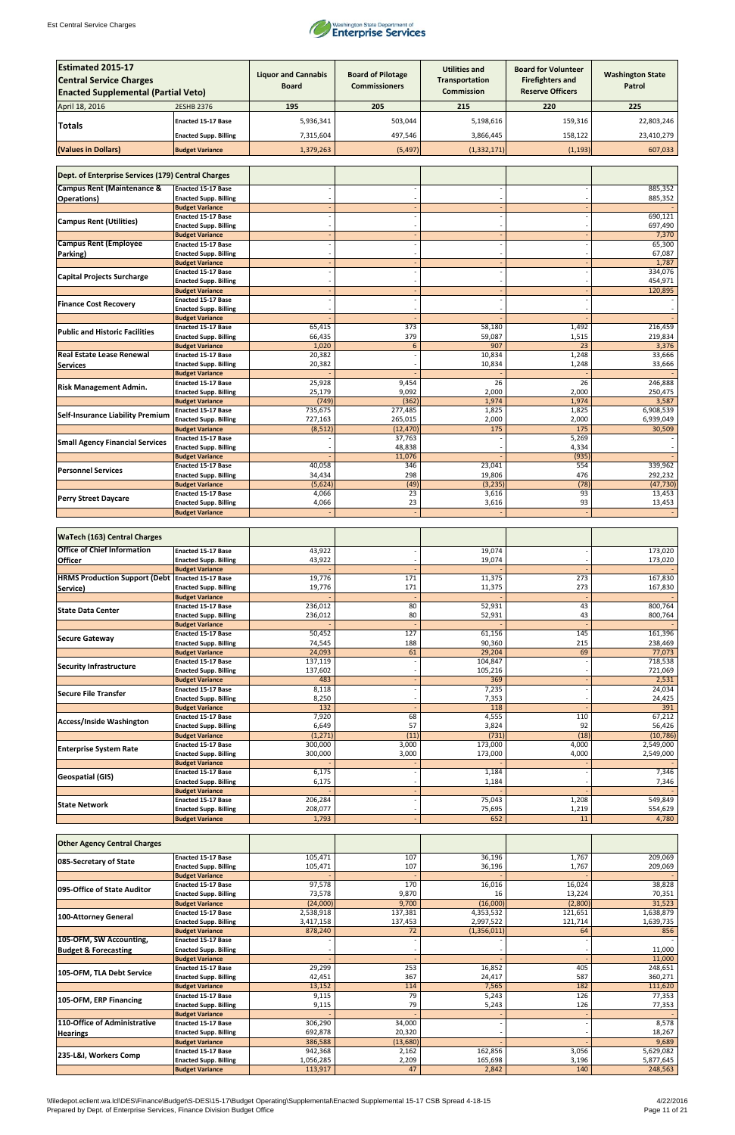

| <b>Estimated 2015-17</b>                                |                                                           |                            |                          |                                               |                                                       |                         |  |  |  |
|---------------------------------------------------------|-----------------------------------------------------------|----------------------------|--------------------------|-----------------------------------------------|-------------------------------------------------------|-------------------------|--|--|--|
| <b>Central Service Charges</b>                          |                                                           | <b>Liquor and Cannabis</b> | <b>Board of Pilotage</b> | <b>Utilities and</b><br><b>Transportation</b> | <b>Board for Volunteer</b><br><b>Firefighters and</b> | <b>Washington State</b> |  |  |  |
| <b>Enacted Supplemental (Partial Veto)</b>              |                                                           | <b>Board</b>               | <b>Commissioners</b>     | <b>Commission</b>                             | <b>Reserve Officers</b>                               | Patrol                  |  |  |  |
|                                                         |                                                           |                            |                          |                                               |                                                       |                         |  |  |  |
| April 18, 2016                                          | 2ESHB 2376                                                | 195                        | 205                      | 215                                           | 220                                                   | 225                     |  |  |  |
| <b>Totals</b>                                           | <b>Enacted 15-17 Base</b>                                 | 5,936,341                  | 503,044                  | 5,198,616                                     | 159,316                                               | 22,803,246              |  |  |  |
|                                                         | <b>Enacted Supp. Billing</b>                              | 7,315,604                  | 497,546                  | 3,866,445                                     | 158,122                                               | 23,410,279              |  |  |  |
| (Values in Dollars)                                     | <b>Budget Variance</b>                                    | 1,379,263                  | (5, 497)                 | (1, 332, 171)                                 | (1, 193)                                              | 607,033                 |  |  |  |
|                                                         |                                                           |                            |                          |                                               |                                                       |                         |  |  |  |
| Dept. of Enterprise Services (179) Central Charges      |                                                           |                            |                          |                                               |                                                       |                         |  |  |  |
| <b>Campus Rent (Maintenance &amp;</b>                   | <b>Enacted 15-17 Base</b>                                 |                            |                          |                                               |                                                       | 885,352                 |  |  |  |
| <b>Operations</b> )                                     | <b>Enacted Supp. Billing</b>                              |                            |                          |                                               |                                                       | 885,352                 |  |  |  |
|                                                         | <b>Budget Variance</b>                                    |                            |                          |                                               |                                                       |                         |  |  |  |
| <b>Campus Rent (Utilities)</b>                          | Enacted 15-17 Base                                        |                            |                          |                                               |                                                       | 690,121                 |  |  |  |
|                                                         | <b>Enacted Supp. Billing</b><br><b>Budget Variance</b>    |                            |                          |                                               |                                                       | 697,490<br>7,370        |  |  |  |
| <b>Campus Rent (Employee</b>                            | <b>Enacted 15-17 Base</b>                                 |                            |                          |                                               |                                                       | 65,300                  |  |  |  |
| Parking)                                                | <b>Enacted Supp. Billing</b>                              |                            |                          |                                               |                                                       | 67,087                  |  |  |  |
|                                                         | <b>Budget Variance</b>                                    |                            |                          |                                               |                                                       | 1,787                   |  |  |  |
| <b>Capital Projects Surcharge</b>                       | <b>Enacted 15-17 Base</b><br><b>Enacted Supp. Billing</b> |                            |                          |                                               |                                                       | 334,076<br>454,971      |  |  |  |
|                                                         | <b>Budget Variance</b>                                    |                            |                          |                                               |                                                       | 120,895                 |  |  |  |
| <b>Finance Cost Recovery</b>                            | <b>Enacted 15-17 Base</b>                                 |                            |                          |                                               |                                                       |                         |  |  |  |
|                                                         | <b>Enacted Supp. Billing</b>                              |                            |                          |                                               |                                                       |                         |  |  |  |
|                                                         | <b>Budget Variance</b><br><b>Enacted 15-17 Base</b>       | 65,415                     | 373                      | 58,180                                        | 1,492                                                 | 216,459                 |  |  |  |
| <b>Public and Historic Facilities</b>                   | <b>Enacted Supp. Billing</b>                              | 66,435                     | 379                      | 59,087                                        | 1,515                                                 | 219,834                 |  |  |  |
|                                                         | <b>Budget Variance</b>                                    | 1,020                      | 6                        | 907                                           | 23                                                    | 3,376                   |  |  |  |
| <b>Real Estate Lease Renewal</b>                        | <b>Enacted 15-17 Base</b>                                 | 20,382                     |                          | 10,834                                        | 1,248                                                 | 33,666                  |  |  |  |
| <b>Services</b>                                         | <b>Enacted Supp. Billing</b><br><b>Budget Variance</b>    | 20,382                     |                          | 10,834                                        | 1,248                                                 | 33,666                  |  |  |  |
|                                                         | <b>Enacted 15-17 Base</b>                                 | 25,928                     | 9,454                    | 26                                            | 26                                                    | 246,888                 |  |  |  |
| <b>Risk Management Admin.</b>                           | <b>Enacted Supp. Billing</b>                              | 25,179                     | 9,092                    | 2,000                                         | 2,000                                                 | 250,475                 |  |  |  |
|                                                         | <b>Budget Variance</b>                                    | (749)                      | (362)                    | 1,974                                         | 1,974                                                 | 3,587                   |  |  |  |
| <b>Self-Insurance Liability Premium</b>                 | <b>Enacted 15-17 Base</b><br><b>Enacted Supp. Billing</b> | 735,675<br>727,163         | 277,485<br>265,015       | 1,825<br>2,000                                | 1,825<br>2,000                                        | 6,908,539<br>6,939,049  |  |  |  |
|                                                         | <b>Budget Variance</b>                                    | (8, 512)                   | (12, 470)                | 175                                           | 175                                                   | 30,509                  |  |  |  |
| <b>Small Agency Financial Services</b>                  | Enacted 15-17 Base                                        |                            | 37,763                   |                                               | 5,269                                                 |                         |  |  |  |
|                                                         | <b>Enacted Supp. Billing</b><br><b>Budget Variance</b>    |                            | 48,838<br>11,076         |                                               | 4,334<br>(935)                                        |                         |  |  |  |
|                                                         | <b>Enacted 15-17 Base</b>                                 | 40,058                     | 346                      | 23,041                                        | 554                                                   | 339,962                 |  |  |  |
| <b>Personnel Services</b>                               | <b>Enacted Supp. Billing</b>                              | 34,434                     | 298                      | 19,806                                        | 476                                                   | 292,232                 |  |  |  |
|                                                         | <b>Budget Variance</b>                                    | (5,624)                    | (49)                     | (3, 235)                                      | (78)                                                  | (47, 730)               |  |  |  |
| <b>Perry Street Daycare</b>                             | <b>Enacted 15-17 Base</b><br><b>Enacted Supp. Billing</b> | 4,066<br>4,066             | 23<br>23                 | 3,616<br>3,616                                | 93<br>93                                              | 13,453<br>13,453        |  |  |  |
|                                                         | <b>Budget Variance</b>                                    |                            |                          |                                               |                                                       |                         |  |  |  |
|                                                         |                                                           |                            |                          |                                               |                                                       |                         |  |  |  |
| <b>WaTech (163) Central Charges</b>                     |                                                           |                            |                          |                                               |                                                       |                         |  |  |  |
| <b>Office of Chief Information</b>                      | <b>Enacted 15-17 Base</b>                                 | 43,922                     |                          | 19,074                                        |                                                       | 173,020                 |  |  |  |
| <b>Officer</b>                                          | <b>Enacted Supp. Billing</b>                              | 43,922                     |                          | 19,074                                        |                                                       | 173,020                 |  |  |  |
|                                                         | <b>Budget Variance</b>                                    |                            |                          |                                               |                                                       |                         |  |  |  |
| <b>HRMS Production Support (Debt Enacted 15-17 Base</b> |                                                           | 19,776                     | 171                      | 11,375                                        | 273                                                   | 167,830                 |  |  |  |
| Service)                                                | <b>Enacted Supp. Billing</b><br><b>Budget Variance</b>    | 19,776                     | 171                      | 11,375                                        | 273                                                   | 167,830                 |  |  |  |
|                                                         | <b>Enacted 15-17 Base</b>                                 | 236,012                    | 80                       | 52,931                                        | 43                                                    | 800,764                 |  |  |  |
| <b>State Data Center</b>                                | <b>Enacted Supp. Billing</b>                              | 236,012                    | 80                       | 52,931                                        | 43                                                    | 800,764                 |  |  |  |
|                                                         | <b>Budget Variance</b>                                    |                            |                          |                                               |                                                       |                         |  |  |  |
| <b>Secure Gateway</b>                                   | <b>Enacted 15-17 Base</b><br><b>Enacted Supp. Billing</b> | 50,452<br>74,545           | $\frac{127}{2}$<br>188   | 61,156<br>90,360                              | 145<br>215                                            | 161,396<br>238,469      |  |  |  |
|                                                         | <b>Budget Variance</b>                                    | 24,093                     | 61                       | 29,204                                        | 69                                                    | 77,073                  |  |  |  |
| <b>Security Infrastructure</b>                          | <b>Enacted 15-17 Base</b>                                 | 137,119                    |                          | 104,847                                       |                                                       | 718,538                 |  |  |  |
|                                                         | <b>Enacted Supp. Billing</b><br><b>Budget Variance</b>    | 137,602<br>483             |                          | 105,216<br>369                                |                                                       | 721,069<br>2,531        |  |  |  |
|                                                         | Enacted 15-17 Base                                        | 8,118                      |                          | 7,235                                         |                                                       | 24,034                  |  |  |  |
| Secure File Transfer                                    | <b>Enacted Supp. Billing</b>                              | 8,250                      |                          | 7,353                                         |                                                       | 24,425                  |  |  |  |
|                                                         | <b>Budget Variance</b>                                    | 132                        |                          | 118                                           |                                                       | 391                     |  |  |  |
| <b>Access/Inside Washington</b>                         | <b>Enacted 15-17 Base</b><br><b>Enacted Supp. Billing</b> | 7,920<br>6,649             | 68<br>57                 | 4,555<br>3,824                                | 110<br>92                                             | 67,212<br>56,426        |  |  |  |
|                                                         | <b>Budget Variance</b>                                    | (1, 271)                   | (11)                     | (731)                                         | (18)                                                  | (10, 786)               |  |  |  |
| <b>Enterprise System Rate</b>                           | <b>Enacted 15-17 Base</b>                                 | 300,000                    | 3,000                    | 173,000                                       | 4,000                                                 | 2,549,000               |  |  |  |
|                                                         | <b>Enacted Supp. Billing</b>                              | 300,000                    | 3,000                    | 173,000                                       | 4,000                                                 | 2,549,000               |  |  |  |
|                                                         | <b>Budget Variance</b><br><b>Enacted 15-17 Base</b>       | 6,175                      |                          | 1,184                                         |                                                       | 7,346                   |  |  |  |
| <b>Geospatial (GIS)</b>                                 | <b>Enacted Supp. Billing</b>                              | 6,175                      |                          | 1,184                                         |                                                       | 7,346                   |  |  |  |
|                                                         | <b>Budget Variance</b>                                    |                            |                          |                                               |                                                       |                         |  |  |  |
| <b>State Network</b>                                    | <b>Enacted 15-17 Base</b>                                 | 206,284                    |                          | 75,043                                        | 1,208                                                 | 549,849                 |  |  |  |
|                                                         | <b>Enacted Supp. Billing</b><br><b>Budget Variance</b>    | 208,077<br>1,793           |                          | 75,695<br>652                                 | 1,219<br>11                                           | 554,629<br>4,780        |  |  |  |

| <b>Other Agency Central Charges</b> |                              |           |          |             |         |           |
|-------------------------------------|------------------------------|-----------|----------|-------------|---------|-----------|
|                                     | <b>Enacted 15-17 Base</b>    | 105,471   | 107      | 36,196      | 1,767   | 209,069   |
| 085-Secretary of State              | <b>Enacted Supp. Billing</b> | 105,471   | 107      | 36,196      | 1,767   | 209,069   |
|                                     | <b>Budget Variance</b>       |           |          |             |         |           |
| 095-Office of State Auditor         | <b>Enacted 15-17 Base</b>    | 97,578    | 170      | 16,016      | 16,024  | 38,828    |
|                                     | <b>Enacted Supp. Billing</b> | 73,578    | 9,870    | 16          | 13,224  | 70,351    |
|                                     | <b>Budget Variance</b>       | (24,000)  | 9,700    | (16,000)    | (2,800) | 31,523    |
|                                     | <b>Enacted 15-17 Base</b>    | 2,538,918 | 137,381  | 4,353,532   | 121,651 | 1,638,879 |
| <b>100-Attorney General</b>         | <b>Enacted Supp. Billing</b> | 3,417,158 | 137,453  | 2,997,522   | 121,714 | 1,639,735 |
|                                     | <b>Budget Variance</b>       | 878,240   | 72       | (1,356,011) | 64      | 856       |
| 105-OFM, SW Accounting,             | <b>Enacted 15-17 Base</b>    |           |          |             |         |           |
| <b>Budget &amp; Forecasting</b>     | <b>Enacted Supp. Billing</b> |           |          |             |         | 11,000    |
|                                     | <b>Budget Variance</b>       |           |          |             |         | 11,000    |
| 105-OFM, TLA Debt Service           | <b>Enacted 15-17 Base</b>    | 29,299    | 253      | 16,852      | 405     | 248,651   |
|                                     | <b>Enacted Supp. Billing</b> | 42,451    | 367      | 24,417      | 587     | 360,271   |
|                                     | <b>Budget Variance</b>       | 13,152    | 114      | 7,565       | 182     | 111,620   |
| 105-OFM, ERP Financing              | <b>Enacted 15-17 Base</b>    | 9,115     | 79       | 5,243       | 126     | 77,353    |
|                                     | <b>Enacted Supp. Billing</b> | 9,115     | 79       | 5,243       | 126     | 77,353    |
|                                     | <b>Budget Variance</b>       |           |          |             |         |           |
| 110-Office of Administrative        | <b>Enacted 15-17 Base</b>    | 306,290   | 34,000   |             |         | 8,578     |
| <b>Hearings</b>                     | <b>Enacted Supp. Billing</b> | 692,878   | 20,320   |             |         | 18,267    |
|                                     | <b>Budget Variance</b>       | 386,588   | (13,680) |             |         | 9,689     |
| 235-L&I, Workers Comp               | <b>Enacted 15-17 Base</b>    | 942,368   | 2,162    | 162,856     | 3,056   | 5,629,082 |
|                                     | <b>Enacted Supp. Billing</b> | 1,056,285 | 2,209    | 165,698     | 3,196   | 5,877,645 |
|                                     | <b>Budget Variance</b>       | 113,917   | 47       | 2,842       | 140     | 248,563   |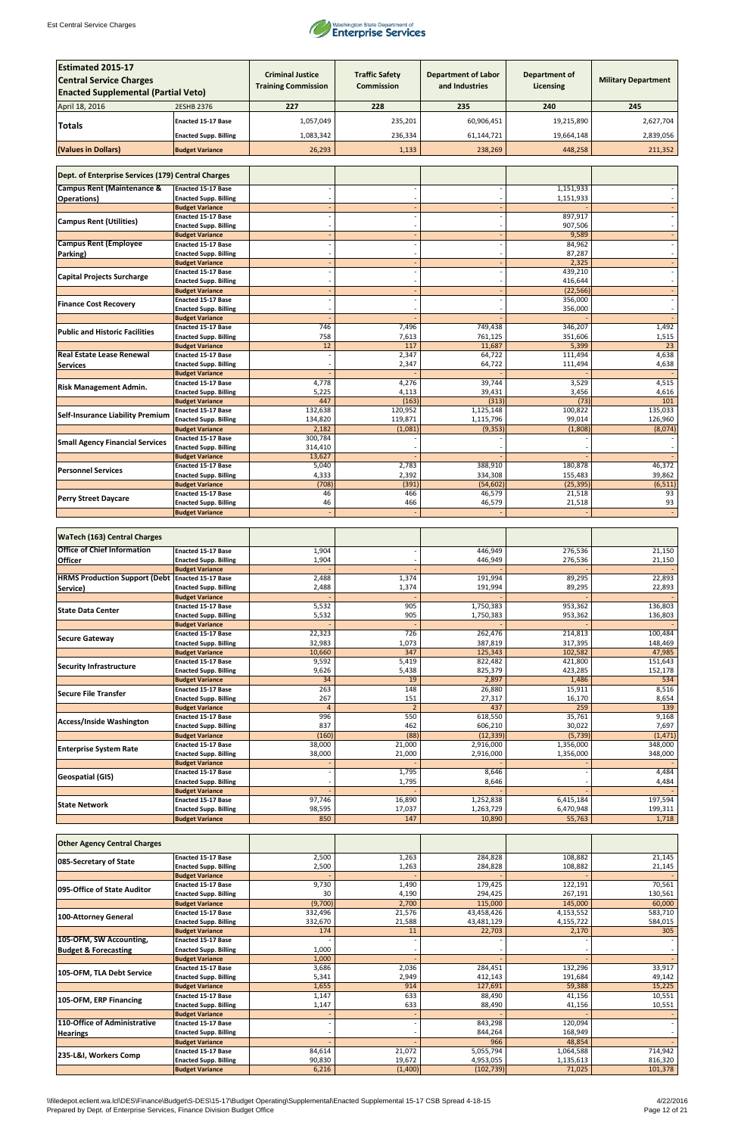

| <b>Estimated 2015-17</b>                                |                                                           |                            |                       |                            |                      |                            |
|---------------------------------------------------------|-----------------------------------------------------------|----------------------------|-----------------------|----------------------------|----------------------|----------------------------|
|                                                         |                                                           | <b>Criminal Justice</b>    | <b>Traffic Safety</b> | <b>Department of Labor</b> | <b>Department of</b> |                            |
| <b>Central Service Charges</b>                          |                                                           | <b>Training Commission</b> | <b>Commission</b>     | and Industries             | Licensing            | <b>Military Department</b> |
| <b>Enacted Supplemental (Partial Veto)</b>              |                                                           |                            |                       |                            |                      |                            |
| April 18, 2016                                          | 2ESHB 2376                                                | 227                        | 228                   | 235                        | 240                  | 245                        |
|                                                         | <b>Enacted 15-17 Base</b>                                 | 1,057,049                  | 235,201               | 60,906,451                 | 19,215,890           | 2,627,704                  |
| <b>Totals</b>                                           |                                                           |                            |                       |                            |                      |                            |
|                                                         | <b>Enacted Supp. Billing</b>                              | 1,083,342                  | 236,334               | 61,144,721                 | 19,664,148           | 2,839,056                  |
| (Values in Dollars)                                     | <b>Budget Variance</b>                                    | 26,293                     | 1,133                 | 238,269                    | 448,258              | 211,352                    |
|                                                         |                                                           |                            |                       |                            |                      |                            |
| Dept. of Enterprise Services (179) Central Charges      |                                                           |                            |                       |                            |                      |                            |
|                                                         |                                                           |                            |                       |                            |                      |                            |
| <b>Campus Rent (Maintenance &amp;</b>                   | <b>Enacted 15-17 Base</b>                                 |                            |                       |                            | 1,151,933            |                            |
| <b>Operations</b> )                                     | <b>Enacted Supp. Billing</b>                              |                            |                       |                            | 1,151,933            |                            |
|                                                         | <b>Budget Variance</b><br><b>Enacted 15-17 Base</b>       |                            |                       |                            | 897,917              |                            |
| <b>Campus Rent (Utilities)</b>                          | <b>Enacted Supp. Billing</b>                              |                            |                       |                            | 907,506              |                            |
|                                                         | <b>Budget Variance</b>                                    |                            |                       |                            | 9,589                |                            |
| <b>Campus Rent (Employee</b>                            | <b>Enacted 15-17 Base</b>                                 |                            |                       |                            | 84,962               |                            |
| Parking)                                                | <b>Enacted Supp. Billing</b>                              |                            |                       |                            | 87,287               |                            |
|                                                         | <b>Budget Variance</b>                                    |                            |                       |                            | 2,325                |                            |
| <b>Capital Projects Surcharge</b>                       | <b>Enacted 15-17 Base</b>                                 |                            |                       |                            | 439,210              |                            |
|                                                         | <b>Enacted Supp. Billing</b><br><b>Budget Variance</b>    |                            |                       |                            | 416,644<br>(22, 566) |                            |
|                                                         | <b>Enacted 15-17 Base</b>                                 |                            |                       |                            | 356,000              |                            |
| <b>Finance Cost Recovery</b>                            | <b>Enacted Supp. Billing</b>                              |                            |                       |                            | 356,000              |                            |
|                                                         | <b>Budget Variance</b>                                    |                            |                       |                            |                      |                            |
| <b>Public and Historic Facilities</b>                   | <b>Enacted 15-17 Base</b>                                 | 746                        | 7,496                 | 749,438                    | 346,207              | 1,492                      |
|                                                         | <b>Enacted Supp. Billing</b>                              | 758                        | 7,613                 | 761,125                    | 351,606              | 1,515                      |
| <b>Real Estate Lease Renewal</b>                        | <b>Budget Variance</b>                                    | 12                         | 117                   | 11,687                     | 5,399                | 23<br>4,638                |
|                                                         | <b>Enacted 15-17 Base</b><br><b>Enacted Supp. Billing</b> |                            | 2,347<br>2,347        | 64,722<br>64,722           | 111,494<br>111,494   | 4,638                      |
| <b>Services</b>                                         | <b>Budget Variance</b>                                    |                            |                       |                            |                      |                            |
|                                                         | <b>Enacted 15-17 Base</b>                                 | 4,778                      | 4,276                 | 39,744                     | 3,529                | 4,515                      |
| <b>Risk Management Admin.</b>                           | <b>Enacted Supp. Billing</b>                              | 5,225                      | 4,113                 | 39,431                     | 3,456                | 4,616                      |
|                                                         | <b>Budget Variance</b>                                    | 447                        | (163)                 | (313)                      | (73)                 | 101                        |
| <b>Self-Insurance Liability Premium</b>                 | <b>Enacted 15-17 Base</b>                                 | 132,638                    | 120,952               | 1,125,148                  | 100,822              | 135,033                    |
|                                                         | <b>Enacted Supp. Billing</b>                              | 134,820                    | 119,871               | 1,115,796                  | 99,014               | 126,960                    |
|                                                         | <b>Budget Variance</b><br><b>Enacted 15-17 Base</b>       | 2,182<br>300,784           | (1,081)               | (9, 353)                   | (1,808)              | (8,074)                    |
| <b>Small Agency Financial Services</b>                  | <b>Enacted Supp. Billing</b>                              | 314,410                    |                       |                            |                      |                            |
|                                                         | <b>Budget Variance</b>                                    | 13,627                     |                       |                            |                      |                            |
| <b>Personnel Services</b>                               | <b>Enacted 15-17 Base</b>                                 | 5,040                      | 2,783                 | 388,910                    | 180,878              | 46,372                     |
|                                                         | <b>Enacted Supp. Billing</b>                              | 4,333                      | 2,392                 | 334,308                    | 155,483              | 39,862                     |
|                                                         | <b>Budget Variance</b>                                    | (708)                      | (391)                 | (54, 602)                  | (25, 395)            | (6, 511)                   |
| <b>Perry Street Daycare</b>                             | <b>Enacted 15-17 Base</b><br><b>Enacted Supp. Billing</b> | 46<br>46                   | 466<br>466            | 46,579<br>46,579           | 21,518<br>21,518     | 93<br>93                   |
|                                                         | <b>Budget Variance</b>                                    |                            |                       |                            |                      |                            |
|                                                         |                                                           |                            |                       |                            |                      |                            |
|                                                         |                                                           |                            |                       |                            |                      |                            |
| <b>WaTech (163) Central Charges</b>                     |                                                           |                            |                       |                            |                      |                            |
| <b>Office of Chief Information</b>                      | <b>Enacted 15-17 Base</b>                                 | 1,904                      |                       | 446,949                    | 276,536              | 21,150                     |
| <b>Officer</b>                                          | <b>Enacted Supp. Billing</b>                              | 1,904                      |                       | 446,949                    | 276,536              | 21,150                     |
| <b>HRMS Production Support (Debt Enacted 15-17 Base</b> | <b>Budget Variance</b>                                    |                            |                       |                            |                      |                            |
|                                                         | <b>Enacted Supp. Billing</b>                              | 2,488<br>2,488             | 1,374<br>1,374        | 191,994<br>191,994         | 89,295<br>89,295     | 22,893<br>22,893           |
| Service)                                                | <b>Budget Variance</b>                                    |                            |                       |                            |                      |                            |
|                                                         | <b>Enacted 15-17 Base</b>                                 | 5,532                      | 905                   | 1,750,383                  | 953,362              | 136,803                    |
| <b>State Data Center</b>                                | <b>Enacted Supp. Billing</b>                              | 5,532                      | 905                   | 1,750,383                  | 953,362              | 136,803                    |
|                                                         | <b>Budget Variance</b>                                    |                            |                       |                            |                      |                            |
| Secure Gateway                                          | <b>Enacted 15-17 Base</b>                                 | 22,323                     | 726                   | 262,476                    | 214,813              | 100,484                    |
|                                                         | <b>Enacted Supp. Billing</b><br><b>Budget Variance</b>    | 32,983<br>10,660           | 1,073<br>347          | 387,819<br>125,343         | 317,395<br>102,582   | 148,469<br>47,985          |
|                                                         | <b>Enacted 15-17 Base</b>                                 | 9,592                      | 5,419                 | 822,482                    | 421,800              | 151,643                    |
| <b>Security Infrastructure</b>                          | <b>Enacted Supp. Billing</b>                              | 9,626                      | 5,438                 | 825,379                    | 423,285              | 152,178                    |
|                                                         | <b>Budget Variance</b>                                    | 34                         | 19                    | 2,897                      | 1,486                | 534                        |
| Secure File Transfer                                    | <b>Enacted 15-17 Base</b>                                 | 263                        | 148                   | 26,880                     | 15,911               | 8,516                      |
|                                                         | <b>Enacted Supp. Billing</b>                              | 267                        | 151                   | 27,317                     | 16,170               | 8,654                      |
|                                                         | <b>Budget Variance</b>                                    | $\overline{4}$             | 2 <sup>2</sup>        | 437                        | 259                  | 139<br>9,168               |
| <b>Access/Inside Washington</b>                         | <b>Enacted 15-17 Base</b><br><b>Enacted Supp. Billing</b> | 996<br>837                 | 550<br>462            | 618,550<br>606,210         | 35,761<br>30,022     | 7,697                      |
|                                                         | <b>Budget Variance</b>                                    | (160)                      | (88)                  | (12, 339)                  | (5, 739)             | (1, 471)                   |
|                                                         | <b>Enacted 15-17 Base</b>                                 | 38,000                     | 21,000                | 2,916,000                  | 1,356,000            | 348,000                    |
| <b>Enterprise System Rate</b>                           | <b>Enacted Supp. Billing</b>                              | 38,000                     | 21,000                | 2,916,000                  | 1,356,000            | 348,000                    |
|                                                         | <b>Budget Variance</b>                                    |                            |                       |                            |                      |                            |
| <b>Geospatial (GIS)</b>                                 | <b>Enacted 15-17 Base</b>                                 |                            | 1,795                 | 8,646                      |                      | 4,484                      |
|                                                         | <b>Enacted Supp. Billing</b><br><b>Budget Variance</b>    |                            | 1,795                 | 8,646                      |                      | 4,484                      |
|                                                         | Enacted 15-17 Base                                        | 97,746                     | 16,890                | 1,252,838                  | 6,415,184            | 197,594                    |
| <b>State Network</b>                                    | <b>Enacted Supp. Billing</b>                              | 98,595                     | 17,037                | 1,263,729                  | 6,470,948            | 199,311                    |
|                                                         | <b>Budget Variance</b>                                    | 850                        | 147                   | 10,890                     | 55,763               | 1,718                      |

| <b>Other Agency Central Charges</b> |                              |         |         |            |           |         |
|-------------------------------------|------------------------------|---------|---------|------------|-----------|---------|
| 085-Secretary of State              | <b>Enacted 15-17 Base</b>    | 2,500   | 1,263   | 284,828    | 108,882   | 21,145  |
|                                     | <b>Enacted Supp. Billing</b> | 2,500   | 1,263   | 284,828    | 108,882   | 21,145  |
|                                     | <b>Budget Variance</b>       |         |         |            |           |         |
| 095-Office of State Auditor         | <b>Enacted 15-17 Base</b>    | 9,730   | 1,490   | 179,425    | 122,191   | 70,561  |
|                                     | <b>Enacted Supp. Billing</b> | 30      | 4,190   | 294,425    | 267,191   | 130,561 |
|                                     | <b>Budget Variance</b>       | (9,700) | 2,700   | 115,000    | 145,000   | 60,000  |
|                                     | <b>Enacted 15-17 Base</b>    | 332,496 | 21,576  | 43,458,426 | 4,153,552 | 583,710 |
| 100-Attorney General                | <b>Enacted Supp. Billing</b> | 332,670 | 21,588  | 43,481,129 | 4,155,722 | 584,015 |
|                                     | <b>Budget Variance</b>       | 174     | 11      | 22,703     | 2,170     | 305     |
| 105-OFM, SW Accounting,             | <b>Enacted 15-17 Base</b>    |         |         |            |           |         |
| <b>Budget &amp; Forecasting</b>     | <b>Enacted Supp. Billing</b> | 1,000   |         |            |           |         |
|                                     | <b>Budget Variance</b>       | 1,000   |         |            |           |         |
| 105-OFM, TLA Debt Service           | <b>Enacted 15-17 Base</b>    | 3,686   | 2,036   | 284,451    | 132,296   | 33,917  |
|                                     | <b>Enacted Supp. Billing</b> | 5,341   | 2,949   | 412,143    | 191,684   | 49,142  |
|                                     | <b>Budget Variance</b>       | 1,655   | 914     | 127,691    | 59,388    | 15,225  |
| 105-OFM, ERP Financing              | <b>Enacted 15-17 Base</b>    | 1,147   | 633     | 88,490     | 41,156    | 10,551  |
|                                     | <b>Enacted Supp. Billing</b> | 1,147   | 633     | 88,490     | 41,156    | 10,551  |
|                                     | <b>Budget Variance</b>       |         |         |            |           |         |
| 110-Office of Administrative        | <b>Enacted 15-17 Base</b>    |         |         | 843,298    | 120,094   |         |
| <b>Hearings</b>                     | <b>Enacted Supp. Billing</b> |         |         | 844,264    | 168,949   |         |
|                                     | <b>Budget Variance</b>       |         |         | 966        | 48,854    |         |
|                                     | <b>Enacted 15-17 Base</b>    | 84,614  | 21,072  | 5,055,794  | 1,064,588 | 714,942 |
| 235-L&I, Workers Comp               | <b>Enacted Supp. Billing</b> | 90,830  | 19,672  | 4,953,055  | 1,135,613 | 816,320 |
|                                     | <b>Budget Variance</b>       | 6,216   | (1,400) | (102, 739) | 71,025    | 101,378 |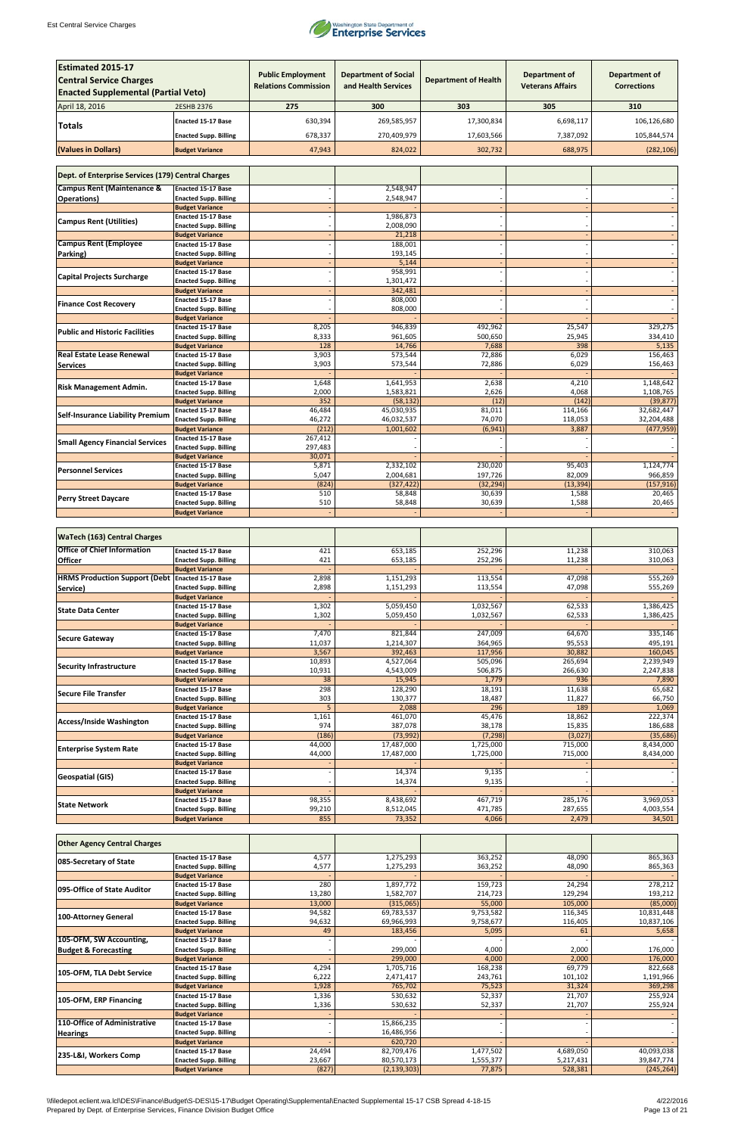

| <b>Estimated 2015-17</b>                           |                                                           |                                                         |                                                    |                             |                                                 |                                            |
|----------------------------------------------------|-----------------------------------------------------------|---------------------------------------------------------|----------------------------------------------------|-----------------------------|-------------------------------------------------|--------------------------------------------|
| <b>Central Service Charges</b>                     |                                                           | <b>Public Employment</b><br><b>Relations Commission</b> | <b>Department of Social</b><br>and Health Services | <b>Department of Health</b> | <b>Department of</b><br><b>Veterans Affairs</b> | <b>Department of</b><br><b>Corrections</b> |
| <b>Enacted Supplemental (Partial Veto)</b>         |                                                           |                                                         |                                                    |                             |                                                 |                                            |
| April 18, 2016                                     | <b>2ESHB 2376</b>                                         | 275                                                     | 300                                                | 303                         | 305                                             | 310                                        |
|                                                    | <b>Enacted 15-17 Base</b>                                 | 630,394                                                 | 269,585,957                                        | 17,300,834                  | 6,698,117                                       | 106,126,680                                |
| <b>Totals</b>                                      |                                                           |                                                         |                                                    |                             |                                                 |                                            |
|                                                    | <b>Enacted Supp. Billing</b>                              | 678,337                                                 | 270,409,979                                        | 17,603,566                  | 7,387,092                                       | 105,844,574                                |
| (Values in Dollars)                                | <b>Budget Variance</b>                                    | 47,943                                                  | 824,022                                            | 302,732                     | 688,975                                         | (282, 106)                                 |
|                                                    |                                                           |                                                         |                                                    |                             |                                                 |                                            |
| Dept. of Enterprise Services (179) Central Charges |                                                           |                                                         |                                                    |                             |                                                 |                                            |
| <b>Campus Rent (Maintenance &amp;</b>              | <b>Enacted 15-17 Base</b>                                 |                                                         | 2,548,947                                          |                             |                                                 |                                            |
| <b>Operations</b> )                                | <b>Enacted Supp. Billing</b><br><b>Budget Variance</b>    |                                                         | 2,548,947                                          |                             |                                                 |                                            |
|                                                    | <b>Enacted 15-17 Base</b>                                 |                                                         | 1,986,873                                          |                             |                                                 |                                            |
| <b>Campus Rent (Utilities)</b>                     | <b>Enacted Supp. Billing</b>                              |                                                         | 2,008,090                                          |                             |                                                 |                                            |
|                                                    | <b>Budget Variance</b>                                    |                                                         | 21,218                                             |                             |                                                 |                                            |
| <b>Campus Rent (Employee</b>                       | <b>Enacted 15-17 Base</b><br><b>Enacted Supp. Billing</b> |                                                         | 188,001<br>193,145                                 |                             |                                                 |                                            |
| Parking)                                           | <b>Budget Variance</b>                                    |                                                         | 5,144                                              |                             |                                                 |                                            |
|                                                    | <b>Enacted 15-17 Base</b>                                 |                                                         | 958,991                                            |                             |                                                 |                                            |
| <b>Capital Projects Surcharge</b>                  | <b>Enacted Supp. Billing</b>                              |                                                         | 1,301,472                                          |                             |                                                 |                                            |
|                                                    | <b>Budget Variance</b>                                    |                                                         | 342,481                                            |                             |                                                 |                                            |
| <b>Finance Cost Recovery</b>                       | <b>Enacted 15-17 Base</b><br><b>Enacted Supp. Billing</b> |                                                         | 808,000<br>808,000                                 |                             |                                                 |                                            |
|                                                    | <b>Budget Variance</b>                                    |                                                         |                                                    |                             |                                                 |                                            |
| <b>Public and Historic Facilities</b>              | <b>Enacted 15-17 Base</b>                                 | 8,205                                                   | 946,839                                            | 492,962                     | 25,547                                          | 329,275                                    |
|                                                    | <b>Enacted Supp. Billing</b>                              | 8,333                                                   | 961,605                                            | 500,650                     | 25,945                                          | 334,410                                    |
| <b>Real Estate Lease Renewal</b>                   | <b>Budget Variance</b><br><b>Enacted 15-17 Base</b>       | 128<br>3,903                                            | 14,766<br>573,544                                  | 7,688<br>72,886             | 398<br>6,029                                    | 5,135<br>156,463                           |
| <b>Services</b>                                    | <b>Enacted Supp. Billing</b>                              | 3,903                                                   | 573,544                                            | 72,886                      | 6,029                                           | 156,463                                    |
|                                                    | <b>Budget Variance</b>                                    |                                                         |                                                    |                             |                                                 |                                            |
| <b>Risk Management Admin.</b>                      | <b>Enacted 15-17 Base</b>                                 | 1,648                                                   | 1,641,953                                          | 2,638                       | 4,210                                           | 1,148,642                                  |
|                                                    | <b>Enacted Supp. Billing</b>                              | 2,000                                                   | 1,583,821                                          | 2,626                       | 4,068                                           | 1,108,765                                  |
|                                                    | <b>Budget Variance</b><br><b>Enacted 15-17 Base</b>       | 352<br>46,484                                           | (58, 132)<br>45,030,935                            | (12)<br>81,011              | (142)<br>114,166                                | (39, 877)<br>32,682,447                    |
| <b>Self-Insurance Liability Premium</b>            | <b>Enacted Supp. Billing</b>                              | 46,272                                                  | 46,032,537                                         | 74,070                      | 118,053                                         | 32,204,488                                 |
|                                                    | <b>Budget Variance</b>                                    | (212)                                                   | 1,001,602                                          | (6, 941)                    | 3,887                                           | (477, 959)                                 |
| <b>Small Agency Financial Services</b>             | <b>Enacted 15-17 Base</b>                                 | 267,412                                                 |                                                    |                             |                                                 |                                            |
|                                                    | <b>Enacted Supp. Billing</b>                              | 297,483<br>30,071                                       |                                                    |                             |                                                 |                                            |
|                                                    | <b>Budget Variance</b><br><b>Enacted 15-17 Base</b>       | 5,871                                                   | 2,332,102                                          | 230,020                     | 95,403                                          | 1,124,774                                  |
| <b>Personnel Services</b>                          | <b>Enacted Supp. Billing</b>                              | 5,047                                                   | 2,004,681                                          | 197,726                     | 82,009                                          | 966,859                                    |
|                                                    | <b>Budget Variance</b>                                    | (824)                                                   | (327, 422)                                         | (32, 294)                   | (13, 394)                                       | (157, 916)                                 |
| <b>Perry Street Daycare</b>                        | <b>Enacted 15-17 Base</b>                                 | 510                                                     | 58,848                                             | 30,639                      | 1,588                                           | 20,465                                     |
|                                                    | <b>Enacted Supp. Billing</b><br><b>Budget Variance</b>    | 510                                                     | 58,848                                             | 30,639                      | 1,588                                           | 20,465                                     |
|                                                    |                                                           |                                                         |                                                    |                             |                                                 |                                            |
| <b>WaTech (163) Central Charges</b>                |                                                           |                                                         |                                                    |                             |                                                 |                                            |
| <b>Office of Chief Information</b>                 | <b>Enacted 15-17 Base</b>                                 | 421                                                     | 653,185                                            | 252,296                     | 11,238                                          | 310,063                                    |
| <b>Officer</b>                                     | <b>Enacted Supp. Billing</b>                              | 421                                                     | 653,185                                            | 252,296                     | 11,238                                          | 310,063                                    |
|                                                    | <b>Budget Variance</b>                                    |                                                         |                                                    |                             |                                                 |                                            |
| <b>HRMS Production Support (Debt</b>               | Enacted 15-17 Base                                        | 2,898                                                   | 1,151,293                                          | 113,554                     | 47,098                                          | 555,269                                    |
| Service)                                           | <b>Enacted Supp. Billing</b><br><b>Budget Variance</b>    | 2,898                                                   | 1,151,293                                          | 113,554                     | 47,098                                          | 555,269                                    |
|                                                    | <b>Enacted 15-17 Base</b>                                 | 1,302                                                   | 5,059,450                                          | 1,032,567                   | 62,533                                          | 1,386,425                                  |
| <b>State Data Center</b>                           | <b>Enacted Supp. Billing</b>                              | 1,302                                                   | 5,059,450                                          | 1,032,567                   | 62,533                                          | 1,386,425                                  |
|                                                    | <b>Budget Variance</b>                                    |                                                         |                                                    |                             |                                                 |                                            |
| <b>Secure Gateway</b>                              | <b>Enacted 15-17 Base</b><br><b>Enacted Supp. Billing</b> | 7,470<br>11,037                                         | 821,844<br>1,214,307                               | 247,009<br>364,965          | 64,670<br>95,553                                | 335,146<br>495,191                         |
|                                                    | <b>Budget Variance</b>                                    | 3,567                                                   | 392,463                                            | 117,956                     | 30,882                                          | 160,045                                    |
|                                                    | <b>Enacted 15-17 Base</b>                                 | 10,893                                                  | 4,527,064                                          | 505,096                     | 265,694                                         | 2,239,949                                  |
| <b>Security Infrastructure</b>                     | <b>Enacted Supp. Billing</b>                              | 10,931                                                  | 4,543,009                                          | 506,875                     | 266,630                                         | 2,247,838                                  |
|                                                    | <b>Budget Variance</b>                                    | 38                                                      | 15,945                                             | 1,779                       | 936                                             | 7,890                                      |
| Secure File Transfer                               | <b>Enacted 15-17 Base</b><br><b>Enacted Supp. Billing</b> | 298<br>303                                              | 128,290<br>130,377                                 | 18,191<br>18,487            | 11,638<br>11,827                                | 65,682<br>66,750                           |
|                                                    | <b>Budget Variance</b>                                    | 5                                                       | 2,088                                              | 296                         | 189                                             | 1,069                                      |
|                                                    | <b>Enacted 15-17 Base</b>                                 | 1,161                                                   | 461,070                                            | 45,476                      | 18,862                                          | 222,374                                    |
| <b>Access/Inside Washington</b>                    | <b>Enacted Supp. Billing</b>                              | 974                                                     | 387,078                                            | 38,178                      | 15,835                                          | 186,688                                    |
|                                                    | <b>Budget Variance</b>                                    | (186)                                                   | (73, 992)                                          | (7, 298)                    | (3,027)                                         | (35, 686)                                  |
| <b>Enterprise System Rate</b>                      | <b>Enacted 15-17 Base</b><br><b>Enacted Supp. Billing</b> | 44,000<br>44,000                                        | 17,487,000<br>17,487,000                           | 1,725,000<br>1,725,000      | 715,000<br>715,000                              | 8,434,000<br>8,434,000                     |
|                                                    | <b>Budget Variance</b>                                    |                                                         |                                                    |                             |                                                 |                                            |
|                                                    | <b>Enacted 15-17 Base</b>                                 |                                                         | 14,374                                             | 9,135                       |                                                 |                                            |
| <b>Geospatial (GIS)</b>                            | <b>Enacted Supp. Billing</b>                              |                                                         | 14,374                                             | 9,135                       |                                                 |                                            |
|                                                    | <b>Budget Variance</b>                                    | 98,355                                                  |                                                    |                             |                                                 |                                            |
| <b>State Network</b>                               | Enacted 15-17 Base<br><b>Enacted Supp. Billing</b>        | 99,210                                                  | 8,438,692<br>8,512,045                             | 467,719<br>471,785          | 285,176<br>287,655                              | 3,969,053<br>4,003,554                     |
|                                                    | <b>Budget Variance</b>                                    | 855                                                     | 73,352                                             | 4,066                       | 2,479                                           | 34,501                                     |

| <b>Other Agency Central Charges</b> |                              |        |               |           |           |            |
|-------------------------------------|------------------------------|--------|---------------|-----------|-----------|------------|
| 085-Secretary of State              | <b>Enacted 15-17 Base</b>    | 4,577  | 1,275,293     | 363,252   | 48,090    | 865,363    |
|                                     | <b>Enacted Supp. Billing</b> | 4,577  | 1,275,293     | 363,252   | 48,090    | 865,363    |
|                                     | <b>Budget Variance</b>       |        |               |           |           |            |
| 095-Office of State Auditor         | <b>Enacted 15-17 Base</b>    | 280    | 1,897,772     | 159,723   | 24,294    | 278,212    |
|                                     | <b>Enacted Supp. Billing</b> | 13,280 | 1,582,707     | 214,723   | 129,294   | 193,212    |
|                                     | <b>Budget Variance</b>       | 13,000 | (315,065)     | 55,000    | 105,000   | (85,000)   |
| 100-Attorney General                | <b>Enacted 15-17 Base</b>    | 94,582 | 69,783,537    | 9,753,582 | 116,345   | 10,831,448 |
|                                     | <b>Enacted Supp. Billing</b> | 94,632 | 69,966,993    | 9,758,677 | 116,405   | 10,837,106 |
|                                     | <b>Budget Variance</b>       | 49     | 183,456       | 5,095     | 61        | 5,658      |
| 105-OFM, SW Accounting,             | <b>Enacted 15-17 Base</b>    |        |               |           |           |            |
| <b>Budget &amp; Forecasting</b>     | <b>Enacted Supp. Billing</b> |        | 299,000       | 4,000     | 2,000     | 176,000    |
|                                     | <b>Budget Variance</b>       |        | 299,000       | 4,000     | 2,000     | 176,000    |
| 105-OFM, TLA Debt Service           | <b>Enacted 15-17 Base</b>    | 4,294  | 1,705,716     | 168,238   | 69,779    | 822,668    |
|                                     | <b>Enacted Supp. Billing</b> | 6,222  | 2,471,417     | 243,761   | 101,102   | 1,191,966  |
|                                     | <b>Budget Variance</b>       | 1,928  | 765,702       | 75,523    | 31,324    | 369,298    |
| 105-OFM, ERP Financing              | <b>Enacted 15-17 Base</b>    | 1,336  | 530,632       | 52,337    | 21,707    | 255,924    |
|                                     | <b>Enacted Supp. Billing</b> | 1,336  | 530,632       | 52,337    | 21,707    | 255,924    |
|                                     | <b>Budget Variance</b>       |        |               |           |           |            |
| 110-Office of Administrative        | <b>Enacted 15-17 Base</b>    |        | 15,866,235    |           |           |            |
| <b>Hearings</b>                     | <b>Enacted Supp. Billing</b> |        | 16,486,956    |           |           |            |
|                                     | <b>Budget Variance</b>       |        | 620,720       |           |           |            |
| 235-L&I, Workers Comp               | <b>Enacted 15-17 Base</b>    | 24,494 | 82,709,476    | 1,477,502 | 4,689,050 | 40,093,038 |
|                                     | <b>Enacted Supp. Billing</b> | 23,667 | 80,570,173    | 1,555,377 | 5,217,431 | 39,847,774 |
|                                     | <b>Budget Variance</b>       | (827)  | (2, 139, 303) | 77,875    | 528,381   | (245, 264) |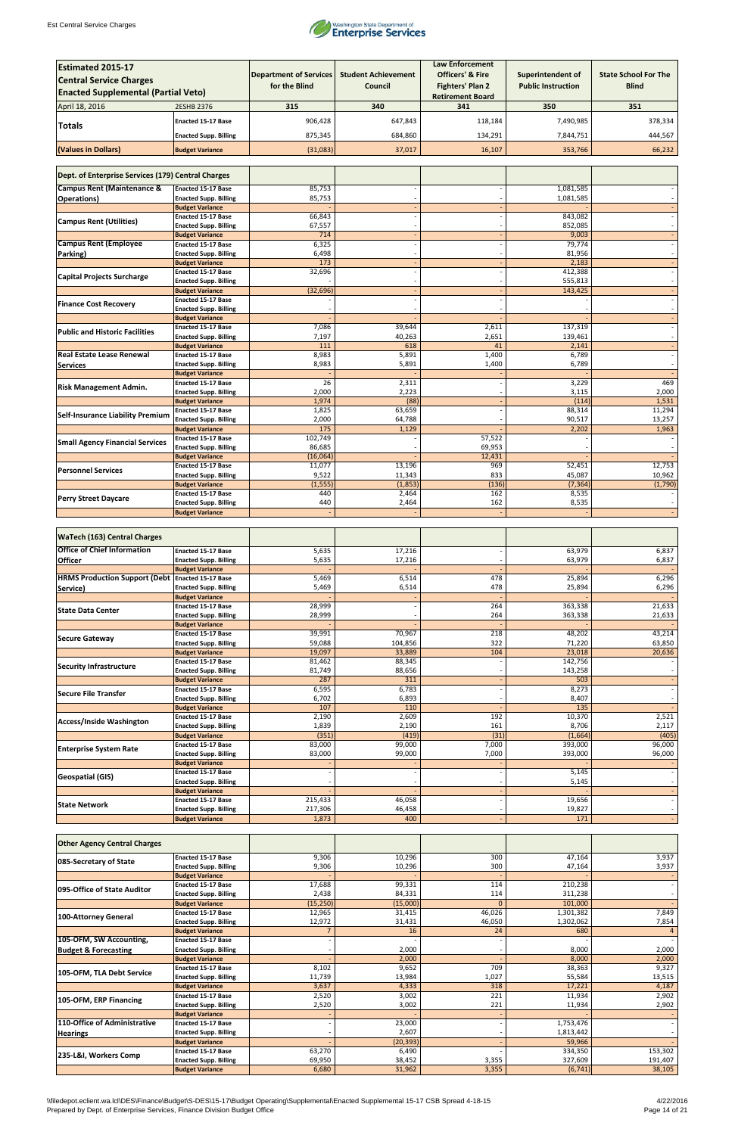

| <b>Estimated 2015-17</b><br><b>Central Service Charges</b><br><b>Enacted Supplemental (Partial Veto)</b> |                                                           | <b>Department of Services</b><br>for the Blind | <b>Student Achievement</b><br><b>Council</b> | <b>Law Enforcement</b><br><b>Officers' &amp; Fire</b><br>Fighters' Plan 2 | <b>Superintendent of</b><br><b>Public Instruction</b> | <b>State School For The</b><br><b>Blind</b> |
|----------------------------------------------------------------------------------------------------------|-----------------------------------------------------------|------------------------------------------------|----------------------------------------------|---------------------------------------------------------------------------|-------------------------------------------------------|---------------------------------------------|
| April 18, 2016                                                                                           | <b>2ESHB 2376</b>                                         | 315                                            | 340                                          | <b>Retirement Board</b><br>341                                            | 350                                                   | 351                                         |
|                                                                                                          |                                                           |                                                |                                              |                                                                           |                                                       |                                             |
| Totals                                                                                                   | <b>Enacted 15-17 Base</b>                                 | 906,428                                        | 647,843                                      | 118,184                                                                   | 7,490,985                                             | 378,334                                     |
|                                                                                                          | <b>Enacted Supp. Billing</b>                              | 875,345                                        | 684,860                                      | 134,291                                                                   | 7,844,751                                             | 444,567                                     |
| (Values in Dollars)                                                                                      | <b>Budget Variance</b>                                    | (31,083)                                       | 37,017                                       | 16,107                                                                    | 353,766                                               | 66,232                                      |
| Dept. of Enterprise Services (179) Central Charges                                                       |                                                           |                                                |                                              |                                                                           |                                                       |                                             |
| <b>Campus Rent (Maintenance &amp;</b>                                                                    | <b>Enacted 15-17 Base</b>                                 | 85,753                                         |                                              |                                                                           | 1,081,585                                             |                                             |
| <b>Operations)</b>                                                                                       | <b>Enacted Supp. Billing</b>                              | 85,753                                         |                                              |                                                                           | 1,081,585                                             |                                             |
|                                                                                                          | <b>Budget Variance</b><br>Enacted 15-17 Base              | 66,843                                         |                                              |                                                                           | 843,082                                               |                                             |
| <b>Campus Rent (Utilities)</b>                                                                           | <b>Enacted Supp. Billing</b>                              | 67,557                                         |                                              |                                                                           | 852,085                                               |                                             |
| <b>Campus Rent (Employee</b>                                                                             | <b>Budget Variance</b>                                    | 714<br>6,325                                   |                                              |                                                                           | 9,003<br>79,774                                       |                                             |
| Parking)                                                                                                 | <b>Enacted 15-17 Base</b><br><b>Enacted Supp. Billing</b> | 6,498                                          |                                              |                                                                           | 81,956                                                |                                             |
|                                                                                                          | <b>Budget Variance</b>                                    | 173                                            |                                              |                                                                           | 2,183                                                 |                                             |
| <b>Capital Projects Surcharge</b>                                                                        | <b>Enacted 15-17 Base</b>                                 | 32,696                                         |                                              |                                                                           | 412,388                                               |                                             |
|                                                                                                          | <b>Enacted Supp. Billing</b><br><b>Budget Variance</b>    | (32, 696)                                      |                                              |                                                                           | 555,813<br>143,425                                    |                                             |
|                                                                                                          | <b>Enacted 15-17 Base</b>                                 |                                                |                                              |                                                                           |                                                       |                                             |
| <b>Finance Cost Recovery</b>                                                                             | <b>Enacted Supp. Billing</b>                              |                                                |                                              |                                                                           |                                                       | $\overline{\phantom{a}}$                    |
|                                                                                                          | <b>Budget Variance</b><br><b>Enacted 15-17 Base</b>       | 7,086                                          | 39,644                                       | 2,611                                                                     | 137,319                                               |                                             |
| <b>Public and Historic Facilities</b>                                                                    | <b>Enacted Supp. Billing</b>                              | 7,197                                          | 40,263                                       | 2,651                                                                     | 139,461                                               | $\overline{\phantom{a}}$                    |
|                                                                                                          | <b>Budget Variance</b>                                    | 111                                            | 618                                          | 41                                                                        | 2,141                                                 |                                             |
| <b>Real Estate Lease Renewal</b>                                                                         | <b>Enacted 15-17 Base</b>                                 | 8,983                                          | 5,891                                        | 1,400                                                                     | 6,789                                                 | $\overline{\phantom{a}}$                    |
| <b>Services</b>                                                                                          | <b>Enacted Supp. Billing</b><br><b>Budget Variance</b>    | 8,983                                          | 5,891                                        | 1,400                                                                     | 6,789                                                 | $\overline{\phantom{a}}$                    |
| <b>Risk Management Admin.</b>                                                                            | <b>Enacted 15-17 Base</b>                                 | 26                                             | 2,311                                        |                                                                           | 3,229                                                 | 469                                         |
|                                                                                                          | <b>Enacted Supp. Billing</b>                              | 2,000                                          | 2,223                                        |                                                                           | 3,115                                                 | 2,000                                       |
|                                                                                                          | <b>Budget Variance</b><br><b>Enacted 15-17 Base</b>       | 1,974<br>1,825                                 | (88)<br>63,659                               |                                                                           | (114)<br>88,314                                       | 1,531<br>11,294                             |
| <b>Self-Insurance Liability Premium</b>                                                                  | <b>Enacted Supp. Billing</b>                              | 2,000                                          | 64,788                                       |                                                                           | 90,517                                                | 13,257                                      |
|                                                                                                          | <b>Budget Variance</b>                                    | 175                                            | 1,129                                        |                                                                           | 2,202                                                 | 1,963                                       |
| <b>Small Agency Financial Services</b>                                                                   | <b>Enacted 15-17 Base</b><br><b>Enacted Supp. Billing</b> | 102,749<br>86,685                              |                                              | 57,522<br>69,953                                                          |                                                       |                                             |
|                                                                                                          | <b>Budget Variance</b>                                    | (16,064)                                       |                                              | 12,431                                                                    |                                                       |                                             |
| <b>Personnel Services</b>                                                                                | <b>Enacted 15-17 Base</b>                                 | 11,077                                         | 13,196                                       | 969                                                                       | 52,451                                                | 12,753                                      |
|                                                                                                          | <b>Enacted Supp. Billing</b><br><b>Budget Variance</b>    | 9,522<br>(1, 555)                              | 11,343<br>(1,853)                            | 833<br>(136)                                                              | 45,087<br>(7, 364)                                    | 10,962<br>(1,790)                           |
|                                                                                                          | <b>Enacted 15-17 Base</b>                                 | 440                                            | 2,464                                        | 162                                                                       | 8,535                                                 |                                             |
| <b>Perry Street Daycare</b>                                                                              | <b>Enacted Supp. Billing</b>                              | 440                                            | 2,464                                        | 162                                                                       | 8,535                                                 | $\overline{\phantom{a}}$                    |
|                                                                                                          | <b>Budget Variance</b>                                    |                                                |                                              |                                                                           |                                                       |                                             |
| <b>WaTech (163) Central Charges</b>                                                                      |                                                           |                                                |                                              |                                                                           |                                                       |                                             |
| <b>Office of Chief Information</b>                                                                       | <b>Enacted 15-17 Base</b>                                 | 5,635                                          | 17,216                                       |                                                                           | 63,979                                                | 6,837                                       |
| <b>Officer</b>                                                                                           | <b>Enacted Supp. Billing</b>                              | 5,635                                          | 17,216                                       |                                                                           | 63,979                                                | 6,837                                       |
| <b>HRMS Production Support (Debt</b>                                                                     | <b>Budget Variance</b><br>Enacted 15-17 Base              | 5,469                                          | 6,514                                        | 478                                                                       | 25,894                                                | 6,296                                       |
| Service)                                                                                                 | <b>Enacted Supp. Billing</b>                              | 5,469                                          | 6,514                                        | 478                                                                       | 25,894                                                | 6,296                                       |
|                                                                                                          | <b>Budget Variance</b>                                    |                                                |                                              |                                                                           |                                                       |                                             |
| <b>State Data Center</b>                                                                                 | <b>Enacted 15-17 Base</b><br><b>Enacted Supp. Billing</b> | 28,999<br>28,999                               |                                              | 264<br>264                                                                | 363,338<br>363,338                                    | 21,633<br>21,633                            |
|                                                                                                          | <b>Budget Variance</b>                                    |                                                |                                              |                                                                           |                                                       |                                             |
| Secure Gateway                                                                                           | Enacted 15-17 Base                                        | 39,991                                         | 70,967                                       | 218                                                                       | 48,202                                                | 43,214                                      |
|                                                                                                          | <b>Enacted Supp. Billing</b><br><b>Budget Variance</b>    | 59,088<br>19,097                               | 104,856<br>33,889                            | 322<br>104                                                                | 71,220<br>23,018                                      | 63,850<br>20,636                            |
|                                                                                                          | <b>Enacted 15-17 Base</b>                                 | 81,462                                         | 88,345                                       |                                                                           | 142,756                                               |                                             |
| <b>Security Infrastructure</b>                                                                           | <b>Enacted Supp. Billing</b>                              | 81,749                                         | 88,656                                       |                                                                           | 143,258                                               |                                             |
|                                                                                                          | <b>Budget Variance</b><br><b>Enacted 15-17 Base</b>       | 287<br>6,595                                   | 311<br>6,783                                 |                                                                           | 503<br>8,273                                          | $\overline{\phantom{a}}$                    |
| Secure File Transfer                                                                                     | <b>Enacted Supp. Billing</b>                              | 6,702                                          | 6,893                                        |                                                                           | 8,407                                                 | $\overline{\phantom{a}}$                    |
|                                                                                                          | <b>Budget Variance</b>                                    | 107                                            | 110                                          |                                                                           | 135                                                   |                                             |
| <b>Access/Inside Washington</b>                                                                          | <b>Enacted 15-17 Base</b><br><b>Enacted Supp. Billing</b> | 2,190<br>1,839                                 | 2,609<br>2,190                               | 192<br>161                                                                | 10,370<br>8,706                                       | 2,521<br>2,117                              |
|                                                                                                          | <b>Budget Variance</b>                                    | (351)                                          | (419)                                        | (31)                                                                      | (1,664)                                               | (405)                                       |
| <b>Enterprise System Rate</b>                                                                            | Enacted 15-17 Base                                        | 83,000                                         | 99,000                                       | 7,000                                                                     | 393,000                                               | 96,000                                      |
|                                                                                                          | <b>Enacted Supp. Billing</b>                              | 83,000                                         | 99,000                                       | 7,000                                                                     | 393,000                                               | 96,000                                      |
|                                                                                                          | <b>Budget Variance</b><br><b>Enacted 15-17 Base</b>       |                                                |                                              |                                                                           | 5,145                                                 |                                             |
| <b>Geospatial (GIS)</b>                                                                                  | <b>Enacted Supp. Billing</b>                              |                                                |                                              |                                                                           | 5,145                                                 | $\overline{\phantom{a}}$                    |
|                                                                                                          | <b>Budget Variance</b>                                    |                                                |                                              |                                                                           |                                                       | $\overline{\phantom{a}}$                    |
| <b>State Network</b>                                                                                     | Enacted 15-17 Base<br><b>Enacted Supp. Billing</b>        | 215,433<br>217,306                             | 46,058<br>46,458                             |                                                                           | 19,656<br>19,827                                      | $\overline{\phantom{a}}$                    |
|                                                                                                          | <b>Budget Variance</b>                                    | 1,873                                          | 400                                          |                                                                           | 171                                                   |                                             |

| <b>Other Agency Central Charges</b> |                              |           |           |                |           |         |
|-------------------------------------|------------------------------|-----------|-----------|----------------|-----------|---------|
| 085-Secretary of State              | <b>Enacted 15-17 Base</b>    | 9,306     | 10,296    | 300            | 47,164    | 3,937   |
|                                     | <b>Enacted Supp. Billing</b> | 9,306     | 10,296    | 300            | 47,164    | 3,937   |
|                                     | <b>Budget Variance</b>       |           |           |                |           |         |
| 095-Office of State Auditor         | <b>Enacted 15-17 Base</b>    | 17,688    | 99,331    | 114            | 210,238   |         |
|                                     | <b>Enacted Supp. Billing</b> | 2,438     | 84,331    | 114            | 311,238   |         |
|                                     | <b>Budget Variance</b>       | (15, 250) | (15,000)  | $\overline{0}$ | 101,000   |         |
| 100-Attorney General                | <b>Enacted 15-17 Base</b>    | 12,965    | 31,415    | 46,026         | 1,301,382 | 7,849   |
|                                     | <b>Enacted Supp. Billing</b> | 12,972    | 31,431    | 46,050         | 1,302,062 | 7,854   |
|                                     | <b>Budget Variance</b>       |           | 16        | 24             | 680       |         |
| 105-OFM, SW Accounting,             | <b>Enacted 15-17 Base</b>    |           |           |                |           |         |
| <b>Budget &amp; Forecasting</b>     | <b>Enacted Supp. Billing</b> |           | 2,000     |                | 8,000     | 2,000   |
|                                     | <b>Budget Variance</b>       |           | 2,000     |                | 8,000     | 2,000   |
| 105-OFM, TLA Debt Service           | <b>Enacted 15-17 Base</b>    | 8,102     | 9,652     | 709            | 38,363    | 9,327   |
|                                     | <b>Enacted Supp. Billing</b> | 11,739    | 13,984    | 1,027          | 55,584    | 13,515  |
|                                     | <b>Budget Variance</b>       | 3,637     | 4,333     | 318            | 17,221    | 4,187   |
| 105-OFM, ERP Financing              | <b>Enacted 15-17 Base</b>    | 2,520     | 3,002     | 221            | 11,934    | 2,902   |
|                                     | <b>Enacted Supp. Billing</b> | 2,520     | 3,002     | 221            | 11,934    | 2,902   |
|                                     | <b>Budget Variance</b>       |           |           |                |           |         |
| 110-Office of Administrative        | <b>Enacted 15-17 Base</b>    |           | 23,000    |                | 1,753,476 |         |
| <b>Hearings</b>                     | <b>Enacted Supp. Billing</b> |           | 2,607     |                | 1,813,442 |         |
|                                     | <b>Budget Variance</b>       |           | (20, 393) |                | 59,966    |         |
| 235-L&I, Workers Comp               | <b>Enacted 15-17 Base</b>    | 63,270    | 6,490     |                | 334,350   | 153,302 |
|                                     | <b>Enacted Supp. Billing</b> | 69,950    | 38,452    | 3,355          | 327,609   | 191,407 |
|                                     | <b>Budget Variance</b>       | 6,680     | 31,962    | 3,355          | (6, 741)  | 38,105  |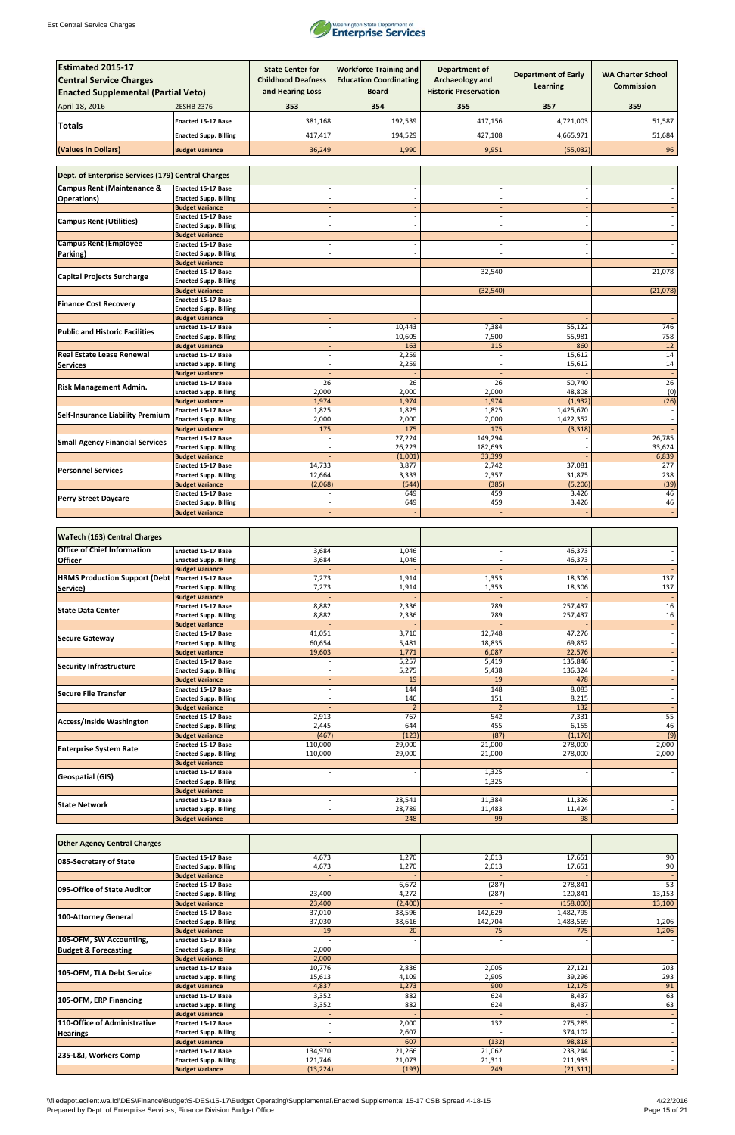

| <b>Estimated 2015-17</b><br><b>Central Service Charges</b><br><b>Enacted Supplemental (Partial Veto)</b> |                                                           | <b>State Center for</b><br><b>Childhood Deafness</b><br>and Hearing Loss | <b>Workforce Training and</b><br><b>Education Coordinating</b><br><b>Board</b> | <b>Department of</b><br>Archaeology and<br><b>Historic Preservation</b> | <b>Department of Early</b><br>Learning | <b>WA Charter School</b><br>Commission |
|----------------------------------------------------------------------------------------------------------|-----------------------------------------------------------|--------------------------------------------------------------------------|--------------------------------------------------------------------------------|-------------------------------------------------------------------------|----------------------------------------|----------------------------------------|
| April 18, 2016                                                                                           | <b>2ESHB 2376</b>                                         | 353                                                                      | 354                                                                            | 355                                                                     | 357                                    | 359                                    |
|                                                                                                          |                                                           |                                                                          |                                                                                |                                                                         |                                        |                                        |
| Totals                                                                                                   | <b>Enacted 15-17 Base</b>                                 | 381,168                                                                  | 192,539                                                                        | 417,156                                                                 | 4,721,003                              | 51,587                                 |
|                                                                                                          | <b>Enacted Supp. Billing</b>                              | 417,417                                                                  | 194,529                                                                        | 427,108                                                                 | 4,665,971                              | 51,684                                 |
| (Values in Dollars)                                                                                      | <b>Budget Variance</b>                                    | 36,249                                                                   | 1,990                                                                          | 9,951                                                                   | (55,032)                               | 96                                     |
| Dept. of Enterprise Services (179) Central Charges                                                       |                                                           |                                                                          |                                                                                |                                                                         |                                        |                                        |
| <b>Campus Rent (Maintenance &amp;</b>                                                                    | <b>Enacted 15-17 Base</b>                                 |                                                                          |                                                                                |                                                                         |                                        |                                        |
| <b>Operations</b> )                                                                                      | <b>Enacted Supp. Billing</b>                              |                                                                          |                                                                                |                                                                         |                                        |                                        |
|                                                                                                          | <b>Budget Variance</b>                                    |                                                                          |                                                                                |                                                                         |                                        |                                        |
| <b>Campus Rent (Utilities)</b>                                                                           | <b>Enacted 15-17 Base</b><br><b>Enacted Supp. Billing</b> |                                                                          |                                                                                |                                                                         |                                        |                                        |
|                                                                                                          | <b>Budget Variance</b>                                    |                                                                          |                                                                                |                                                                         |                                        |                                        |
| <b>Campus Rent (Employee</b>                                                                             | <b>Enacted 15-17 Base</b>                                 |                                                                          |                                                                                |                                                                         |                                        |                                        |
| Parking)                                                                                                 | <b>Enacted Supp. Billing</b>                              |                                                                          |                                                                                |                                                                         |                                        |                                        |
|                                                                                                          | <b>Budget Variance</b><br><b>Enacted 15-17 Base</b>       |                                                                          |                                                                                | 32,540                                                                  |                                        | 21,078                                 |
| <b>Capital Projects Surcharge</b>                                                                        | <b>Enacted Supp. Billing</b>                              |                                                                          |                                                                                |                                                                         |                                        |                                        |
|                                                                                                          | <b>Budget Variance</b>                                    |                                                                          |                                                                                | (32, 540)                                                               |                                        | (21,078)                               |
| <b>Finance Cost Recovery</b>                                                                             | <b>Enacted 15-17 Base</b>                                 |                                                                          |                                                                                |                                                                         |                                        |                                        |
|                                                                                                          | <b>Enacted Supp. Billing</b>                              |                                                                          |                                                                                |                                                                         |                                        |                                        |
|                                                                                                          | <b>Budget Variance</b><br><b>Enacted 15-17 Base</b>       |                                                                          | 10,443                                                                         | 7,384                                                                   | 55,122                                 | 746                                    |
| <b>Public and Historic Facilities</b>                                                                    | <b>Enacted Supp. Billing</b>                              |                                                                          | 10,605                                                                         | 7,500                                                                   | 55,981                                 | 758                                    |
|                                                                                                          | <b>Budget Variance</b>                                    |                                                                          | 163                                                                            | 115                                                                     | 860                                    | 12                                     |
| <b>Real Estate Lease Renewal</b>                                                                         | <b>Enacted 15-17 Base</b>                                 |                                                                          | 2,259                                                                          |                                                                         | 15,612                                 | 14                                     |
| <b>Services</b>                                                                                          | <b>Enacted Supp. Billing</b><br><b>Budget Variance</b>    |                                                                          | 2,259                                                                          |                                                                         | 15,612                                 | 14                                     |
|                                                                                                          | <b>Enacted 15-17 Base</b>                                 | 26                                                                       | 26                                                                             | $\overline{26}$                                                         | 50,740                                 | 26                                     |
| <b>Risk Management Admin.</b>                                                                            | <b>Enacted Supp. Billing</b>                              | 2,000                                                                    | 2,000                                                                          | 2,000                                                                   | 48,808                                 | (0)                                    |
|                                                                                                          | <b>Budget Variance</b>                                    | 1,974                                                                    | 1,974                                                                          | 1,974                                                                   | (1,932)                                | (26)                                   |
| <b>Self-Insurance Liability Premium</b>                                                                  | <b>Enacted 15-17 Base</b>                                 | 1,825                                                                    | 1,825                                                                          | 1,825                                                                   | 1,425,670                              |                                        |
|                                                                                                          | <b>Enacted Supp. Billing</b><br><b>Budget Variance</b>    | 2,000<br>175                                                             | 2,000<br>175                                                                   | 2,000<br>175                                                            | 1,422,352<br>(3, 318)                  |                                        |
|                                                                                                          | <b>Enacted 15-17 Base</b>                                 |                                                                          | 27,224                                                                         | 149,294                                                                 |                                        | 26,785                                 |
| <b>Small Agency Financial Services</b>                                                                   | <b>Enacted Supp. Billing</b>                              |                                                                          | 26,223                                                                         | 182,693                                                                 |                                        | 33,624                                 |
|                                                                                                          | <b>Budget Variance</b>                                    |                                                                          | (1,001)                                                                        | 33,399                                                                  |                                        | 6,839                                  |
| <b>Personnel Services</b>                                                                                | <b>Enacted 15-17 Base</b>                                 | 14,733                                                                   | 3,877                                                                          | 2,742                                                                   | 37,081                                 | $\overline{277}$                       |
|                                                                                                          | <b>Enacted Supp. Billing</b><br><b>Budget Variance</b>    | 12,664<br>(2,068)                                                        | 3,333<br>(544)                                                                 | 2,357<br>(385)                                                          | 31,875<br>(5, 206)                     | 238<br>(39)                            |
| <b>Perry Street Daycare</b>                                                                              | <b>Enacted 15-17 Base</b>                                 |                                                                          | 649                                                                            | 459                                                                     | 3,426                                  | 46                                     |
|                                                                                                          | <b>Enacted Supp. Billing</b>                              |                                                                          | 649                                                                            | 459                                                                     | 3,426                                  | 46                                     |
|                                                                                                          | <b>Budget Variance</b>                                    |                                                                          |                                                                                |                                                                         |                                        |                                        |
| <b>WaTech (163) Central Charges</b>                                                                      |                                                           |                                                                          |                                                                                |                                                                         |                                        |                                        |
| <b>Office of Chief Information</b>                                                                       | <b>Enacted 15-17 Base</b>                                 | 3,684                                                                    | 1,046                                                                          |                                                                         | 46,373                                 |                                        |
| <b>Officer</b>                                                                                           | <b>Enacted Supp. Billing</b>                              | 3,684                                                                    | 1,046                                                                          |                                                                         | 46,373                                 |                                        |
|                                                                                                          | <b>Budget Variance</b>                                    |                                                                          |                                                                                |                                                                         |                                        |                                        |
| <b>HRMS Production Support (Debt Enacted 15-17 Base</b>                                                  |                                                           | 7,273                                                                    | 1,914                                                                          | 1,353                                                                   | 18,306                                 | 137                                    |
| Service)                                                                                                 | <b>Enacted Supp. Billing</b><br><b>Budget Variance</b>    | 7,273                                                                    | 1,914                                                                          | 1,353                                                                   | 18,306                                 | 137                                    |
|                                                                                                          | <b>Enacted 15-17 Base</b>                                 | 8,882                                                                    | 2,336                                                                          | 789                                                                     | 257,437                                | 16                                     |
| <b>State Data Center</b>                                                                                 | <b>Enacted Supp. Billing</b>                              | 8,882                                                                    | 2,336                                                                          | 789                                                                     | 257,437                                | 16                                     |
|                                                                                                          | <b>Budget Variance</b>                                    |                                                                          |                                                                                |                                                                         |                                        |                                        |
| <b>Secure Gateway</b>                                                                                    | Enacted 15-17 Base<br><b>Enacted Supp. Billing</b>        | 41,051<br>60,654                                                         | 3,710<br>5,481                                                                 | 12,748<br>18,835                                                        | 47,276<br>69,852                       |                                        |
|                                                                                                          | <b>Budget Variance</b>                                    | 19,603                                                                   | 1,771                                                                          | 6,087                                                                   | 22,576                                 |                                        |
| <b>Security Infrastructure</b>                                                                           | <b>Enacted 15-17 Base</b>                                 |                                                                          | 5,257                                                                          | 5,419                                                                   | 135,846                                |                                        |
|                                                                                                          | <b>Enacted Supp. Billing</b>                              |                                                                          | 5,275                                                                          | 5,438                                                                   | 136,324                                |                                        |
|                                                                                                          | <b>Budget Variance</b>                                    |                                                                          | 19<br>144                                                                      | 19                                                                      | 478                                    |                                        |
| Secure File Transfer                                                                                     | Enacted 15-17 Base<br><b>Enacted Supp. Billing</b>        |                                                                          | 146                                                                            | 148<br>151                                                              | 8,083<br>8,215                         |                                        |
|                                                                                                          | <b>Budget Variance</b>                                    |                                                                          | $\overline{2}$                                                                 | $\overline{2}$                                                          | 132                                    |                                        |
| Access/Inside Washington                                                                                 | <b>Enacted 15-17 Base</b>                                 | 2,913                                                                    | 767                                                                            | 542                                                                     | 7,331                                  | 55                                     |
|                                                                                                          | <b>Enacted Supp. Billing</b>                              | 2,445                                                                    | 644                                                                            | 455                                                                     | 6,155                                  | 46                                     |
|                                                                                                          | <b>Budget Variance</b><br>Enacted 15-17 Base              | (467)<br>110,000                                                         | (123)<br>29,000                                                                | (87)<br>21,000                                                          | (1, 176)<br>278,000                    | (9)<br>2,000                           |
| <b>Enterprise System Rate</b>                                                                            | <b>Enacted Supp. Billing</b>                              | 110,000                                                                  | 29,000                                                                         | 21,000                                                                  | 278,000                                | 2,000                                  |
|                                                                                                          | <b>Budget Variance</b>                                    |                                                                          |                                                                                |                                                                         |                                        |                                        |
| <b>Geospatial (GIS)</b>                                                                                  | <b>Enacted 15-17 Base</b>                                 |                                                                          |                                                                                | 1,325                                                                   |                                        |                                        |
|                                                                                                          | <b>Enacted Supp. Billing</b>                              |                                                                          |                                                                                | 1,325                                                                   |                                        |                                        |
|                                                                                                          | <b>Budget Variance</b><br>Enacted 15-17 Base              |                                                                          | 28,541                                                                         | 11,384                                                                  | 11,326                                 |                                        |
| <b>State Network</b>                                                                                     | <b>Enacted Supp. Billing</b>                              |                                                                          | 28,789                                                                         | 11,483                                                                  | 11,424                                 |                                        |
|                                                                                                          | <b>Budget Variance</b>                                    |                                                                          | 248                                                                            | 99                                                                      | 98                                     |                                        |

| <b>Other Agency Central Charges</b> |                              |           |         |         |           |        |
|-------------------------------------|------------------------------|-----------|---------|---------|-----------|--------|
| 085-Secretary of State              | <b>Enacted 15-17 Base</b>    | 4,673     | 1,270   | 2,013   | 17,651    | 90     |
|                                     | <b>Enacted Supp. Billing</b> | 4,673     | 1,270   | 2,013   | 17,651    | 90     |
|                                     | <b>Budget Variance</b>       |           |         |         |           |        |
| 095-Office of State Auditor         | <b>Enacted 15-17 Base</b>    |           | 6,672   | (287)   | 278,841   | 53     |
|                                     | <b>Enacted Supp. Billing</b> | 23,400    | 4,272   | (287)   | 120,841   | 13,153 |
|                                     | <b>Budget Variance</b>       | 23,400    | (2,400) |         | (158,000) | 13,100 |
|                                     | <b>Enacted 15-17 Base</b>    | 37,010    | 38,596  | 142,629 | 1,482,795 |        |
| 100-Attorney General                | <b>Enacted Supp. Billing</b> | 37,030    | 38,616  | 142,704 | 1,483,569 | 1,206  |
|                                     | <b>Budget Variance</b>       | 19        | 20      | 75      | 775       | 1,206  |
| 105-OFM, SW Accounting,             | <b>Enacted 15-17 Base</b>    |           |         |         |           |        |
| <b>Budget &amp; Forecasting</b>     | <b>Enacted Supp. Billing</b> | 2,000     |         |         |           |        |
|                                     | <b>Budget Variance</b>       | 2,000     |         |         |           |        |
| 105-OFM, TLA Debt Service           | <b>Enacted 15-17 Base</b>    | 10,776    | 2,836   | 2,005   | 27,121    | 203    |
|                                     | <b>Enacted Supp. Billing</b> | 15,613    | 4,109   | 2,905   | 39,296    | 293    |
|                                     | <b>Budget Variance</b>       | 4,837     | 1,273   | 900     | 12,175    | 91     |
| 105-OFM, ERP Financing              | <b>Enacted 15-17 Base</b>    | 3,352     | 882     | 624     | 8,437     | 63     |
|                                     | <b>Enacted Supp. Billing</b> | 3,352     | 882     | 624     | 8,437     | 63     |
|                                     | <b>Budget Variance</b>       |           |         |         |           |        |
| 110-Office of Administrative        | <b>Enacted 15-17 Base</b>    |           | 2,000   | 132     | 275,285   |        |
| <b>Hearings</b>                     | <b>Enacted Supp. Billing</b> |           | 2,607   |         | 374,102   |        |
|                                     | <b>Budget Variance</b>       |           | 607     | (132)   | 98,818    |        |
|                                     | <b>Enacted 15-17 Base</b>    | 134,970   | 21,266  | 21,062  | 233,244   |        |
| 235-L&I, Workers Comp               | <b>Enacted Supp. Billing</b> | 121,746   | 21,073  | 21,311  | 211,933   |        |
|                                     | <b>Budget Variance</b>       | (13, 224) | (193)   | 249     | (21, 311) |        |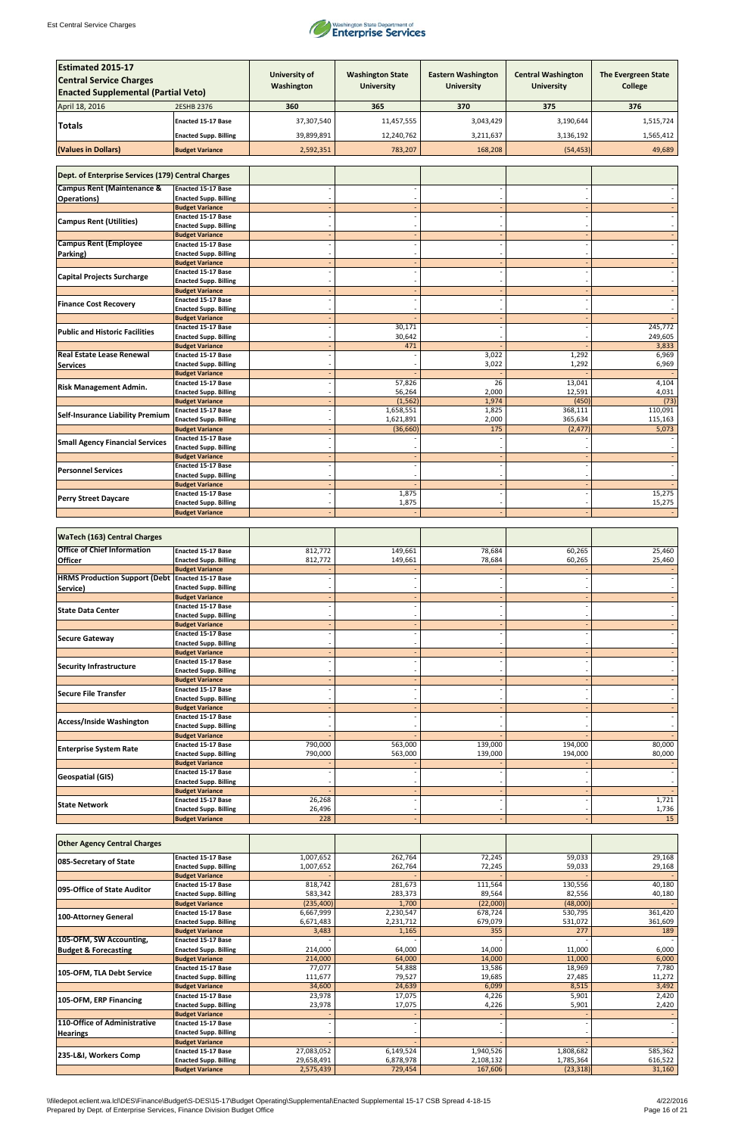

| <b>Estimated 2015-17</b>                                                     |                                                           | <b>University of</b> | <b>Washington State</b> | <b>Eastern Washington</b> | <b>Central Washington</b> | <b>The Evergreen State</b> |
|------------------------------------------------------------------------------|-----------------------------------------------------------|----------------------|-------------------------|---------------------------|---------------------------|----------------------------|
| <b>Central Service Charges</b><br><b>Enacted Supplemental (Partial Veto)</b> |                                                           | Washington           | <b>University</b>       | <b>University</b>         | <b>University</b>         | <b>College</b>             |
| April 18, 2016                                                               | <b>2ESHB 2376</b>                                         | 360                  | 365                     | 370                       | 375                       | 376                        |
| Totals                                                                       | <b>Enacted 15-17 Base</b>                                 | 37,307,540           | 11,457,555              | 3,043,429                 | 3,190,644                 | 1,515,724                  |
|                                                                              | <b>Enacted Supp. Billing</b>                              | 39,899,891           | 12,240,762              | 3,211,637                 | 3,136,192                 | 1,565,412                  |
| (Values in Dollars)                                                          | <b>Budget Variance</b>                                    | 2,592,351            | 783,207                 | 168,208                   | (54, 453)                 | 49,689                     |
| Dept. of Enterprise Services (179) Central Charges                           |                                                           |                      |                         |                           |                           |                            |
| <b>Campus Rent (Maintenance &amp;</b>                                        | <b>Enacted 15-17 Base</b>                                 |                      |                         |                           |                           |                            |
| <b>Operations)</b>                                                           | <b>Enacted Supp. Billing</b>                              |                      |                         |                           |                           |                            |
|                                                                              | <b>Budget Variance</b>                                    |                      |                         |                           |                           |                            |
| <b>Campus Rent (Utilities)</b>                                               | <b>Enacted 15-17 Base</b><br><b>Enacted Supp. Billing</b> |                      |                         |                           |                           |                            |
|                                                                              | <b>Budget Variance</b>                                    |                      |                         |                           |                           |                            |
| <b>Campus Rent (Employee</b><br>Parking)                                     | <b>Enacted 15-17 Base</b><br><b>Enacted Supp. Billing</b> |                      |                         |                           |                           |                            |
|                                                                              | <b>Budget Variance</b>                                    |                      |                         |                           |                           |                            |
| <b>Capital Projects Surcharge</b>                                            | <b>Enacted 15-17 Base</b>                                 |                      |                         |                           |                           |                            |
|                                                                              | <b>Enacted Supp. Billing</b><br><b>Budget Variance</b>    |                      |                         |                           |                           |                            |
| <b>Finance Cost Recovery</b>                                                 | <b>Enacted 15-17 Base</b>                                 |                      |                         |                           |                           |                            |
|                                                                              | <b>Enacted Supp. Billing</b><br><b>Budget Variance</b>    |                      |                         |                           |                           |                            |
| <b>Public and Historic Facilities</b>                                        | <b>Enacted 15-17 Base</b>                                 |                      | 30,171                  |                           |                           | 245,772                    |
|                                                                              | <b>Enacted Supp. Billing</b>                              |                      | 30,642                  |                           |                           | 249,605                    |
| <b>Real Estate Lease Renewal</b>                                             | <b>Budget Variance</b><br><b>Enacted 15-17 Base</b>       |                      | 471                     | 3,022                     | 1,292                     | 3,833<br>6,969             |
| <b>Services</b>                                                              | <b>Enacted Supp. Billing</b>                              |                      |                         | 3,022                     | 1,292                     | 6,969                      |
|                                                                              | <b>Budget Variance</b><br><b>Enacted 15-17 Base</b>       |                      | 57,826                  | 26                        | 13,041                    | 4,104                      |
| <b>Risk Management Admin.</b>                                                | <b>Enacted Supp. Billing</b>                              |                      | 56,264                  | 2,000                     | 12,591                    | 4,031                      |
|                                                                              | <b>Budget Variance</b><br><b>Enacted 15-17 Base</b>       |                      | (1, 562)<br>1,658,551   | 1,974<br>1,825            | (450)<br>368,111          | (73)<br>110,091            |
| <b>Self-Insurance Liability Premium</b>                                      | <b>Enacted Supp. Billing</b>                              |                      | 1,621,891               | 2,000                     | 365,634                   | 115,163                    |
|                                                                              | <b>Budget Variance</b>                                    |                      | (36, 660)               | 175                       | (2, 477)                  | 5,073                      |
| <b>Small Agency Financial Services</b>                                       | <b>Enacted 15-17 Base</b><br><b>Enacted Supp. Billing</b> |                      |                         |                           |                           |                            |
|                                                                              | <b>Budget Variance</b>                                    |                      |                         |                           |                           |                            |
| <b>Personnel Services</b>                                                    | <b>Enacted 15-17 Base</b><br><b>Enacted Supp. Billing</b> |                      |                         |                           |                           |                            |
|                                                                              | <b>Budget Variance</b>                                    |                      |                         |                           |                           |                            |
| <b>Perry Street Daycare</b>                                                  | Enacted 15-17 Base<br><b>Enacted Supp. Billing</b>        |                      | 1,875<br>1,875          |                           |                           | 15,275<br>15,275           |
|                                                                              | <b>Budget Variance</b>                                    |                      |                         |                           |                           |                            |
|                                                                              |                                                           |                      |                         |                           |                           |                            |
| <b>WaTech (163) Central Charges</b>                                          |                                                           |                      |                         |                           |                           |                            |
| <b>Office of Chief Information</b>                                           | <b>Enacted 15-17 Base</b>                                 | 812,772              | 149,661                 | 78,684                    | 60,265                    | 25,460                     |
| <b>Officer</b>                                                               | <b>Enacted Supp. Billing</b><br><b>Budget Variance</b>    | 812,772              | 149,661                 | 78,684                    | 60,265                    | 25,460                     |
| <b>HRMS Production Support (Debt</b>                                         | Enacted 15-17 Base                                        |                      |                         |                           |                           |                            |
| Service)                                                                     | <b>Enacted Supp. Billing</b>                              |                      |                         |                           |                           |                            |
|                                                                              | <b>Budget Variance</b><br><b>Enacted 15-17 Base</b>       |                      |                         |                           |                           |                            |
| <b>State Data Center</b>                                                     | <b>Enacted Supp. Billing</b>                              |                      |                         |                           |                           |                            |
|                                                                              | <b>Budget Variance</b><br><b>Enacted 15-17 Base</b>       |                      |                         |                           |                           |                            |
| Secure Gateway                                                               | <b>Enacted Supp. Billing</b>                              |                      |                         |                           |                           |                            |
|                                                                              | <b>Budget Variance</b><br><b>Enacted 15-17 Base</b>       |                      |                         |                           |                           |                            |
| <b>Security Infrastructure</b>                                               | <b>Enacted Supp. Billing</b>                              |                      |                         |                           |                           |                            |
|                                                                              | <b>Budget Variance</b>                                    |                      |                         |                           |                           |                            |
| Secure File Transfer                                                         | <b>Enacted 15-17 Base</b><br><b>Enacted Supp. Billing</b> |                      |                         |                           |                           |                            |
|                                                                              | <b>Budget Variance</b>                                    |                      |                         |                           |                           |                            |
| Access/Inside Washington                                                     | <b>Enacted 15-17 Base</b><br><b>Enacted Supp. Billing</b> |                      |                         |                           |                           |                            |
|                                                                              | <b>Budget Variance</b>                                    |                      |                         |                           |                           |                            |
| <b>Enterprise System Rate</b>                                                | <b>Enacted 15-17 Base</b><br><b>Enacted Supp. Billing</b> | 790,000<br>790,000   | 563,000<br>563,000      | 139,000<br>139,000        | 194,000<br>194,000        | 80,000<br>80,000           |
|                                                                              | <b>Budget Variance</b>                                    |                      |                         |                           |                           |                            |
| <b>Geospatial (GIS)</b>                                                      | <b>Enacted 15-17 Base</b>                                 |                      |                         |                           |                           |                            |
|                                                                              | <b>Enacted Supp. Billing</b><br><b>Budget Variance</b>    |                      |                         |                           |                           |                            |
| <b>State Network</b>                                                         | Enacted 15-17 Base                                        | 26,268               |                         |                           |                           | 1,721                      |
|                                                                              | <b>Enacted Supp. Billing</b><br><b>Budget Variance</b>    | 26,496<br>228        |                         |                           |                           | 1,736<br>15                |
|                                                                              |                                                           |                      |                         |                           |                           |                            |

| <b>Other Agency Central Charges</b> |                              |            |           |           |           |         |
|-------------------------------------|------------------------------|------------|-----------|-----------|-----------|---------|
|                                     | <b>Enacted 15-17 Base</b>    | 1,007,652  | 262,764   | 72,245    | 59,033    | 29,168  |
| 085-Secretary of State              | <b>Enacted Supp. Billing</b> | 1,007,652  | 262,764   | 72,245    | 59,033    | 29,168  |
|                                     | <b>Budget Variance</b>       |            |           |           |           |         |
| 095-Office of State Auditor         | <b>Enacted 15-17 Base</b>    | 818,742    | 281,673   | 111,564   | 130,556   | 40,180  |
|                                     | <b>Enacted Supp. Billing</b> | 583,342    | 283,373   | 89,564    | 82,556    | 40,180  |
|                                     | <b>Budget Variance</b>       | (235, 400) | 1,700     | (22,000)  | (48,000)  |         |
|                                     | <b>Enacted 15-17 Base</b>    | 6,667,999  | 2,230,547 | 678,724   | 530,795   | 361,420 |
| 100-Attorney General                | <b>Enacted Supp. Billing</b> | 6,671,483  | 2,231,712 | 679,079   | 531,072   | 361,609 |
|                                     | <b>Budget Variance</b>       | 3,483      | 1,165     | 355       | 277       | 189     |
| 105-OFM, SW Accounting,             | <b>Enacted 15-17 Base</b>    |            |           |           |           |         |
| <b>Budget &amp; Forecasting</b>     | <b>Enacted Supp. Billing</b> | 214,000    | 64,000    | 14,000    | 11,000    | 6,000   |
|                                     | <b>Budget Variance</b>       | 214,000    | 64,000    | 14,000    | 11,000    | 6,000   |
| 105-OFM, TLA Debt Service           | <b>Enacted 15-17 Base</b>    | 77,077     | 54,888    | 13,586    | 18,969    | 7,780   |
|                                     | <b>Enacted Supp. Billing</b> | 111,677    | 79,527    | 19,685    | 27,485    | 11,272  |
|                                     | <b>Budget Variance</b>       | 34,600     | 24,639    | 6,099     | 8,515     | 3,492   |
| 105-OFM, ERP Financing              | <b>Enacted 15-17 Base</b>    | 23,978     | 17,075    | 4,226     | 5,901     | 2,420   |
|                                     | <b>Enacted Supp. Billing</b> | 23,978     | 17,075    | 4,226     | 5,901     | 2,420   |
|                                     | <b>Budget Variance</b>       |            |           |           |           |         |
| 110-Office of Administrative        | <b>Enacted 15-17 Base</b>    |            |           |           |           |         |
| <b>Hearings</b>                     | <b>Enacted Supp. Billing</b> |            |           |           |           |         |
|                                     | <b>Budget Variance</b>       |            |           |           |           |         |
| 235-L&I, Workers Comp               | <b>Enacted 15-17 Base</b>    | 27,083,052 | 6,149,524 | 1,940,526 | 1,808,682 | 585,362 |
|                                     | <b>Enacted Supp. Billing</b> | 29,658,491 | 6,878,978 | 2,108,132 | 1,785,364 | 616,522 |
|                                     | <b>Budget Variance</b>       | 2,575,439  | 729,454   | 167,606   | (23, 318) | 31,160  |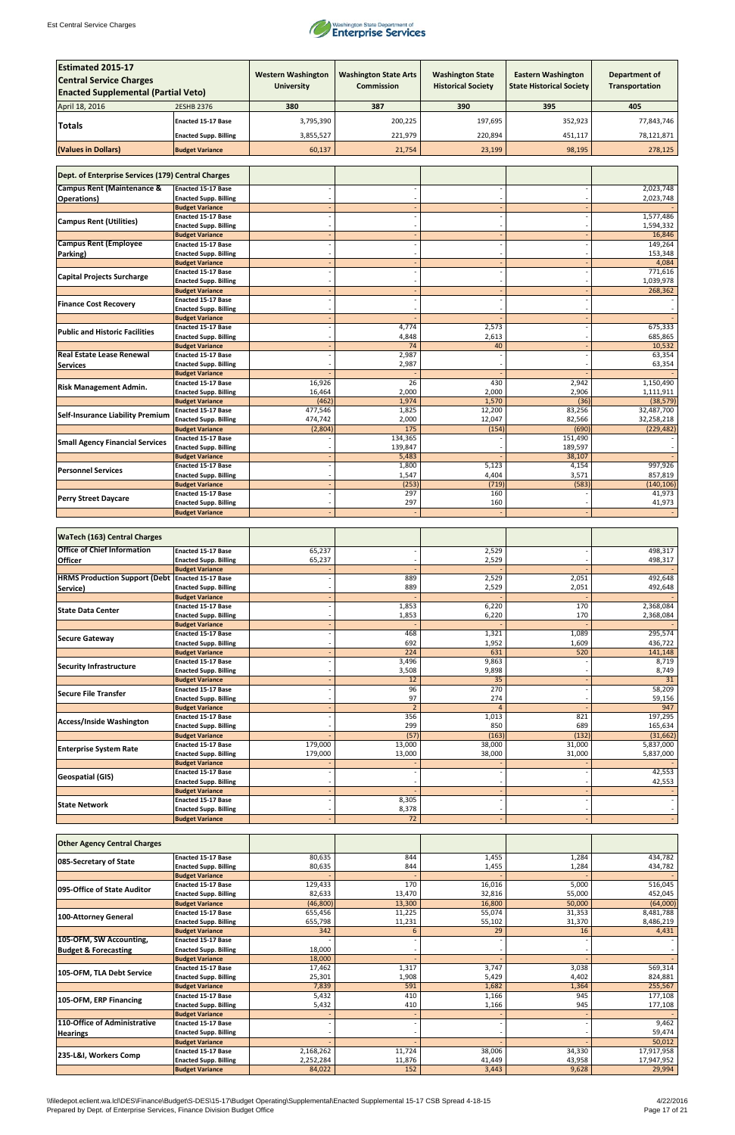

| <b>Estimated 2015-17</b><br><b>Central Service Charges</b><br><b>Enacted Supplemental (Partial Veto)</b> |                                                           | <b>Western Washington</b><br><b>University</b> | <b>Washington State Arts</b><br><b>Commission</b> | <b>Washington State</b><br><b>Historical Society</b> | <b>Eastern Washington</b><br><b>State Historical Society</b> | <b>Department of</b><br>Transportation |
|----------------------------------------------------------------------------------------------------------|-----------------------------------------------------------|------------------------------------------------|---------------------------------------------------|------------------------------------------------------|--------------------------------------------------------------|----------------------------------------|
| April 18, 2016                                                                                           | 2ESHB 2376                                                | 380                                            | 387                                               | 390                                                  | 395                                                          | 405                                    |
|                                                                                                          | <b>Enacted 15-17 Base</b>                                 | 3,795,390                                      | 200,225                                           | 197,695                                              | 352,923                                                      | 77,843,746                             |
| <b>Totals</b>                                                                                            |                                                           |                                                |                                                   |                                                      |                                                              | 78,121,871                             |
|                                                                                                          | <b>Enacted Supp. Billing</b>                              | 3,855,527                                      | 221,979                                           | 220,894                                              | 451,117                                                      |                                        |
| (Values in Dollars)                                                                                      | <b>Budget Variance</b>                                    | 60,137                                         | 21,754                                            | 23,199                                               | 98,195                                                       | 278,125                                |
| Dept. of Enterprise Services (179) Central Charges                                                       |                                                           |                                                |                                                   |                                                      |                                                              |                                        |
| <b>Campus Rent (Maintenance &amp;</b>                                                                    | <b>Enacted 15-17 Base</b>                                 |                                                |                                                   |                                                      |                                                              | 2,023,748                              |
| <b>Operations)</b>                                                                                       | <b>Enacted Supp. Billing</b>                              |                                                |                                                   |                                                      |                                                              | 2,023,748                              |
|                                                                                                          | <b>Budget Variance</b><br><b>Enacted 15-17 Base</b>       |                                                |                                                   |                                                      |                                                              | 1,577,486                              |
| <b>Campus Rent (Utilities)</b>                                                                           | <b>Enacted Supp. Billing</b>                              |                                                |                                                   |                                                      |                                                              | 1,594,332                              |
| <b>Campus Rent (Employee</b>                                                                             | <b>Budget Variance</b><br><b>Enacted 15-17 Base</b>       |                                                |                                                   |                                                      |                                                              | 16,846<br>149,264                      |
| Parking)                                                                                                 | <b>Enacted Supp. Billing</b>                              |                                                |                                                   |                                                      |                                                              | 153,348                                |
|                                                                                                          | <b>Budget Variance</b>                                    |                                                |                                                   |                                                      |                                                              | 4,084                                  |
| <b>Capital Projects Surcharge</b>                                                                        | <b>Enacted 15-17 Base</b>                                 |                                                |                                                   |                                                      |                                                              | 771,616                                |
|                                                                                                          | <b>Enacted Supp. Billing</b><br><b>Budget Variance</b>    |                                                |                                                   |                                                      |                                                              | 1,039,978<br>268,362                   |
|                                                                                                          | <b>Enacted 15-17 Base</b>                                 |                                                |                                                   |                                                      |                                                              |                                        |
| <b>Finance Cost Recovery</b>                                                                             | <b>Enacted Supp. Billing</b>                              |                                                |                                                   |                                                      |                                                              |                                        |
|                                                                                                          | <b>Budget Variance</b><br><b>Enacted 15-17 Base</b>       |                                                | 4,774                                             | 2,573                                                |                                                              | 675,333                                |
| <b>Public and Historic Facilities</b>                                                                    | <b>Enacted Supp. Billing</b>                              |                                                | 4,848                                             | 2,613                                                |                                                              | 685,865                                |
|                                                                                                          | <b>Budget Variance</b>                                    |                                                | 74                                                | 40                                                   |                                                              | 10,532                                 |
| <b>Real Estate Lease Renewal</b>                                                                         | <b>Enacted 15-17 Base</b>                                 |                                                | 2,987                                             |                                                      |                                                              | 63,354                                 |
| <b>Services</b>                                                                                          | <b>Enacted Supp. Billing</b><br><b>Budget Variance</b>    |                                                | 2,987                                             |                                                      |                                                              | 63,354                                 |
| <b>Risk Management Admin.</b>                                                                            | <b>Enacted 15-17 Base</b>                                 | 16,926                                         | $\overline{26}$                                   | 430                                                  | 2,942                                                        | 1,150,490                              |
|                                                                                                          | <b>Enacted Supp. Billing</b>                              | 16,464                                         | 2,000                                             | 2,000                                                | 2,906                                                        | 1,111,911                              |
|                                                                                                          | <b>Budget Variance</b><br><b>Enacted 15-17 Base</b>       | (462)<br>477,546                               | 1,974<br>1,825                                    | 1,570<br>12,200                                      | (36)<br>83,256                                               | (38, 579)<br>32,487,700                |
| <b>Self-Insurance Liability Premium</b>                                                                  | <b>Enacted Supp. Billing</b>                              | 474,742                                        | 2,000                                             | 12,047                                               | 82,566                                                       | 32,258,218                             |
|                                                                                                          | <b>Budget Variance</b>                                    | (2,804)                                        | 175                                               | (154)                                                | (690)                                                        | (229, 482)                             |
| <b>Small Agency Financial Services</b>                                                                   | <b>Enacted 15-17 Base</b><br><b>Enacted Supp. Billing</b> |                                                | 134,365<br>139,847                                |                                                      | 151,490<br>189,597                                           |                                        |
|                                                                                                          | <b>Budget Variance</b>                                    |                                                | 5,483                                             |                                                      | 38,107                                                       |                                        |
| <b>Personnel Services</b>                                                                                | <b>Enacted 15-17 Base</b>                                 |                                                | 1,800                                             | 5,123                                                | 4,154                                                        | 997,926                                |
|                                                                                                          | <b>Enacted Supp. Billing</b>                              |                                                | 1,547<br>(253)                                    | 4,404                                                | 3,571<br>(583)                                               | 857,819                                |
|                                                                                                          | <b>Budget Variance</b><br>Enacted 15-17 Base              |                                                | 297                                               | (719)<br>160                                         |                                                              | (140, 106)<br>41,973                   |
| <b>Perry Street Daycare</b>                                                                              | <b>Enacted Supp. Billing</b>                              |                                                | 297                                               | 160                                                  |                                                              | 41,973                                 |
|                                                                                                          | <b>Budget Variance</b>                                    |                                                |                                                   |                                                      |                                                              |                                        |
| <b>WaTech (163) Central Charges</b>                                                                      |                                                           |                                                |                                                   |                                                      |                                                              |                                        |
| <b>Office of Chief Information</b>                                                                       | <b>Enacted 15-17 Base</b>                                 | 65,237                                         |                                                   | 2,529                                                |                                                              | 498,317                                |
| <b>Officer</b>                                                                                           | <b>Enacted Supp. Billing</b><br><b>Budget Variance</b>    | 65,237                                         |                                                   | 2,529                                                |                                                              | 498,317                                |
| <b>HRMS Production Support (Debt Enacted 15-17 Base</b>                                                  |                                                           |                                                | 889                                               | 2,529                                                | 2,051                                                        | 492,648                                |
| Service)                                                                                                 | <b>Enacted Supp. Billing</b>                              |                                                | 889                                               | 2,529                                                | 2,051                                                        | 492,648                                |
|                                                                                                          | <b>Budget Variance</b><br><b>Enacted 15-17 Base</b>       |                                                | 1,853                                             | 6,220                                                | 170                                                          | 2,368,084                              |
| <b>State Data Center</b>                                                                                 | <b>Enacted Supp. Billing</b>                              |                                                | 1,853                                             | 6,220                                                | 170                                                          | 2,368,084                              |
|                                                                                                          | <b>Budget Variance</b>                                    |                                                |                                                   |                                                      |                                                              |                                        |
| Secure Gateway                                                                                           | <b>Enacted 15-17 Base</b><br><b>Enacted Supp. Billing</b> |                                                | 468<br>692                                        | 1,321<br>1,952                                       | 1,089<br>1,609                                               | 295,574<br>436,722                     |
|                                                                                                          | <b>Budget Variance</b>                                    |                                                | 224                                               | 631                                                  | 520                                                          | 141,148                                |
| <b>Security Infrastructure</b>                                                                           | <b>Enacted 15-17 Base</b>                                 |                                                | 3,496                                             | 9,863                                                |                                                              | 8,719                                  |
|                                                                                                          | <b>Enacted Supp. Billing</b>                              |                                                | 3,508<br>12                                       | 9,898<br>35                                          |                                                              | 8,749<br>31                            |
|                                                                                                          | <b>Budget Variance</b><br>Enacted 15-17 Base              |                                                | 96                                                | 270                                                  |                                                              | 58,209                                 |
| Secure File Transfer                                                                                     | <b>Enacted Supp. Billing</b>                              |                                                | 97                                                | 274                                                  |                                                              | 59,156                                 |
|                                                                                                          | <b>Budget Variance</b>                                    |                                                | $\overline{2}$                                    | $\overline{4}$                                       |                                                              | 947                                    |
| Access/Inside Washington                                                                                 | <b>Enacted 15-17 Base</b><br><b>Enacted Supp. Billing</b> |                                                | 356<br>299                                        | 1,013<br>850                                         | 821<br>689                                                   | 197,295<br>165,634                     |
|                                                                                                          | <b>Budget Variance</b>                                    |                                                | $\overline{(57)}$                                 | (163)                                                | (132)                                                        | (31, 662)                              |
| <b>Enterprise System Rate</b>                                                                            | <b>Enacted 15-17 Base</b>                                 | 179,000                                        | 13,000                                            | 38,000                                               | 31,000                                                       | 5,837,000                              |
|                                                                                                          | <b>Enacted Supp. Billing</b><br><b>Budget Variance</b>    | 179,000                                        | 13,000                                            | 38,000                                               | 31,000                                                       | 5,837,000                              |
|                                                                                                          | <b>Enacted 15-17 Base</b>                                 |                                                |                                                   |                                                      |                                                              | 42,553                                 |
| <b>Geospatial (GIS)</b>                                                                                  | <b>Enacted Supp. Billing</b>                              |                                                |                                                   |                                                      |                                                              | 42,553                                 |
|                                                                                                          | <b>Budget Variance</b><br><b>Enacted 15-17 Base</b>       |                                                | 8,305                                             |                                                      |                                                              |                                        |
| <b>State Network</b>                                                                                     | <b>Enacted Supp. Billing</b>                              |                                                | 8,378                                             |                                                      |                                                              |                                        |
|                                                                                                          | <b>Budget Variance</b>                                    |                                                | 72                                                |                                                      |                                                              |                                        |

| <b>Other Agency Central Charges</b> |                              |           |        |        |        |            |
|-------------------------------------|------------------------------|-----------|--------|--------|--------|------------|
| 085-Secretary of State              | <b>Enacted 15-17 Base</b>    | 80,635    | 844    | 1,455  | 1,284  | 434,782    |
|                                     | <b>Enacted Supp. Billing</b> | 80,635    | 844    | 1,455  | 1,284  | 434,782    |
|                                     | <b>Budget Variance</b>       |           |        |        |        |            |
| 095-Office of State Auditor         | <b>Enacted 15-17 Base</b>    | 129,433   | 170    | 16,016 | 5,000  | 516,045    |
|                                     | <b>Enacted Supp. Billing</b> | 82,633    | 13,470 | 32,816 | 55,000 | 452,045    |
|                                     | <b>Budget Variance</b>       | (46,800)  | 13,300 | 16,800 | 50,000 | (64,000)   |
|                                     | <b>Enacted 15-17 Base</b>    | 655,456   | 11,225 | 55,074 | 31,353 | 8,481,788  |
| <b>100-Attorney General</b>         | <b>Enacted Supp. Billing</b> | 655,798   | 11,231 | 55,102 | 31,370 | 8,486,219  |
|                                     | <b>Budget Variance</b>       | 342       | 6      | 29     | 16     | 4,431      |
| 105-OFM, SW Accounting,             | <b>Enacted 15-17 Base</b>    |           |        |        |        |            |
| <b>Budget &amp; Forecasting</b>     | <b>Enacted Supp. Billing</b> | 18,000    |        |        |        |            |
|                                     | <b>Budget Variance</b>       | 18,000    |        |        |        |            |
| 105-OFM, TLA Debt Service           | <b>Enacted 15-17 Base</b>    | 17,462    | 1,317  | 3,747  | 3,038  | 569,314    |
|                                     | <b>Enacted Supp. Billing</b> | 25,301    | 1,908  | 5,429  | 4,402  | 824,881    |
|                                     | <b>Budget Variance</b>       | 7,839     | 591    | 1,682  | 1,364  | 255,567    |
| 105-OFM, ERP Financing              | <b>Enacted 15-17 Base</b>    | 5,432     | 410    | 1,166  | 945    | 177,108    |
|                                     | <b>Enacted Supp. Billing</b> | 5,432     | 410    | 1,166  | 945    | 177,108    |
|                                     | <b>Budget Variance</b>       |           |        |        |        |            |
| 110-Office of Administrative        | <b>Enacted 15-17 Base</b>    |           |        |        |        | 9,462      |
| <b>Hearings</b>                     | <b>Enacted Supp. Billing</b> |           |        |        |        | 59,474     |
|                                     | <b>Budget Variance</b>       |           |        |        |        | 50,012     |
| 235-L&I, Workers Comp               | <b>Enacted 15-17 Base</b>    | 2,168,262 | 11,724 | 38,006 | 34,330 | 17,917,958 |
|                                     | <b>Enacted Supp. Billing</b> | 2,252,284 | 11,876 | 41,449 | 43,958 | 17,947,952 |
|                                     | <b>Budget Variance</b>       | 84,022    | 152    | 3,443  | 9,628  | 29,994     |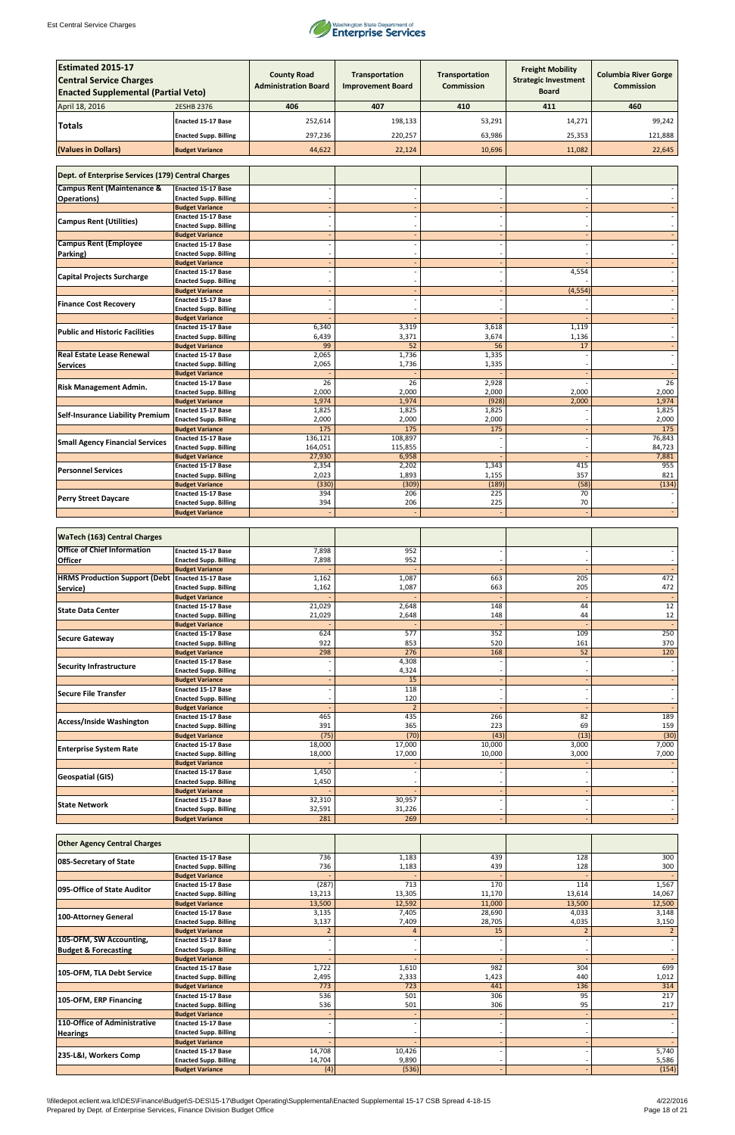

| <b>Estimated 2015-17</b><br><b>Central Service Charges</b><br><b>Enacted Supplemental (Partial Veto)</b> |                                                           | <b>County Road</b><br><b>Administration Board</b> | Transportation<br><b>Improvement Board</b> | <b>Transportation</b><br><b>Commission</b> | <b>Freight Mobility</b><br><b>Strategic Investment</b><br>Board | <b>Columbia River Gorge</b><br><b>Commission</b> |
|----------------------------------------------------------------------------------------------------------|-----------------------------------------------------------|---------------------------------------------------|--------------------------------------------|--------------------------------------------|-----------------------------------------------------------------|--------------------------------------------------|
| April 18, 2016                                                                                           | 2ESHB 2376                                                | 406                                               | 407                                        | 410                                        | 411                                                             | 460                                              |
|                                                                                                          | <b>Enacted 15-17 Base</b>                                 | 252,614                                           | 198,133                                    | 53,291                                     | 14,271                                                          | 99,242                                           |
| Totals                                                                                                   | <b>Enacted Supp. Billing</b>                              | 297,236                                           | 220,257                                    | 63,986                                     | 25,353                                                          | 121,888                                          |
|                                                                                                          |                                                           |                                                   |                                            |                                            |                                                                 |                                                  |
| (Values in Dollars)                                                                                      | <b>Budget Variance</b>                                    | 44,622                                            | 22,124                                     | 10,696                                     | 11,082                                                          | 22,645                                           |
| Dept. of Enterprise Services (179) Central Charges                                                       |                                                           |                                                   |                                            |                                            |                                                                 |                                                  |
| <b>Campus Rent (Maintenance &amp;</b>                                                                    | <b>Enacted 15-17 Base</b>                                 |                                                   |                                            |                                            |                                                                 |                                                  |
| Operations)                                                                                              | <b>Enacted Supp. Billing</b><br><b>Budget Variance</b>    |                                                   |                                            |                                            |                                                                 |                                                  |
| <b>Campus Rent (Utilities)</b>                                                                           | <b>Enacted 15-17 Base</b>                                 |                                                   |                                            |                                            |                                                                 |                                                  |
|                                                                                                          | <b>Enacted Supp. Billing</b><br><b>Budget Variance</b>    |                                                   |                                            |                                            |                                                                 |                                                  |
| <b>Campus Rent (Employee</b>                                                                             | <b>Enacted 15-17 Base</b>                                 |                                                   |                                            |                                            |                                                                 |                                                  |
| Parking)                                                                                                 | <b>Enacted Supp. Billing</b>                              |                                                   |                                            |                                            |                                                                 |                                                  |
|                                                                                                          | <b>Budget Variance</b><br><b>Enacted 15-17 Base</b>       |                                                   |                                            |                                            | 4,554                                                           |                                                  |
| <b>Capital Projects Surcharge</b>                                                                        | <b>Enacted Supp. Billing</b>                              |                                                   |                                            |                                            |                                                                 |                                                  |
|                                                                                                          | <b>Budget Variance</b>                                    |                                                   |                                            |                                            | (4, 554)                                                        |                                                  |
| <b>Finance Cost Recovery</b>                                                                             | <b>Enacted 15-17 Base</b><br><b>Enacted Supp. Billing</b> |                                                   |                                            |                                            |                                                                 |                                                  |
|                                                                                                          | <b>Budget Variance</b>                                    |                                                   |                                            |                                            |                                                                 |                                                  |
| <b>Public and Historic Facilities</b>                                                                    | <b>Enacted 15-17 Base</b>                                 | 6,340                                             | 3,319                                      | 3,618                                      | 1,119                                                           |                                                  |
|                                                                                                          | <b>Enacted Supp. Billing</b><br><b>Budget Variance</b>    | 6,439<br>99                                       | 3,371<br>52                                | 3,674<br>56                                | 1,136<br>17                                                     |                                                  |
| <b>Real Estate Lease Renewal</b>                                                                         | <b>Enacted 15-17 Base</b>                                 | 2,065                                             | 1,736                                      | 1,335                                      |                                                                 |                                                  |
| <b>Services</b>                                                                                          | <b>Enacted Supp. Billing</b>                              | 2,065                                             | 1,736                                      | 1,335                                      |                                                                 |                                                  |
|                                                                                                          | <b>Budget Variance</b><br><b>Enacted 15-17 Base</b>       | 26                                                | $\overline{26}$                            | 2,928                                      |                                                                 | $\overline{26}$                                  |
| <b>Risk Management Admin.</b>                                                                            | <b>Enacted Supp. Billing</b>                              | 2,000                                             | 2,000                                      | 2,000                                      | 2,000                                                           | 2,000                                            |
|                                                                                                          | <b>Budget Variance</b>                                    | 1,974                                             | 1,974                                      | (928)                                      | 2,000                                                           | 1,974                                            |
| <b>Self-Insurance Liability Premium</b>                                                                  | <b>Enacted 15-17 Base</b><br><b>Enacted Supp. Billing</b> | 1,825<br>2,000                                    | 1,825<br>2,000                             | 1,825<br>2,000                             |                                                                 | 1,825<br>2,000                                   |
|                                                                                                          | <b>Budget Variance</b>                                    | 175                                               | 175                                        | 175                                        |                                                                 | 175                                              |
| <b>Small Agency Financial Services</b>                                                                   | <b>Enacted 15-17 Base</b>                                 | 136,121                                           | 108,897                                    |                                            |                                                                 | 76,843                                           |
|                                                                                                          | <b>Enacted Supp. Billing</b><br><b>Budget Variance</b>    | 164,051<br>27,930                                 | 115,855<br>6,958                           |                                            |                                                                 | 84,723<br>7,881                                  |
|                                                                                                          | <b>Enacted 15-17 Base</b>                                 | 2,354                                             | 2,202                                      | 1,343                                      | 415                                                             | 955                                              |
| <b>Personnel Services</b>                                                                                | <b>Enacted Supp. Billing</b>                              | 2,023                                             | 1,893                                      | 1,155                                      | 357                                                             | 821                                              |
|                                                                                                          | <b>Budget Variance</b><br><b>Enacted 15-17 Base</b>       | (330)<br>394                                      | (309)<br>206                               | (189)<br>225                               | (58)<br>70                                                      | (134)                                            |
| <b>Perry Street Daycare</b>                                                                              | <b>Enacted Supp. Billing</b>                              | 394                                               | 206                                        | 225                                        | 70                                                              |                                                  |
|                                                                                                          | <b>Budget Variance</b>                                    |                                                   |                                            |                                            |                                                                 |                                                  |
| <b>WaTech (163) Central Charges</b>                                                                      |                                                           |                                                   |                                            |                                            |                                                                 |                                                  |
| <b>Office of Chief Information</b>                                                                       | <b>Enacted 15-17 Base</b>                                 | 7,898                                             | 952                                        |                                            |                                                                 |                                                  |
| <b>Officer</b>                                                                                           | <b>Enacted Supp. Billing</b>                              | 7,898                                             | 952                                        |                                            |                                                                 |                                                  |
| <b>HRMS Production Support (Debt Enacted 15-17 Base</b>                                                  | <b>Budget Variance</b>                                    | 1,162                                             | 1,087                                      | 663                                        | 205                                                             | 472                                              |
| Service)                                                                                                 | <b>Enacted Supp. Billing</b>                              | 1,162                                             | 1,087                                      | 663                                        | 205                                                             | 472                                              |
|                                                                                                          | <b>Budget Variance</b><br><b>Enacted 15-17 Base</b>       | 21,029                                            | 2,648                                      | 148                                        | 44                                                              | $\overline{12}$                                  |
| <b>State Data Center</b>                                                                                 | <b>Enacted Supp. Billing</b>                              | 21,029                                            | 2,648                                      | 148                                        | 44                                                              | $12\,$                                           |
|                                                                                                          | <b>Budget Variance</b>                                    |                                                   |                                            |                                            |                                                                 |                                                  |
| <b>Secure Gateway</b>                                                                                    | Enacted 15-17 Base<br><b>Enacted Supp. Billing</b>        | 624<br>922                                        | 577<br>853                                 | 352<br>520                                 | 109<br>161                                                      | 250<br>370                                       |
|                                                                                                          | <b>Budget Variance</b>                                    | 298                                               | 276                                        | 168                                        | 52                                                              | 120                                              |
| <b>Security Infrastructure</b>                                                                           | <b>Enacted 15-17 Base</b>                                 |                                                   | 4,308                                      |                                            |                                                                 |                                                  |
|                                                                                                          | <b>Enacted Supp. Billing</b><br><b>Budget Variance</b>    |                                                   | 4,324<br>15                                |                                            |                                                                 |                                                  |
|                                                                                                          | Enacted 15-17 Base                                        |                                                   | 118                                        |                                            |                                                                 |                                                  |
| Secure File Transfer                                                                                     | <b>Enacted Supp. Billing</b>                              |                                                   | 120                                        |                                            |                                                                 |                                                  |
|                                                                                                          | <b>Budget Variance</b><br><b>Enacted 15-17 Base</b>       | 465                                               | $\overline{2}$<br>435                      | 266                                        | 82                                                              | 189                                              |
| Access/Inside Washington                                                                                 | <b>Enacted Supp. Billing</b>                              | 391                                               | 365                                        | 223                                        | 69                                                              | 159                                              |
|                                                                                                          | <b>Budget Variance</b>                                    | (75)                                              | (70)                                       | (43)                                       | (13)                                                            | (30)                                             |
| <b>Enterprise System Rate</b>                                                                            | <b>Enacted 15-17 Base</b><br><b>Enacted Supp. Billing</b> | 18,000<br>18,000                                  | 17,000<br>17,000                           | 10,000<br>10,000                           | 3,000<br>3,000                                                  | 7,000<br>7,000                                   |
|                                                                                                          | <b>Budget Variance</b>                                    |                                                   |                                            |                                            |                                                                 |                                                  |
| <b>Geospatial (GIS)</b>                                                                                  | <b>Enacted 15-17 Base</b>                                 | 1,450                                             |                                            |                                            |                                                                 |                                                  |
|                                                                                                          | <b>Enacted Supp. Billing</b><br><b>Budget Variance</b>    | 1,450                                             |                                            |                                            |                                                                 |                                                  |
|                                                                                                          | Enacted 15-17 Base                                        | 32,310                                            | 30,957                                     |                                            |                                                                 |                                                  |
| <b>State Network</b>                                                                                     | <b>Enacted Supp. Billing</b>                              | 32,591                                            | 31,226                                     |                                            |                                                                 |                                                  |
|                                                                                                          | <b>Budget Variance</b>                                    | 281                                               | 269                                        |                                            |                                                                 |                                                  |

| <b>Other Agency Central Charges</b> |                              |        |        |        |        |        |
|-------------------------------------|------------------------------|--------|--------|--------|--------|--------|
| 085-Secretary of State              | <b>Enacted 15-17 Base</b>    | 736    | 1,183  | 439    | 128    | 300    |
|                                     | <b>Enacted Supp. Billing</b> | 736    | 1,183  | 439    | 128    | 300    |
|                                     | <b>Budget Variance</b>       |        |        |        |        |        |
| 095-Office of State Auditor         | <b>Enacted 15-17 Base</b>    | (287)  | 713    | 170    | 114    | 1,567  |
|                                     | <b>Enacted Supp. Billing</b> | 13,213 | 13,305 | 11,170 | 13,614 | 14,067 |
|                                     | <b>Budget Variance</b>       | 13,500 | 12,592 | 11,000 | 13,500 | 12,500 |
|                                     | <b>Enacted 15-17 Base</b>    | 3,135  | 7,405  | 28,690 | 4,033  | 3,148  |
| <b>100-Attorney General</b>         | <b>Enacted Supp. Billing</b> | 3,137  | 7,409  | 28,705 | 4,035  | 3,150  |
|                                     | <b>Budget Variance</b>       |        |        | 15     |        |        |
| 105-OFM, SW Accounting,             | <b>Enacted 15-17 Base</b>    |        |        |        |        |        |
| <b>Budget &amp; Forecasting</b>     | <b>Enacted Supp. Billing</b> |        |        |        |        |        |
|                                     | <b>Budget Variance</b>       |        |        |        |        |        |
| 105-OFM, TLA Debt Service           | <b>Enacted 15-17 Base</b>    | 1,722  | 1,610  | 982    | 304    | 699    |
|                                     | <b>Enacted Supp. Billing</b> | 2,495  | 2,333  | 1,423  | 440    | 1,012  |
|                                     | <b>Budget Variance</b>       | 773    | 723    | 441    | 136    | 314    |
| 105-OFM, ERP Financing              | <b>Enacted 15-17 Base</b>    | 536    | 501    | 306    | 95     | 217    |
|                                     | <b>Enacted Supp. Billing</b> | 536    | 501    | 306    | 95     | 217    |
|                                     | <b>Budget Variance</b>       |        |        |        |        |        |
| 110-Office of Administrative        | <b>Enacted 15-17 Base</b>    |        |        |        |        |        |
| Hearings                            | <b>Enacted Supp. Billing</b> |        |        |        |        |        |
|                                     | <b>Budget Variance</b>       |        |        |        |        |        |
| 235-L&I, Workers Comp               | <b>Enacted 15-17 Base</b>    | 14,708 | 10,426 |        |        | 5,740  |
|                                     | <b>Enacted Supp. Billing</b> | 14,704 | 9,890  |        |        | 5,586  |
|                                     | <b>Budget Variance</b>       | (4)    | (536)  |        |        | (154)  |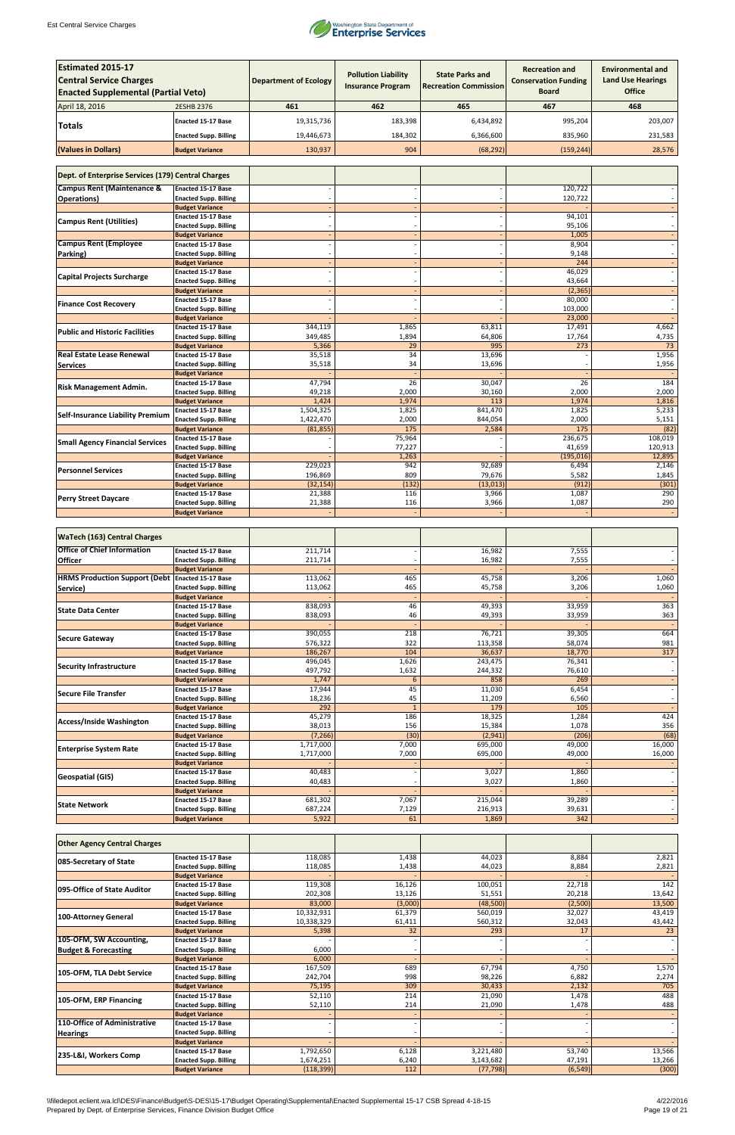

| <b>Estimated 2015-17</b><br><b>Central Service Charges</b> |                                                           | <b>Department of Ecology</b> | <b>Pollution Liability</b><br><b>Insurance Program</b> | <b>State Parks and</b><br><b>Recreation Commission</b> | <b>Recreation and</b><br><b>Conservation Funding</b> | <b>Environmental and</b><br><b>Land Use Hearings</b> |  |
|------------------------------------------------------------|-----------------------------------------------------------|------------------------------|--------------------------------------------------------|--------------------------------------------------------|------------------------------------------------------|------------------------------------------------------|--|
| <b>Enacted Supplemental (Partial Veto)</b>                 |                                                           |                              |                                                        |                                                        | <b>Board</b>                                         | <b>Office</b>                                        |  |
| April 18, 2016                                             | 2ESHB 2376                                                | 461                          | 462                                                    | 465                                                    | 467                                                  | 468                                                  |  |
| <b>Totals</b>                                              | <b>Enacted 15-17 Base</b>                                 | 19,315,736                   | 183,398                                                | 6,434,892                                              | 995,204                                              | 203,007                                              |  |
|                                                            | <b>Enacted Supp. Billing</b>                              | 19,446,673                   | 184,302                                                | 6,366,600                                              | 835,960                                              | 231,583                                              |  |
| (Values in Dollars)                                        | <b>Budget Variance</b>                                    | 130,937                      | 904                                                    | (68, 292)                                              | (159, 244)                                           | 28,576                                               |  |
|                                                            |                                                           |                              |                                                        |                                                        |                                                      |                                                      |  |
| Dept. of Enterprise Services (179) Central Charges         |                                                           |                              |                                                        |                                                        |                                                      |                                                      |  |
| <b>Campus Rent (Maintenance &amp;</b>                      | <b>Enacted 15-17 Base</b>                                 |                              |                                                        |                                                        | 120,722                                              |                                                      |  |
| <b>Operations</b> )                                        | <b>Enacted Supp. Billing</b><br><b>Budget Variance</b>    |                              |                                                        |                                                        | 120,722                                              |                                                      |  |
| <b>Campus Rent (Utilities)</b>                             | Enacted 15-17 Base                                        |                              |                                                        |                                                        | 94,101                                               |                                                      |  |
|                                                            | <b>Enacted Supp. Billing</b>                              |                              |                                                        |                                                        | 95,106                                               |                                                      |  |
| <b>Campus Rent (Employee</b>                               | <b>Budget Variance</b><br><b>Enacted 15-17 Base</b>       |                              |                                                        |                                                        | 1,005<br>8,904                                       |                                                      |  |
| Parking)                                                   | <b>Enacted Supp. Billing</b>                              |                              |                                                        |                                                        | 9,148                                                |                                                      |  |
|                                                            | <b>Budget Variance</b>                                    |                              |                                                        |                                                        | 244                                                  |                                                      |  |
| <b>Capital Projects Surcharge</b>                          | <b>Enacted 15-17 Base</b><br><b>Enacted Supp. Billing</b> |                              |                                                        |                                                        | 46,029<br>43,664                                     |                                                      |  |
|                                                            | <b>Budget Variance</b>                                    |                              |                                                        |                                                        | (2, 365)                                             |                                                      |  |
| <b>Finance Cost Recovery</b>                               | <b>Enacted 15-17 Base</b>                                 |                              |                                                        |                                                        | 80,000                                               |                                                      |  |
|                                                            | <b>Enacted Supp. Billing</b><br><b>Budget Variance</b>    |                              |                                                        |                                                        | 103,000<br>23,000                                    |                                                      |  |
| <b>Public and Historic Facilities</b>                      | <b>Enacted 15-17 Base</b>                                 | 344,119                      | 1,865                                                  | 63,811                                                 | 17,491                                               | 4,662                                                |  |
|                                                            | <b>Enacted Supp. Billing</b>                              | 349,485                      | 1,894                                                  | 64,806                                                 | 17,764                                               | 4,735                                                |  |
| <b>Real Estate Lease Renewal</b>                           | <b>Budget Variance</b><br><b>Enacted 15-17 Base</b>       | 5,366<br>35,518              | 29<br>$\overline{34}$                                  | 995<br>13,696                                          | 273                                                  | 73<br>1,956                                          |  |
| <b>Services</b>                                            | <b>Enacted Supp. Billing</b>                              | 35,518                       | 34                                                     | 13,696                                                 |                                                      | 1,956                                                |  |
|                                                            | <b>Budget Variance</b>                                    |                              |                                                        |                                                        |                                                      |                                                      |  |
| <b>Risk Management Admin.</b>                              | <b>Enacted 15-17 Base</b><br><b>Enacted Supp. Billing</b> | 47,794<br>49,218             | 26<br>2,000                                            | 30,047<br>30,160                                       | 26<br>2,000                                          | 184<br>2,000                                         |  |
|                                                            | <b>Budget Variance</b>                                    | 1,424                        | 1,974                                                  | 113                                                    | 1,974                                                | 1,816                                                |  |
| <b>Self-Insurance Liability Premium</b>                    | <b>Enacted 15-17 Base</b>                                 | 1,504,325                    | 1,825                                                  | 841,470                                                | 1,825                                                | 5,233                                                |  |
|                                                            | <b>Enacted Supp. Billing</b><br><b>Budget Variance</b>    | 1,422,470<br>(81, 855)       | 2,000<br>175                                           | 844,054<br>2,584                                       | 2,000<br>175                                         | 5,151<br>(82)                                        |  |
| <b>Small Agency Financial Services</b>                     | <b>Enacted 15-17 Base</b>                                 |                              | 75,964                                                 |                                                        | 236,675                                              | 108,019                                              |  |
|                                                            | <b>Enacted Supp. Billing</b>                              |                              | 77,227                                                 |                                                        | 41,659                                               | 120,913                                              |  |
|                                                            | <b>Budget Variance</b><br><b>Enacted 15-17 Base</b>       | 229,023                      | 1,263<br>942                                           | 92,689                                                 | (195, 016)<br>6,494                                  | 12,895<br>2,146                                      |  |
| <b>Personnel Services</b>                                  | <b>Enacted Supp. Billing</b>                              | 196,869                      | 809                                                    | 79,676                                                 | 5,582                                                | 1,845                                                |  |
|                                                            | <b>Budget Variance</b>                                    | (32, 154)                    | (132)                                                  | (13, 013)                                              | (912)                                                | (301)<br>290                                         |  |
| <b>Perry Street Daycare</b>                                | <b>Enacted 15-17 Base</b><br><b>Enacted Supp. Billing</b> | 21,388<br>21,388             | 116<br>116                                             | 3,966<br>3,966                                         | 1,087<br>1,087                                       | 290                                                  |  |
|                                                            | <b>Budget Variance</b>                                    |                              |                                                        |                                                        |                                                      |                                                      |  |
|                                                            |                                                           |                              |                                                        |                                                        |                                                      |                                                      |  |
| <b>WaTech (163) Central Charges</b>                        |                                                           |                              |                                                        |                                                        |                                                      |                                                      |  |
| <b>Office of Chief Information</b>                         | <b>Enacted 15-17 Base</b>                                 | 211,714<br>211,714           |                                                        | 16,982<br>16,982                                       | 7,555<br>7,555                                       |                                                      |  |
| <b>Officer</b>                                             | <b>Enacted Supp. Billing</b><br><b>Budget Variance</b>    |                              |                                                        |                                                        |                                                      |                                                      |  |
| <b>HRMS Production Support (Debt Enacted 15-17 Base</b>    |                                                           | 113,062                      | 465                                                    | 45,758                                                 | 3,206                                                | 1,060                                                |  |
| Service)                                                   | <b>Enacted Supp. Billing</b><br><b>Budget Variance</b>    | 113,062                      | 465                                                    | 45,758                                                 | 3,206                                                | 1,060                                                |  |
|                                                            | <b>Enacted 15-17 Base</b>                                 | 838,093                      | 46                                                     | 49,393                                                 | 33,959                                               | 363                                                  |  |
| <b>State Data Center</b>                                   | <b>Enacted Supp. Billing</b>                              | 838,093                      | 46                                                     | 49,393                                                 | 33,959                                               | 363                                                  |  |
|                                                            | <b>Budget Variance</b><br>Enacted 15-17 Base              | 390,055                      | 218                                                    | 76,721                                                 | 39,305                                               | 664                                                  |  |
| <b>Secure Gateway</b>                                      | <b>Enacted Supp. Billing</b>                              | 576,322                      | 322                                                    | 113,358                                                | 58,074                                               | 981                                                  |  |
|                                                            | <b>Budget Variance</b>                                    | 186,267                      | 104                                                    | 36,637                                                 | 18,770                                               | 317                                                  |  |
| <b>Security Infrastructure</b>                             | <b>Enacted 15-17 Base</b><br><b>Enacted Supp. Billing</b> | 496,045<br>497,792           | 1,626<br>1,632                                         | 243,475<br>244,332                                     | 76,341<br>76,610                                     | $\overline{\phantom{a}}$                             |  |
|                                                            | <b>Budget Variance</b>                                    | 1,747                        | $\boldsymbol{6}$                                       | 858                                                    | 269                                                  | $\blacksquare$                                       |  |
| <b>Secure File Transfer</b>                                | <b>Enacted 15-17 Base</b>                                 | 17,944                       | 45                                                     | 11,030                                                 | 6,454                                                | $\overline{\phantom{a}}$                             |  |
|                                                            | <b>Enacted Supp. Billing</b><br><b>Budget Variance</b>    | 18,236<br>292                | 45<br>$1\,$                                            | 11,209<br>179                                          | 6,560<br>105                                         | $\overline{\phantom{a}}$                             |  |
|                                                            | <b>Enacted 15-17 Base</b>                                 | 45,279                       | 186                                                    | 18,325                                                 | 1,284                                                | 424                                                  |  |
| <b>Access/Inside Washington</b>                            | <b>Enacted Supp. Billing</b>                              | 38,013                       | 156                                                    | 15,384                                                 | 1,078                                                | 356                                                  |  |
|                                                            | <b>Budget Variance</b><br><b>Enacted 15-17 Base</b>       | (7, 266)<br>1,717,000        | (30)<br>7,000                                          | (2,941)<br>695,000                                     | (206)<br>49,000                                      | (68)<br>16,000                                       |  |
| <b>Enterprise System Rate</b>                              | <b>Enacted Supp. Billing</b>                              | 1,717,000                    | 7,000                                                  | 695,000                                                | 49,000                                               | 16,000                                               |  |
|                                                            | <b>Budget Variance</b>                                    |                              |                                                        |                                                        |                                                      |                                                      |  |
| <b>Geospatial (GIS)</b>                                    | <b>Enacted 15-17 Base</b><br><b>Enacted Supp. Billing</b> | 40,483<br>40,483             |                                                        | 3,027<br>3,027                                         | 1,860<br>1,860                                       | $\sim$                                               |  |
|                                                            | <b>Budget Variance</b>                                    |                              |                                                        |                                                        |                                                      | $\overline{\phantom{a}}$                             |  |
| <b>State Network</b>                                       | Enacted 15-17 Base                                        | 681,302                      | 7,067                                                  | 215,044                                                | 39,289                                               |                                                      |  |
|                                                            | <b>Enacted Supp. Billing</b><br><b>Budget Variance</b>    | 687,224<br>5,922             | 7,129<br>61                                            | 216,913<br>1,869                                       | 39,631<br>342                                        |                                                      |  |

| <b>Other Agency Central Charges</b> |                              |            |         |           |          |        |
|-------------------------------------|------------------------------|------------|---------|-----------|----------|--------|
| 085-Secretary of State              | <b>Enacted 15-17 Base</b>    | 118,085    | 1,438   | 44,023    | 8,884    | 2,821  |
|                                     | <b>Enacted Supp. Billing</b> | 118,085    | 1,438   | 44,023    | 8,884    | 2,821  |
|                                     | <b>Budget Variance</b>       |            |         |           |          |        |
| 095-Office of State Auditor         | <b>Enacted 15-17 Base</b>    | 119,308    | 16,126  | 100,051   | 22,718   | 142    |
|                                     | <b>Enacted Supp. Billing</b> | 202,308    | 13,126  | 51,551    | 20,218   | 13,642 |
|                                     | <b>Budget Variance</b>       | 83,000     | (3,000) | (48,500)  | (2,500)  | 13,500 |
| 100-Attorney General                | <b>Enacted 15-17 Base</b>    | 10,332,931 | 61,379  | 560,019   | 32,027   | 43,419 |
|                                     | <b>Enacted Supp. Billing</b> | 10,338,329 | 61,411  | 560,312   | 32,043   | 43,442 |
|                                     | <b>Budget Variance</b>       | 5,398      | 32      | 293       | 17       | 23     |
| 105-OFM, SW Accounting,             | <b>Enacted 15-17 Base</b>    |            |         |           |          |        |
| <b>Budget &amp; Forecasting</b>     | <b>Enacted Supp. Billing</b> | 6,000      |         |           |          |        |
|                                     | <b>Budget Variance</b>       | 6,000      |         |           |          |        |
| 105-OFM, TLA Debt Service           | <b>Enacted 15-17 Base</b>    | 167,509    | 689     | 67,794    | 4,750    | 1,570  |
|                                     | <b>Enacted Supp. Billing</b> | 242,704    | 998     | 98,226    | 6,882    | 2,274  |
|                                     | <b>Budget Variance</b>       | 75,195     | 309     | 30,433    | 2,132    | 705    |
| 105-OFM, ERP Financing              | <b>Enacted 15-17 Base</b>    | 52,110     | 214     | 21,090    | 1,478    | 488    |
|                                     | <b>Enacted Supp. Billing</b> | 52,110     | 214     | 21,090    | 1,478    | 488    |
|                                     | <b>Budget Variance</b>       |            |         |           |          |        |
| 110-Office of Administrative        | <b>Enacted 15-17 Base</b>    |            |         |           |          |        |
| <b>Hearings</b>                     | <b>Enacted Supp. Billing</b> |            |         |           |          |        |
|                                     | <b>Budget Variance</b>       |            |         |           |          |        |
| 235-L&I, Workers Comp               | <b>Enacted 15-17 Base</b>    | 1,792,650  | 6,128   | 3,221,480 | 53,740   | 13,566 |
|                                     | <b>Enacted Supp. Billing</b> | 1,674,251  | 6,240   | 3,143,682 | 47,191   | 13,266 |
|                                     | <b>Budget Variance</b>       | (118, 399) | 112     | (77, 798) | (6, 549) | (300)  |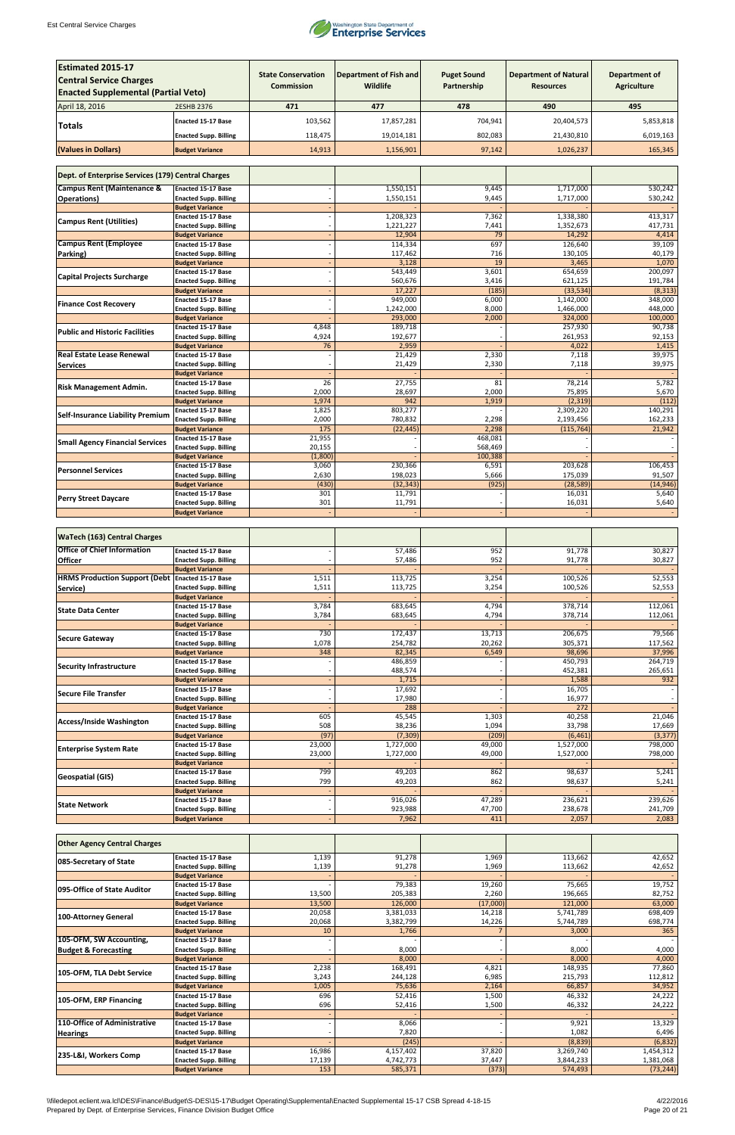

| <b>Estimated 2015-17</b><br><b>Central Service Charges</b><br><b>Enacted Supplemental (Partial Veto)</b> |                                                           | <b>State Conservation</b><br><b>Commission</b> | <b>Department of Fish and</b><br><b>Wildlife</b> | <b>Puget Sound</b><br>Partnership | <b>Department of Natural</b><br><b>Resources</b> | <b>Department of</b><br><b>Agriculture</b> |
|----------------------------------------------------------------------------------------------------------|-----------------------------------------------------------|------------------------------------------------|--------------------------------------------------|-----------------------------------|--------------------------------------------------|--------------------------------------------|
| April 18, 2016                                                                                           | <b>2ESHB 2376</b>                                         | 471                                            | 477                                              | 478                               | 490                                              | 495                                        |
|                                                                                                          | <b>Enacted 15-17 Base</b>                                 | 103,562                                        | 17,857,281                                       | 704,941                           | 20,404,573                                       | 5,853,818                                  |
| <b>Totals</b>                                                                                            |                                                           |                                                |                                                  |                                   |                                                  |                                            |
|                                                                                                          | <b>Enacted Supp. Billing</b>                              | 118,475                                        | 19,014,181                                       | 802,083                           | 21,430,810                                       | 6,019,163                                  |
| (Values in Dollars)                                                                                      | <b>Budget Variance</b>                                    | 14,913                                         | 1,156,901                                        | 97,142                            | 1,026,237                                        | 165,345                                    |
|                                                                                                          |                                                           |                                                |                                                  |                                   |                                                  |                                            |
| Dept. of Enterprise Services (179) Central Charges                                                       |                                                           |                                                |                                                  |                                   |                                                  |                                            |
| <b>Campus Rent (Maintenance &amp;</b>                                                                    | <b>Enacted 15-17 Base</b>                                 |                                                | 1,550,151                                        | 9,445                             | 1,717,000                                        | 530,242                                    |
| Operations)                                                                                              | <b>Enacted Supp. Billing</b>                              |                                                | 1,550,151                                        | 9,445                             | 1,717,000                                        | 530,242                                    |
|                                                                                                          | <b>Budget Variance</b><br><b>Enacted 15-17 Base</b>       |                                                | 1,208,323                                        | 7,362                             | 1,338,380                                        | 413,317                                    |
| <b>Campus Rent (Utilities)</b>                                                                           | <b>Enacted Supp. Billing</b>                              |                                                | 1,221,227                                        | 7,441                             | 1,352,673                                        | 417,731                                    |
|                                                                                                          | <b>Budget Variance</b>                                    |                                                | 12,904                                           | 79                                | 14,292                                           | 4,414                                      |
| <b>Campus Rent (Employee</b>                                                                             | <b>Enacted 15-17 Base</b>                                 |                                                | 114,334                                          | 697<br>716                        | 126,640                                          | 39,109                                     |
| Parking)                                                                                                 | <b>Enacted Supp. Billing</b><br><b>Budget Variance</b>    |                                                | 117,462<br>3,128                                 | 19                                | 130,105<br>3,465                                 | 40,179<br>1,070                            |
|                                                                                                          | <b>Enacted 15-17 Base</b>                                 |                                                | 543,449                                          | 3,601                             | 654,659                                          | 200,097                                    |
| <b>Capital Projects Surcharge</b>                                                                        | <b>Enacted Supp. Billing</b>                              |                                                | 560,676                                          | 3,416                             | 621,125                                          | 191,784                                    |
|                                                                                                          | <b>Budget Variance</b><br><b>Enacted 15-17 Base</b>       |                                                | 17,227<br>949.000                                | (185)<br>6,000                    | (33, 534)<br>1,142,000                           | (8, 313)<br>348,000                        |
| <b>Finance Cost Recovery</b>                                                                             | <b>Enacted Supp. Billing</b>                              |                                                | 1,242,000                                        | 8,000                             | 1,466,000                                        | 448,000                                    |
|                                                                                                          | <b>Budget Variance</b>                                    |                                                | 293,000                                          | 2,000                             | 324,000                                          | 100,000                                    |
| <b>Public and Historic Facilities</b>                                                                    | <b>Enacted 15-17 Base</b>                                 | 4,848                                          | 189,718                                          |                                   | 257,930                                          | 90,738                                     |
|                                                                                                          | <b>Enacted Supp. Billing</b>                              | 4,924<br>76                                    | 192,677<br>2,959                                 |                                   | 261,953<br>4,022                                 | 92,153<br>1,415                            |
| <b>Real Estate Lease Renewal</b>                                                                         | <b>Budget Variance</b><br><b>Enacted 15-17 Base</b>       |                                                | 21,429                                           | 2,330                             | 7,118                                            | 39,975                                     |
| <b>Services</b>                                                                                          | <b>Enacted Supp. Billing</b>                              |                                                | 21,429                                           | 2,330                             | 7,118                                            | 39,975                                     |
|                                                                                                          | <b>Budget Variance</b>                                    |                                                |                                                  |                                   |                                                  |                                            |
| Risk Management Admin.                                                                                   | <b>Enacted 15-17 Base</b><br><b>Enacted Supp. Billing</b> | 26<br>2,000                                    | 27,755<br>28,697                                 | 81<br>2,000                       | 78,214<br>75,895                                 | 5,782<br>5,670                             |
|                                                                                                          | <b>Budget Variance</b>                                    | 1,974                                          | 942                                              | 1,919                             | (2, 319)                                         | (112)                                      |
|                                                                                                          | <b>Enacted 15-17 Base</b>                                 | 1,825                                          | 803,277                                          |                                   | 2,309,220                                        | 140,291                                    |
| <b>Self-Insurance Liability Premium</b>                                                                  | <b>Enacted Supp. Billing</b>                              | 2,000                                          | 780,832                                          | 2,298                             | 2,193,456                                        | 162,233                                    |
|                                                                                                          | <b>Budget Variance</b><br><b>Enacted 15-17 Base</b>       | 175<br>21,955                                  | (22, 445)                                        | 2,298<br>468,081                  | (115, 764)                                       | 21,942                                     |
| <b>Small Agency Financial Services</b>                                                                   | <b>Enacted Supp. Billing</b>                              | 20,155                                         |                                                  | 568,469                           |                                                  |                                            |
|                                                                                                          | <b>Budget Variance</b>                                    | (1,800)                                        |                                                  | 100,388                           |                                                  |                                            |
| <b>Personnel Services</b>                                                                                | <b>Enacted 15-17 Base</b>                                 | 3,060                                          | 230,366                                          | 6,591                             | 203,628                                          | 106,453                                    |
|                                                                                                          | <b>Enacted Supp. Billing</b><br><b>Budget Variance</b>    | 2,630<br>(430)                                 | 198,023<br>(32, 343)                             | 5,666<br>(925)                    | 175,039<br>(28, 589)                             | 91,507<br>(14, 946)                        |
|                                                                                                          | <b>Enacted 15-17 Base</b>                                 | 301                                            | 11,791                                           |                                   | 16,031                                           | 5,640                                      |
| <b>Perry Street Daycare</b>                                                                              | <b>Enacted Supp. Billing</b>                              | 301                                            | 11,791                                           |                                   | 16,031                                           | 5,640                                      |
|                                                                                                          | <b>Budget Variance</b>                                    |                                                |                                                  |                                   |                                                  |                                            |
|                                                                                                          |                                                           |                                                |                                                  |                                   |                                                  |                                            |
| <b>WaTech (163) Central Charges</b>                                                                      |                                                           |                                                |                                                  |                                   |                                                  |                                            |
| <b>Office of Chief Information</b>                                                                       | <b>Enacted 15-17 Base</b>                                 |                                                | 57,486                                           | 952                               | 91,778                                           | 30,827                                     |
| <b>Officer</b>                                                                                           | <b>Enacted Supp. Billing</b>                              |                                                | 57,486                                           | 952                               | 91,778                                           | 30,827                                     |
| <b>HRMS Production Support (Debt</b>                                                                     | <b>Budget Variance</b><br>Enacted 15-17 Base              | 1,511                                          | 113,725                                          | 3,254                             | 100,526                                          | 52,553                                     |
| Service)                                                                                                 | <b>Enacted Supp. Billing</b>                              | 1,511                                          | 113,725                                          | 3,254                             | 100,526                                          | 52,553                                     |
|                                                                                                          | <b>Budget Variance</b>                                    |                                                |                                                  |                                   |                                                  |                                            |
| <b>State Data Center</b>                                                                                 | <b>Enacted 15-17 Base</b>                                 | 3,784                                          | 683,645                                          | 4,794                             | 378,714                                          | 112,061                                    |
|                                                                                                          | <b>Enacted Supp. Billing</b><br><b>Budget Variance</b>    | 3,784                                          | 683,645                                          | 4,794                             | 378,714                                          | 112,061                                    |
|                                                                                                          | <b>Enacted 15-17 Base</b>                                 | 730                                            | 172,437                                          | 13,713                            | 206,675                                          | 79,566                                     |
| <b>Secure Gateway</b>                                                                                    | <b>Enacted Supp. Billing</b>                              | 1,078                                          | 254,782                                          | 20,262                            | 305,371                                          | 117,562                                    |
|                                                                                                          | <b>Budget Variance</b><br><b>Enacted 15-17 Base</b>       | 348                                            | 82,345<br>486,859                                | 6,549                             | 98,696<br>450,793                                | 37,996<br>264,719                          |
| <b>Security Infrastructure</b>                                                                           | <b>Enacted Supp. Billing</b>                              |                                                | 488,574                                          |                                   | 452,381                                          | 265,651                                    |
|                                                                                                          | <b>Budget Variance</b>                                    |                                                | 1,715                                            |                                   | 1,588                                            | 932                                        |
| <b>Secure File Transfer</b>                                                                              | <b>Enacted 15-17 Base</b>                                 |                                                | 17,692                                           |                                   | 16,705                                           |                                            |
|                                                                                                          | <b>Enacted Supp. Billing</b><br><b>Budget Variance</b>    |                                                | 17,980<br>288                                    |                                   | 16,977<br>272                                    |                                            |
|                                                                                                          | <b>Enacted 15-17 Base</b>                                 | 605                                            | 45,545                                           | 1,303                             | 40,258                                           | 21,046                                     |
| <b>Access/Inside Washington</b>                                                                          | <b>Enacted Supp. Billing</b>                              | 508                                            | 38,236                                           | 1,094                             | 33,798                                           | 17,669                                     |
|                                                                                                          | <b>Budget Variance</b>                                    | (97)                                           | (7, 309)                                         | (209)                             | (6, 461)                                         | (3, 377)                                   |
| <b>Enterprise System Rate</b>                                                                            | <b>Enacted 15-17 Base</b><br><b>Enacted Supp. Billing</b> | 23,000<br>23,000                               | 1,727,000<br>1,727,000                           | 49,000<br>49,000                  | 1,527,000<br>1,527,000                           | 798,000<br>798,000                         |
|                                                                                                          | <b>Budget Variance</b>                                    |                                                |                                                  |                                   |                                                  |                                            |
| <b>Geospatial (GIS)</b>                                                                                  | <b>Enacted 15-17 Base</b>                                 | 799                                            | 49,203                                           | 862                               | 98,637                                           | 5,241                                      |
|                                                                                                          | <b>Enacted Supp. Billing</b>                              | 799                                            | 49,203                                           | 862                               | 98,637                                           | 5,241                                      |
|                                                                                                          | <b>Budget Variance</b><br><b>Enacted 15-17 Base</b>       |                                                | 916,026                                          | 47,289                            | 236,621                                          | 239,626                                    |
| <b>State Network</b>                                                                                     | <b>Enacted Supp. Billing</b>                              |                                                | 923,988                                          | 47,700                            | 238,678                                          | 241,709                                    |
|                                                                                                          | <b>Budget Variance</b>                                    |                                                | 7,962                                            | 411                               | 2,057                                            | 2,083                                      |

| <b>Other Agency Central Charges</b> |                              |        |           |          |           |           |
|-------------------------------------|------------------------------|--------|-----------|----------|-----------|-----------|
| 085-Secretary of State              | <b>Enacted 15-17 Base</b>    | 1,139  | 91,278    | 1,969    | 113,662   | 42,652    |
|                                     | <b>Enacted Supp. Billing</b> | 1,139  | 91,278    | 1,969    | 113,662   | 42,652    |
|                                     | <b>Budget Variance</b>       |        |           |          |           |           |
| 095-Office of State Auditor         | <b>Enacted 15-17 Base</b>    |        | 79,383    | 19,260   | 75,665    | 19,752    |
|                                     | <b>Enacted Supp. Billing</b> | 13,500 | 205,383   | 2,260    | 196,665   | 82,752    |
|                                     | <b>Budget Variance</b>       | 13,500 | 126,000   | (17,000) | 121,000   | 63,000    |
| 100-Attorney General                | <b>Enacted 15-17 Base</b>    | 20,058 | 3,381,033 | 14,218   | 5,741,789 | 698,409   |
|                                     | <b>Enacted Supp. Billing</b> | 20,068 | 3,382,799 | 14,226   | 5,744,789 | 698,774   |
|                                     | <b>Budget Variance</b>       | 10     | 1,766     |          | 3,000     | 365       |
| 105-OFM, SW Accounting,             | <b>Enacted 15-17 Base</b>    |        |           |          |           |           |
| <b>Budget &amp; Forecasting</b>     | <b>Enacted Supp. Billing</b> |        | 8,000     |          | 8,000     | 4,000     |
|                                     | <b>Budget Variance</b>       |        | 8,000     |          | 8,000     | 4,000     |
|                                     | <b>Enacted 15-17 Base</b>    | 2,238  | 168,491   | 4,821    | 148,935   | 77,860    |
| 105-OFM, TLA Debt Service           | <b>Enacted Supp. Billing</b> | 3,243  | 244,128   | 6,985    | 215,793   | 112,812   |
|                                     | <b>Budget Variance</b>       | 1,005  | 75,636    | 2,164    | 66,857    | 34,952    |
|                                     | <b>Enacted 15-17 Base</b>    | 696    | 52,416    | 1,500    | 46,332    | 24,222    |
| 105-OFM, ERP Financing              | <b>Enacted Supp. Billing</b> | 696    | 52,416    | 1,500    | 46,332    | 24,222    |
|                                     | <b>Budget Variance</b>       |        |           |          |           |           |
| 110-Office of Administrative        | <b>Enacted 15-17 Base</b>    |        | 8,066     |          | 9,921     | 13,329    |
| <b>Hearings</b>                     | <b>Enacted Supp. Billing</b> |        | 7,820     |          | 1,082     | 6,496     |
|                                     | <b>Budget Variance</b>       |        | (245)     |          | (8,839)   | (6, 832)  |
| 235-L&I, Workers Comp               | <b>Enacted 15-17 Base</b>    | 16,986 | 4,157,402 | 37,820   | 3,269,740 | 1,454,312 |
|                                     | <b>Enacted Supp. Billing</b> | 17,139 | 4,742,773 | 37,447   | 3,844,233 | 1,381,068 |
|                                     | <b>Budget Variance</b>       | 153    | 585,371   | (373)    | 574,493   | (73, 244) |